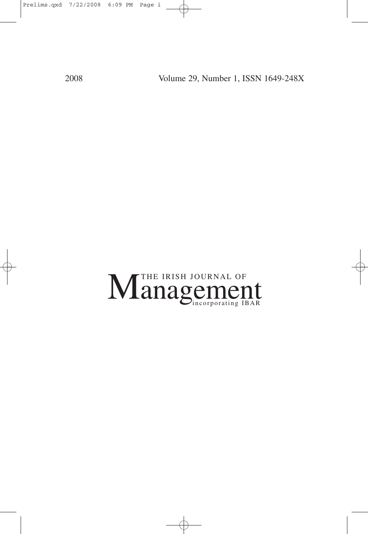2008 Volume 29, Number 1, ISSN 1649-248X

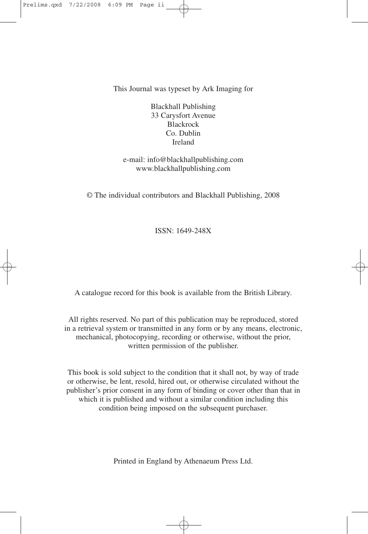This Journal was typeset by Ark Imaging for

Blackhall Publishing 33 Carysfort Avenue Blackrock Co. Dublin Ireland

e-mail: info@blackhallpublishing.com www.blackhallpublishing.com

© The individual contributors and Blackhall Publishing, 2008

ISSN: 1649-248X

A catalogue record for this book is available from the British Library.

All rights reserved. No part of this publication may be reproduced, stored in a retrieval system or transmitted in any form or by any means, electronic, mechanical, photocopying, recording or otherwise, without the prior, written permission of the publisher.

This book is sold subject to the condition that it shall not, by way of trade or otherwise, be lent, resold, hired out, or otherwise circulated without the publisher's prior consent in any form of binding or cover other than that in which it is published and without a similar condition including this condition being imposed on the subsequent purchaser.

Printed in England by Athenaeum Press Ltd.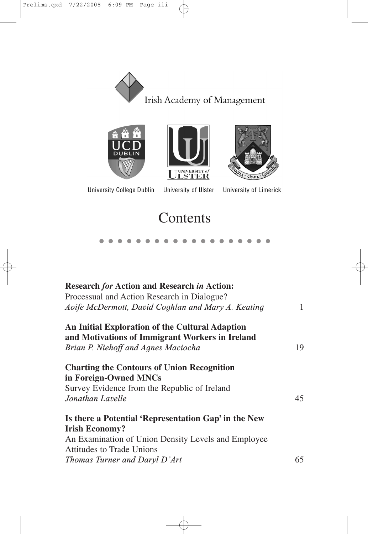







University College Dublin

University of Ulster

**University of Limerick** 

# **Contents**

●●●●●●●●●●●●●●●●●●●

| <b>Research for Action and Research in Action:</b>                                      |    |
|-----------------------------------------------------------------------------------------|----|
| Processual and Action Research in Dialogue?                                             |    |
| Aoife McDermott, David Coghlan and Mary A. Keating                                      | 1  |
| An Initial Exploration of the Cultural Adaption                                         |    |
| and Motivations of Immigrant Workers in Ireland                                         |    |
| Brian P. Niehoff and Agnes Maciocha                                                     | 19 |
| <b>Charting the Contours of Union Recognition</b>                                       |    |
| in Foreign-Owned MNCs                                                                   |    |
| Survey Evidence from the Republic of Ireland                                            |    |
| Jonathan Lavelle                                                                        | 45 |
| Is there a Potential 'Representation Gap' in the New                                    |    |
| <b>Irish Economy?</b>                                                                   |    |
| An Examination of Union Density Levels and Employee<br><b>Attitudes to Trade Unions</b> |    |
| Thomas Turner and Daryl D'Art                                                           | 65 |
|                                                                                         |    |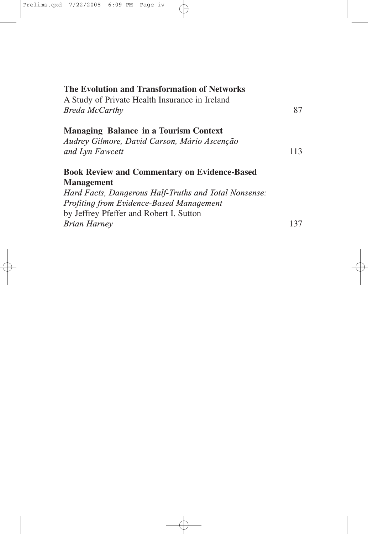| The Evolution and Transformation of Networks          |     |
|-------------------------------------------------------|-----|
| A Study of Private Health Insurance in Ireland        |     |
| <b>Breda McCarthy</b>                                 | 87  |
| <b>Managing Balance in a Tourism Context</b>          |     |
| Audrey Gilmore, David Carson, Mário Ascenção          |     |
| and Lyn Fawcett                                       | 113 |
| <b>Book Review and Commentary on Evidence-Based</b>   |     |
| <b>Management</b>                                     |     |
| Hard Facts, Dangerous Half-Truths and Total Nonsense: |     |
| <b>Profiting from Evidence-Based Management</b>       |     |
| by Jeffrey Pfeffer and Robert I. Sutton               |     |
| <b>Brian Harney</b>                                   | 137 |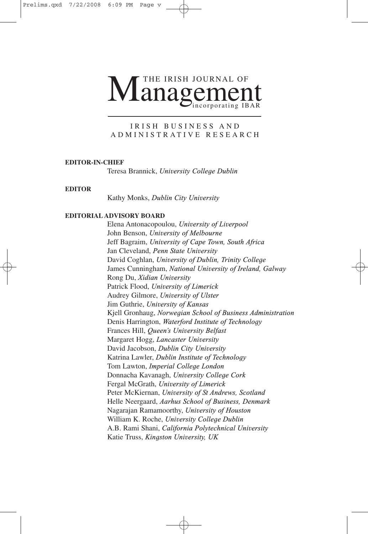# Management THE IRISH JOURNAL OF

#### IRISH BUSINESS AND ADMINISTRATIVE RESEARCH

#### **EDITOR-IN-CHIEF**

Teresa Brannick, *University College Dublin*

#### **EDITOR**

Kathy Monks, *Dublin City University*

#### **EDITORIAL ADVISORY BOARD**

Elena Antonacopoulou, *University of Liverpool* John Benson, *University of Melbourne* Jeff Bagraim, *University of Cape Town, South Africa* Jan Cleveland, *Penn State University* David Coghlan, *University of Dublin, Trinity College*  James Cunningham, *National University of Ireland, Galway* Rong Du, *Xidian University* Patrick Flood, *University of Limerick* Audrey Gilmore, *University of Ulster* Jim Guthrie, *University of Kansas* Kjell Gronhaug, *Norwegian School of Business Administration* Denis Harrington, *Waterford Institute of Technology* Frances Hill, *Queen's University Belfast* Margaret Hogg, *Lancaster University* David Jacobson, *Dublin City University* Katrina Lawler, *Dublin Institute of Technology* Tom Lawton, *Imperial College London* Donnacha Kavanagh, *University College Cork* Fergal McGrath, *University of Limerick* Peter McKiernan, *University of St Andrews, Scotland* Helle Neergaard, *Aarhus School of Business, Denmark* Nagarajan Ramamoorthy, *University of Houston* William K. Roche, *University College Dublin*  A.B. Rami Shani, *California Polytechnical University* Katie Truss, *Kingston University, UK*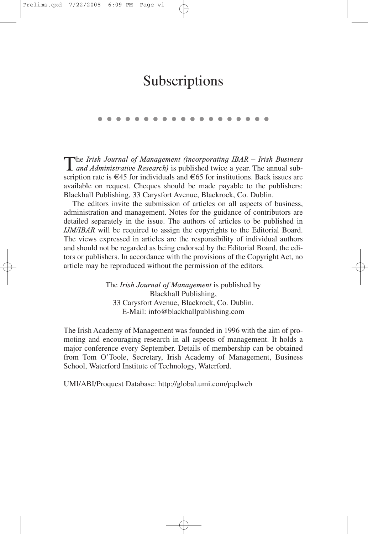# Subscriptions

●●●●●●●●●●●●●●●●●●●

The *Irish Journal of Management (incorporating IBAR – Irish Business and Administrative Research)* is published twice a year. The annual subscription rate is  $\epsilon$ 45 for individuals and  $\epsilon$ 65 for institutions. Back issues are available on request. Cheques should be made payable to the publishers: Blackhall Publishing, 33 Carysfort Avenue, Blackrock, Co. Dublin.

The editors invite the submission of articles on all aspects of business, administration and management. Notes for the guidance of contributors are detailed separately in the issue. The authors of articles to be published in *IJM/IBAR* will be required to assign the copyrights to the Editorial Board. The views expressed in articles are the responsibility of individual authors and should not be regarded as being endorsed by the Editorial Board, the editors or publishers. In accordance with the provisions of the Copyright Act, no article may be reproduced without the permission of the editors.

> The *Irish Journal of Management* is published by Blackhall Publishing, 33 Carysfort Avenue, Blackrock, Co. Dublin. E-Mail: info@blackhallpublishing.com

The Irish Academy of Management was founded in 1996 with the aim of promoting and encouraging research in all aspects of management. It holds a major conference every September. Details of membership can be obtained from Tom O'Toole, Secretary, Irish Academy of Management, Business School, Waterford Institute of Technology, Waterford.

UMI/ABI/Proquest Database: http://global.umi.com/pqdweb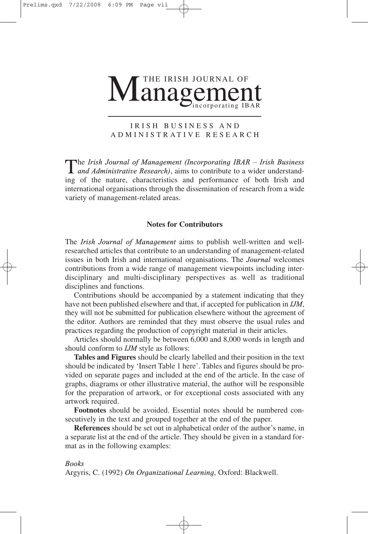

#### IRISH BUSINESS AND ADMINISTRATIVE RESEARCH

The *Irish Journal of Management (Incorporating IBAR – Irish Business*<br> *and Administrative Research)*, aims to contribute to a wider understanding of the nature, characteristics and performance of both Irish and international organisations through the dissemination of research from a wide variety of management-related areas.

#### **Notes for Contributors**

The *Irish Journal of Management* aims to publish well-written and wellresearched articles that contribute to an understanding of management-related issues in both Irish and international organisations. The *Journal* welcomes contributions from a wide range of management viewpoints including interdisciplinary and multi-disciplinary perspectives as well as traditional disciplines and functions.

Contributions should be accompanied by a statement indicating that they have not been published elsewhere and that, if accepted for publication in *IJM*, they will not be submitted for publication elsewhere without the agreement of the editor. Authors are reminded that they must observe the usual rules and practices regarding the production of copyright material in their articles.

Articles should normally be between 6,000 and 8,000 words in length and should conform to *IJM* style as follows:

**Tables and Figures** should be clearly labelled and their position in the text should be indicated by 'Insert Table 1 here'. Tables and figures should be provided on separate pages and included at the end of the article. In the case of graphs, diagrams or other illustrative material, the author will be responsible for the preparation of artwork, or for exceptional costs associated with any artwork required.

**Footnotes** should be avoided. Essential notes should be numbered consecutively in the text and grouped together at the end of the paper.

**References** should be set out in alphabetical order of the author's name, in a separate list at the end of the article. They should be given in a standard format as in the following examples:

*Books*

Argyris, C. (1992) *On Organizational Learning*, Oxford: Blackwell.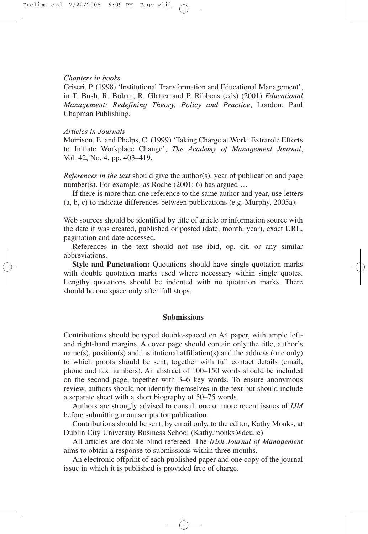#### *Chapters in books*

Griseri, P. (1998) 'Institutional Transformation and Educational Management', in T. Bush, R. Bolam, R. Glatter and P. Ribbens (eds) (2001) *Educational Management: Redefining Theory, Policy and Practice*, London: Paul Chapman Publishing.

#### *Articles in Journals*

Morrison, E. and Phelps, C. (1999) 'Taking Charge at Work: Extrarole Efforts to Initiate Workplace Change', *The Academy of Management Journal*, Vol. 42, No. 4, pp. 403–419.

*References in the text* should give the author(s), year of publication and page number(s). For example: as Roche (2001: 6) has argued ...

If there is more than one reference to the same author and year, use letters (a, b, c) to indicate differences between publications (e.g. Murphy, 2005a).

Web sources should be identified by title of article or information source with the date it was created, published or posted (date, month, year), exact URL, pagination and date accessed.

References in the text should not use ibid, op. cit. or any similar abbreviations.

**Style and Punctuation:** Quotations should have single quotation marks with double quotation marks used where necessary within single quotes. Lengthy quotations should be indented with no quotation marks. There should be one space only after full stops.

#### **Submissions**

Contributions should be typed double-spaced on A4 paper, with ample leftand right-hand margins. A cover page should contain only the title, author's name(s), position(s) and institutional affiliation(s) and the address (one only) to which proofs should be sent, together with full contact details (email, phone and fax numbers). An abstract of 100–150 words should be included on the second page, together with 3–6 key words. To ensure anonymous review, authors should not identify themselves in the text but should include a separate sheet with a short biography of 50–75 words.

Authors are strongly advised to consult one or more recent issues of *IJM* before submitting manuscripts for publication.

Contributions should be sent, by email only, to the editor, Kathy Monks, at Dublin City University Business School (Kathy.monks@dcu.ie)

All articles are double blind refereed. The *Irish Journal of Management* aims to obtain a response to submissions within three months.

An electronic offprint of each published paper and one copy of the journal issue in which it is published is provided free of charge.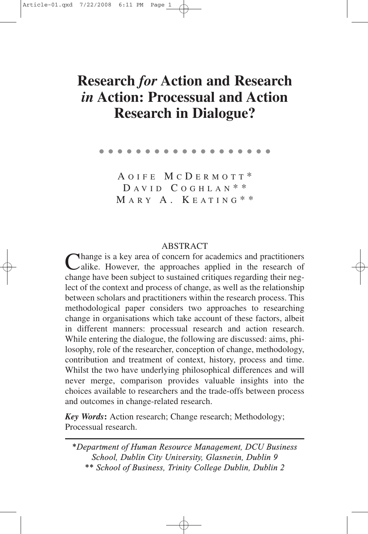# **Research** *for* **Action and Research** *in* **Action: Processual and Action Research in Dialogue?**

●●●●●●●●●●●●●●●●●●●

A OIFE M C D ERMOTT \*  $D A VID C O G H L A N$ \*\* MARY A. KEATING \* \*

ABSTRACT<br>Thange is a key area of concern for academics and practitioners Change is a key area of concern for academics and practitioners<br>Calike. However, the approaches applied in the research of change have been subject to sustained critiques regarding their neglect of the context and process of change, as well as the relationship between scholars and practitioners within the research process. This methodological paper considers two approaches to researching change in organisations which take account of these factors, albeit in different manners: processual research and action research. While entering the dialogue, the following are discussed: aims, philosophy, role of the researcher, conception of change, methodology, contribution and treatment of context, history, process and time. Whilst the two have underlying philosophical differences and will never merge, comparison provides valuable insights into the choices available to researchers and the trade-offs between process and outcomes in change-related research.

*Key Words***:** Action research; Change research; Methodology; Processual research.

*\*Department of Human Resource Management, DCU Business School, Dublin City University, Glasnevin, Dublin 9 \*\* School of Business, Trinity College Dublin, Dublin 2*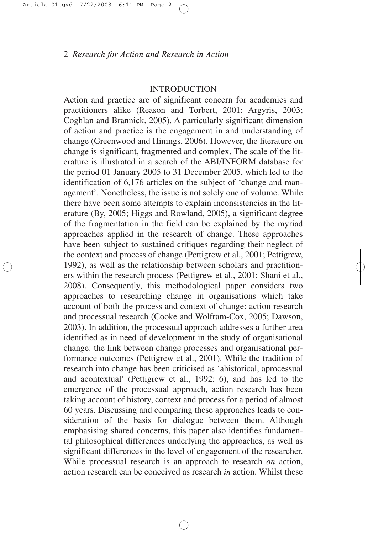### **INTRODUCTION**

Action and practice are of significant concern for academics and practitioners alike (Reason and Torbert, 2001; Argyris, 2003; Coghlan and Brannick, 2005). A particularly significant dimension of action and practice is the engagement in and understanding of change (Greenwood and Hinings, 2006). However, the literature on change is significant, fragmented and complex. The scale of the literature is illustrated in a search of the ABI/INFORM database for the period 01 January 2005 to 31 December 2005, which led to the identification of 6,176 articles on the subject of 'change and management'. Nonetheless, the issue is not solely one of volume. While there have been some attempts to explain inconsistencies in the literature (By, 2005; Higgs and Rowland, 2005), a significant degree of the fragmentation in the field can be explained by the myriad approaches applied in the research of change. These approaches have been subject to sustained critiques regarding their neglect of the context and process of change (Pettigrew et al., 2001; Pettigrew, 1992), as well as the relationship between scholars and practitioners within the research process (Pettigrew et al., 2001; Shani et al., 2008). Consequently, this methodological paper considers two approaches to researching change in organisations which take account of both the process and context of change: action research and processual research (Cooke and Wolfram-Cox, 2005; Dawson, 2003). In addition, the processual approach addresses a further area identified as in need of development in the study of organisational change: the link between change processes and organisational performance outcomes (Pettigrew et al., 2001). While the tradition of research into change has been criticised as 'ahistorical, aprocessual and acontextual' (Pettigrew et al., 1992: 6), and has led to the emergence of the processual approach, action research has been taking account of history, context and process for a period of almost 60 years. Discussing and comparing these approaches leads to consideration of the basis for dialogue between them. Although emphasising shared concerns, this paper also identifies fundamental philosophical differences underlying the approaches, as well as significant differences in the level of engagement of the researcher. While processual research is an approach to research *on* action, action research can be conceived as research *in* action. Whilst these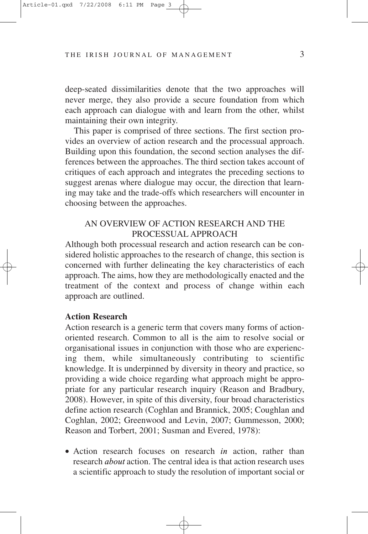deep-seated dissimilarities denote that the two approaches will never merge, they also provide a secure foundation from which each approach can dialogue with and learn from the other, whilst maintaining their own integrity.

This paper is comprised of three sections. The first section provides an overview of action research and the processual approach. Building upon this foundation, the second section analyses the differences between the approaches. The third section takes account of critiques of each approach and integrates the preceding sections to suggest arenas where dialogue may occur, the direction that learning may take and the trade-offs which researchers will encounter in choosing between the approaches.

# AN OVERVIEW OF ACTION RESEARCH AND THE PROCESSUAL APPROACH

Although both processual research and action research can be considered holistic approaches to the research of change, this section is concerned with further delineating the key characteristics of each approach. The aims, how they are methodologically enacted and the treatment of the context and process of change within each approach are outlined.

# **Action Research**

Action research is a generic term that covers many forms of actionoriented research. Common to all is the aim to resolve social or organisational issues in conjunction with those who are experiencing them, while simultaneously contributing to scientific knowledge. It is underpinned by diversity in theory and practice, so providing a wide choice regarding what approach might be appropriate for any particular research inquiry (Reason and Bradbury, 2008). However, in spite of this diversity, four broad characteristics define action research (Coghlan and Brannick, 2005; Coughlan and Coghlan, 2002; Greenwood and Levin, 2007; Gummesson, 2000; Reason and Torbert, 2001; Susman and Evered, 1978):

• Action research focuses on research *in* action, rather than research *about* action. The central idea is that action research uses a scientific approach to study the resolution of important social or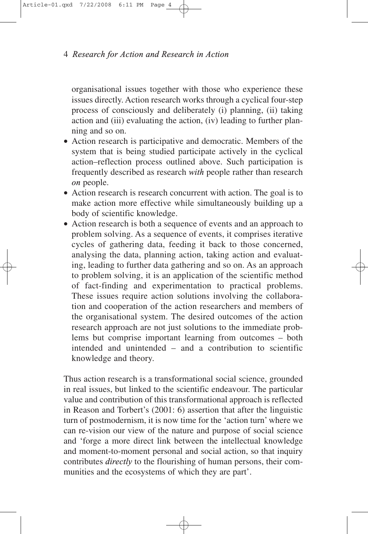organisational issues together with those who experience these issues directly. Action research works through a cyclical four-step process of consciously and deliberately (i) planning, (ii) taking action and (iii) evaluating the action, (iv) leading to further planning and so on.

- Action research is participative and democratic. Members of the system that is being studied participate actively in the cyclical action–reflection process outlined above. Such participation is frequently described as research *with* people rather than research *on* people.
- Action research is research concurrent with action. The goal is to make action more effective while simultaneously building up a body of scientific knowledge.
- Action research is both a sequence of events and an approach to problem solving. As a sequence of events, it comprises iterative cycles of gathering data, feeding it back to those concerned, analysing the data, planning action, taking action and evaluating, leading to further data gathering and so on. As an approach to problem solving, it is an application of the scientific method of fact-finding and experimentation to practical problems. These issues require action solutions involving the collaboration and cooperation of the action researchers and members of the organisational system. The desired outcomes of the action research approach are not just solutions to the immediate problems but comprise important learning from outcomes – both intended and unintended – and a contribution to scientific knowledge and theory.

Thus action research is a transformational social science, grounded in real issues, but linked to the scientific endeavour. The particular value and contribution of this transformational approach is reflected in Reason and Torbert's (2001: 6) assertion that after the linguistic turn of postmodernism, it is now time for the 'action turn' where we can re-vision our view of the nature and purpose of social science and 'forge a more direct link between the intellectual knowledge and moment-to-moment personal and social action, so that inquiry contributes *directly* to the flourishing of human persons, their communities and the ecosystems of which they are part'.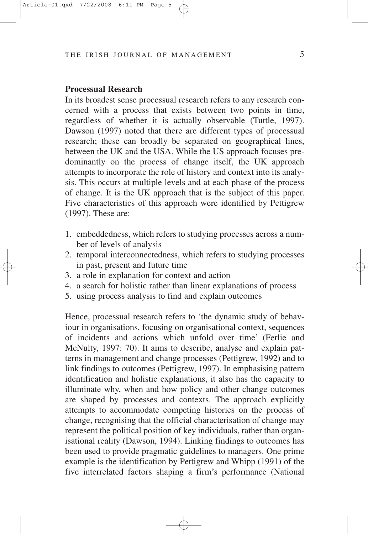#### **Processual Research**

In its broadest sense processual research refers to any research concerned with a process that exists between two points in time, regardless of whether it is actually observable (Tuttle, 1997). Dawson (1997) noted that there are different types of processual research; these can broadly be separated on geographical lines, between the UK and the USA. While the US approach focuses predominantly on the process of change itself, the UK approach attempts to incorporate the role of history and context into its analysis. This occurs at multiple levels and at each phase of the process of change. It is the UK approach that is the subject of this paper. Five characteristics of this approach were identified by Pettigrew (1997). These are:

- 1. embeddedness, which refers to studying processes across a number of levels of analysis
- 2. temporal interconnectedness, which refers to studying processes in past, present and future time
- 3. a role in explanation for context and action
- 4. a search for holistic rather than linear explanations of process
- 5. using process analysis to find and explain outcomes

Hence, processual research refers to 'the dynamic study of behaviour in organisations, focusing on organisational context, sequences of incidents and actions which unfold over time' (Ferlie and McNulty, 1997: 70). It aims to describe, analyse and explain patterns in management and change processes (Pettigrew, 1992) and to link findings to outcomes (Pettigrew, 1997). In emphasising pattern identification and holistic explanations, it also has the capacity to illuminate why, when and how policy and other change outcomes are shaped by processes and contexts. The approach explicitly attempts to accommodate competing histories on the process of change, recognising that the official characterisation of change may represent the political position of key individuals, rather than organisational reality (Dawson, 1994). Linking findings to outcomes has been used to provide pragmatic guidelines to managers. One prime example is the identification by Pettigrew and Whipp (1991) of the five interrelated factors shaping a firm's performance (National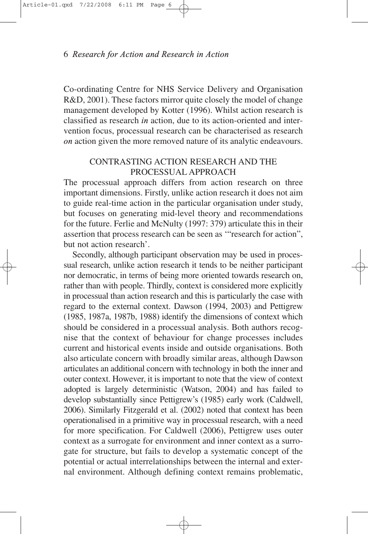Co-ordinating Centre for NHS Service Delivery and Organisation R&D, 2001). These factors mirror quite closely the model of change management developed by Kotter (1996). Whilst action research is classified as research *in* action, due to its action-oriented and intervention focus, processual research can be characterised as research *on* action given the more removed nature of its analytic endeavours.

# CONTRASTING ACTION RESEARCH AND THE PROCESSUAL APPROACH

The processual approach differs from action research on three important dimensions. Firstly, unlike action research it does not aim to guide real-time action in the particular organisation under study, but focuses on generating mid-level theory and recommendations for the future. Ferlie and McNulty (1997: 379) articulate this in their assertion that process research can be seen as '"research for action", but not action research'.

Secondly, although participant observation may be used in processual research, unlike action research it tends to be neither participant nor democratic, in terms of being more oriented towards research on, rather than with people. Thirdly, context is considered more explicitly in processual than action research and this is particularly the case with regard to the external context. Dawson (1994, 2003) and Pettigrew (1985, 1987a, 1987b, 1988) identify the dimensions of context which should be considered in a processual analysis. Both authors recognise that the context of behaviour for change processes includes current and historical events inside and outside organisations. Both also articulate concern with broadly similar areas, although Dawson articulates an additional concern with technology in both the inner and outer context. However, it is important to note that the view of context adopted is largely deterministic (Watson, 2004) and has failed to develop substantially since Pettigrew's (1985) early work (Caldwell, 2006). Similarly Fitzgerald et al. (2002) noted that context has been operationalised in a primitive way in processual research, with a need for more specification. For Caldwell (2006), Pettigrew uses outer context as a surrogate for environment and inner context as a surrogate for structure, but fails to develop a systematic concept of the potential or actual interrelationships between the internal and external environment. Although defining context remains problematic,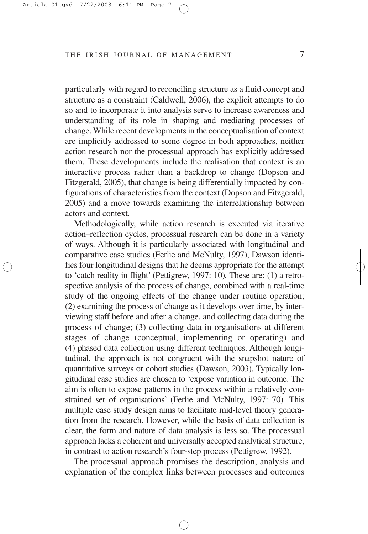particularly with regard to reconciling structure as a fluid concept and structure as a constraint (Caldwell, 2006), the explicit attempts to do so and to incorporate it into analysis serve to increase awareness and understanding of its role in shaping and mediating processes of change. While recent developments in the conceptualisation of context are implicitly addressed to some degree in both approaches, neither action research nor the processual approach has explicitly addressed them. These developments include the realisation that context is an interactive process rather than a backdrop to change (Dopson and Fitzgerald, 2005), that change is being differentially impacted by configurations of characteristics from the context (Dopson and Fitzgerald, 2005) and a move towards examining the interrelationship between actors and context.

Methodologically, while action research is executed via iterative action–reflection cycles, processual research can be done in a variety of ways. Although it is particularly associated with longitudinal and comparative case studies (Ferlie and McNulty, 1997), Dawson identifies four longitudinal designs that he deems appropriate for the attempt to 'catch reality in flight' (Pettigrew, 1997: 10)*.* These are: (1) a retrospective analysis of the process of change, combined with a real-time study of the ongoing effects of the change under routine operation; (2) examining the process of change as it develops over time, by interviewing staff before and after a change, and collecting data during the process of change; (3) collecting data in organisations at different stages of change (conceptual, implementing or operating) and (4) phased data collection using different techniques. Although longitudinal, the approach is not congruent with the snapshot nature of quantitative surveys or cohort studies (Dawson, 2003). Typically longitudinal case studies are chosen to 'expose variation in outcome. The aim is often to expose patterns in the process within a relatively constrained set of organisations' (Ferlie and McNulty, 1997: 70)*.* This multiple case study design aims to facilitate mid-level theory generation from the research. However, while the basis of data collection is clear, the form and nature of data analysis is less so. The processual approach lacks a coherent and universally accepted analytical structure, in contrast to action research's four-step process (Pettigrew, 1992).

The processual approach promises the description, analysis and explanation of the complex links between processes and outcomes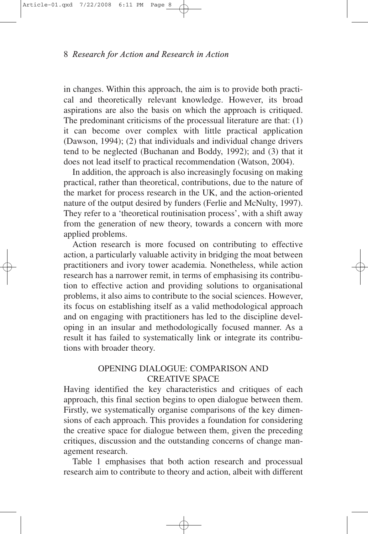in changes. Within this approach, the aim is to provide both practical and theoretically relevant knowledge. However, its broad aspirations are also the basis on which the approach is critiqued. The predominant criticisms of the processual literature are that: (1) it can become over complex with little practical application (Dawson, 1994); (2) that individuals and individual change drivers tend to be neglected (Buchanan and Boddy, 1992); and (3) that it does not lead itself to practical recommendation (Watson, 2004).

In addition, the approach is also increasingly focusing on making practical, rather than theoretical, contributions, due to the nature of the market for process research in the UK, and the action-oriented nature of the output desired by funders (Ferlie and McNulty, 1997). They refer to a 'theoretical routinisation process', with a shift away from the generation of new theory, towards a concern with more applied problems.

Action research is more focused on contributing to effective action, a particularly valuable activity in bridging the moat between practitioners and ivory tower academia. Nonetheless, while action research has a narrower remit, in terms of emphasising its contribution to effective action and providing solutions to organisational problems, it also aims to contribute to the social sciences. However, its focus on establishing itself as a valid methodological approach and on engaging with practitioners has led to the discipline developing in an insular and methodologically focused manner. As a result it has failed to systematically link or integrate its contributions with broader theory.

# OPENING DIALOGUE: COMPARISON AND CREATIVE SPACE

Having identified the key characteristics and critiques of each approach, this final section begins to open dialogue between them. Firstly, we systematically organise comparisons of the key dimensions of each approach. This provides a foundation for considering the creative space for dialogue between them, given the preceding critiques, discussion and the outstanding concerns of change management research.

Table 1 emphasises that both action research and processual research aim to contribute to theory and action, albeit with different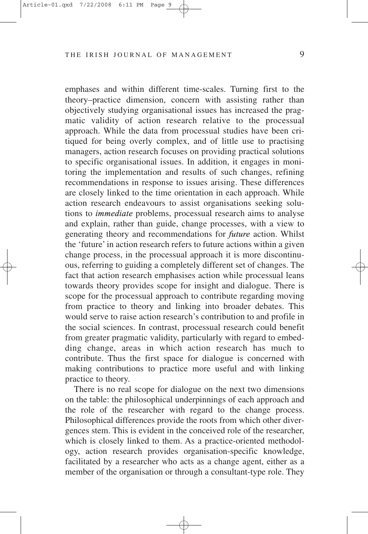emphases and within different time-scales. Turning first to the theory–practice dimension, concern with assisting rather than objectively studying organisational issues has increased the pragmatic validity of action research relative to the processual approach. While the data from processual studies have been critiqued for being overly complex, and of little use to practising managers, action research focuses on providing practical solutions to specific organisational issues. In addition, it engages in monitoring the implementation and results of such changes, refining recommendations in response to issues arising. These differences are closely linked to the time orientation in each approach. While action research endeavours to assist organisations seeking solutions to *immediate* problems, processual research aims to analyse and explain, rather than guide, change processes, with a view to generating theory and recommendations for *future* action. Whilst the 'future' in action research refers to future actions within a given change process, in the processual approach it is more discontinuous, referring to guiding a completely different set of changes. The fact that action research emphasises action while processual leans towards theory provides scope for insight and dialogue. There is scope for the processual approach to contribute regarding moving from practice to theory and linking into broader debates. This would serve to raise action research's contribution to and profile in the social sciences. In contrast, processual research could benefit from greater pragmatic validity, particularly with regard to embedding change, areas in which action research has much to contribute. Thus the first space for dialogue is concerned with making contributions to practice more useful and with linking practice to theory.

There is no real scope for dialogue on the next two dimensions on the table: the philosophical underpinnings of each approach and the role of the researcher with regard to the change process. Philosophical differences provide the roots from which other divergences stem. This is evident in the conceived role of the researcher, which is closely linked to them. As a practice-oriented methodology, action research provides organisation-specific knowledge, facilitated by a researcher who acts as a change agent, either as a member of the organisation or through a consultant-type role. They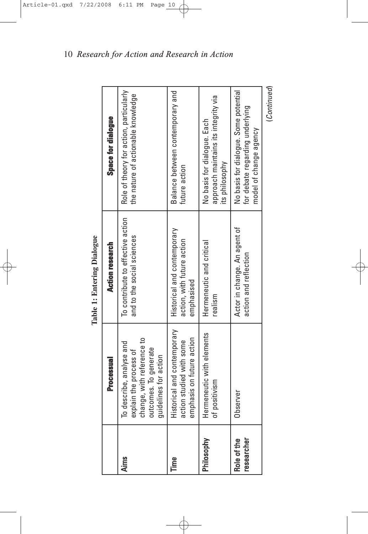|                           | <b>Processual</b>                                                                                                                 | <b>Action research</b>                                                  | Space for dialogue                                                                                 |
|---------------------------|-----------------------------------------------------------------------------------------------------------------------------------|-------------------------------------------------------------------------|----------------------------------------------------------------------------------------------------|
| <b>Aims</b>               | change, with reference to<br>To describe, analyse and<br>outcomes. To generate<br>explain the process of<br>quidelines for action | To contribute to effective action<br>and to the social sciences         | Role of theory for action, particularly<br>the nature of actionable knowledge                      |
| Time                      | Historical and contemporary<br>emphasis on future action<br>action studied with some                                              | Historical and contemporary<br>action, with future action<br>emphasised | Balance between contemporary and<br>future action                                                  |
| Philosophy                | Hermeneutic with elements<br>of positivism                                                                                        | Hermeneutic and critical<br>realism                                     | approach maintains its integrity via<br>No basis for dialogue. Each<br>its philosophy              |
| Role of the<br>researcher | Observer                                                                                                                          | Actor in change. An agent of<br>action and reflection                   | No basis for dialogue. Some potential<br>for debate regarding underlying<br>model of change agency |
|                           |                                                                                                                                   |                                                                         | (Continued)                                                                                        |

Table 1: Entering Dialogue **Table 1: Entering Dialogue**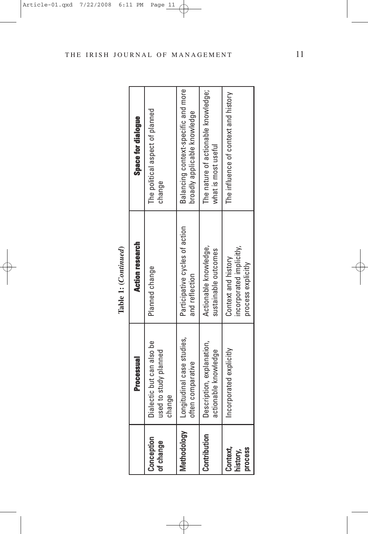|                                          | Table 1: (Continued)   |                                |
|------------------------------------------|------------------------|--------------------------------|
| Processual                               | <b>Action research</b> | Space for u                    |
| ctic but can also be<br>to study planned | Planned change         | The political aspect<br>change |
| $\frac{6}{1}$                            |                        |                                |

|                                        | <b>Processual</b>                                             | <b>Action research</b>                                                | Space for dialogue                                                  |
|----------------------------------------|---------------------------------------------------------------|-----------------------------------------------------------------------|---------------------------------------------------------------------|
| Conception<br>of change                | Dialectic but can also be<br>used to study planned<br>change  | Planned change                                                        | The political aspect of planned<br>change                           |
|                                        | Methodology   Longitudinal case studies,<br>often comparative | Participative cycles of action<br>and reflection                      | Balancing context-specific and more<br>broadly applicable knowledge |
| Contribution                           | Description, explanation,<br>actionable knowledge             | Actionable knowledge,<br>sustainable outcomes                         | The nature of actionable knowledge;<br>what is most useful          |
| Context,<br><b>Drocess</b><br>history, | Incorporated explicitly                                       | incorporated implicitly,<br>Context and history<br>process explicitly | The influence of context and history                                |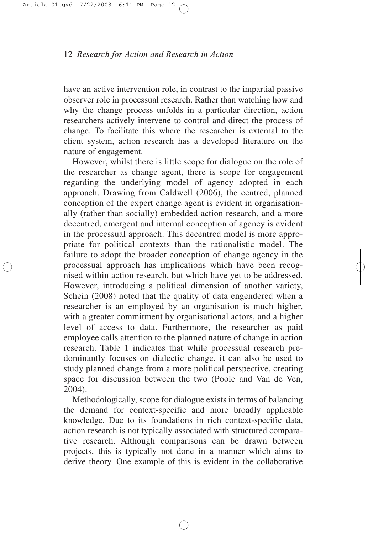have an active intervention role, in contrast to the impartial passive observer role in processual research. Rather than watching how and why the change process unfolds in a particular direction, action researchers actively intervene to control and direct the process of change. To facilitate this where the researcher is external to the client system, action research has a developed literature on the nature of engagement.

However, whilst there is little scope for dialogue on the role of the researcher as change agent, there is scope for engagement regarding the underlying model of agency adopted in each approach. Drawing from Caldwell (2006), the centred, planned conception of the expert change agent is evident in organisationally (rather than socially) embedded action research, and a more decentred, emergent and internal conception of agency is evident in the processual approach. This decentred model is more appropriate for political contexts than the rationalistic model. The failure to adopt the broader conception of change agency in the processual approach has implications which have been recognised within action research, but which have yet to be addressed. However, introducing a political dimension of another variety, Schein (2008) noted that the quality of data engendered when a researcher is an employed by an organisation is much higher, with a greater commitment by organisational actors, and a higher level of access to data. Furthermore, the researcher as paid employee calls attention to the planned nature of change in action research. Table 1 indicates that while processual research predominantly focuses on dialectic change, it can also be used to study planned change from a more political perspective, creating space for discussion between the two (Poole and Van de Ven, 2004).

Methodologically, scope for dialogue exists in terms of balancing the demand for context-specific and more broadly applicable knowledge. Due to its foundations in rich context-specific data, action research is not typically associated with structured comparative research. Although comparisons can be drawn between projects, this is typically not done in a manner which aims to derive theory. One example of this is evident in the collaborative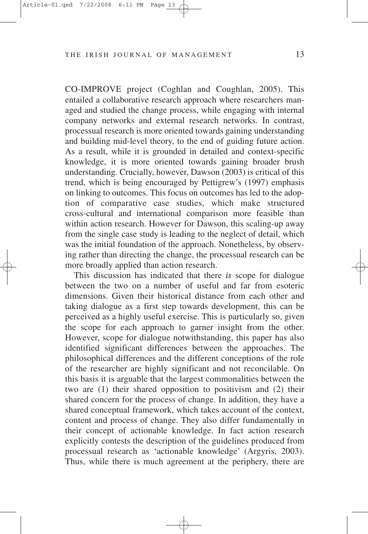CO-IMPROVE project (Coghlan and Coughlan, 2005). This entailed a collaborative research approach where researchers managed and studied the change process, while engaging with internal company networks and external research networks. In contrast, processual research is more oriented towards gaining understanding and building mid-level theory, to the end of guiding future action. As a result, while it is grounded in detailed and context-specific knowledge, it is more oriented towards gaining broader brush understanding. Crucially, however, Dawson (2003) is critical of this trend, which is being encouraged by Pettigrew's (1997) emphasis on linking to outcomes. This focus on outcomes has led to the adoption of comparative case studies, which make structured cross-cultural and international comparison more feasible than within action research. However for Dawson, this scaling-up away from the single case study is leading to the neglect of detail, which was the initial foundation of the approach. Nonetheless, by observing rather than directing the change, the processual research can be more broadly applied than action research.

This discussion has indicated that there *is* scope for dialogue between the two on a number of useful and far from esoteric dimensions. Given their historical distance from each other and taking dialogue as a first step towards development, this can be perceived as a highly useful exercise. This is particularly so, given the scope for each approach to garner insight from the other. However, scope for dialogue notwithstanding, this paper has also identified significant differences between the approaches. The philosophical differences and the different conceptions of the role of the researcher are highly significant and not reconcilable. On this basis it is arguable that the largest commonalities between the two are (1) their shared opposition to positivism and (2) their shared concern for the process of change. In addition, they have a shared conceptual framework, which takes account of the context, content and process of change. They also differ fundamentally in their concept of actionable knowledge. In fact action research explicitly contests the description of the guidelines produced from processual research as 'actionable knowledge' (Argyris, 2003). Thus, while there is much agreement at the periphery, there are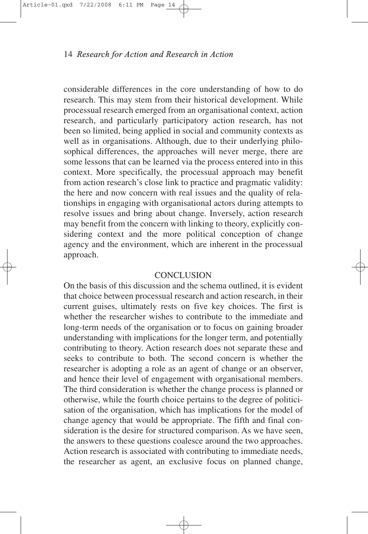considerable differences in the core understanding of how to do research. This may stem from their historical development. While processual research emerged from an organisational context, action research, and particularly participatory action research, has not been so limited, being applied in social and community contexts as well as in organisations. Although, due to their underlying philosophical differences, the approaches will never merge, there are some lessons that can be learned via the process entered into in this context. More specifically, the processual approach may benefit from action research's close link to practice and pragmatic validity: the here and now concern with real issues and the quality of relationships in engaging with organisational actors during attempts to resolve issues and bring about change. Inversely, action research may benefit from the concern with linking to theory, explicitly considering context and the more political conception of change agency and the environment, which are inherent in the processual approach.

### **CONCLUSION**

On the basis of this discussion and the schema outlined, it is evident that choice between processual research and action research, in their current guises, ultimately rests on five key choices. The first is whether the researcher wishes to contribute to the immediate and long-term needs of the organisation or to focus on gaining broader understanding with implications for the longer term, and potentially contributing to theory. Action research does not separate these and seeks to contribute to both. The second concern is whether the researcher is adopting a role as an agent of change or an observer, and hence their level of engagement with organisational members. The third consideration is whether the change process is planned or otherwise, while the fourth choice pertains to the degree of politicisation of the organisation, which has implications for the model of change agency that would be appropriate. The fifth and final consideration is the desire for structured comparison. As we have seen, the answers to these questions coalesce around the two approaches. Action research is associated with contributing to immediate needs, the researcher as agent, an exclusive focus on planned change,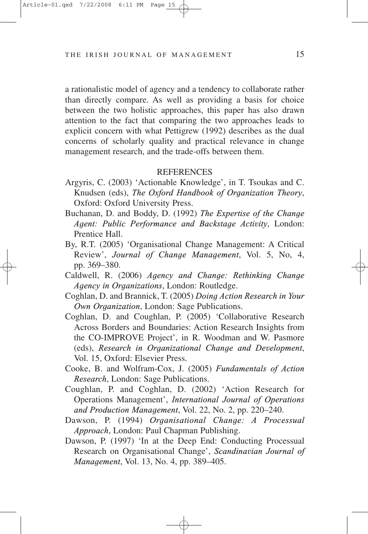a rationalistic model of agency and a tendency to collaborate rather than directly compare. As well as providing a basis for choice between the two holistic approaches, this paper has also drawn attention to the fact that comparing the two approaches leads to explicit concern with what Pettigrew (1992) describes as the dual concerns of scholarly quality and practical relevance in change management research, and the trade-offs between them.

#### **REFERENCES**

- Argyris, C. (2003) 'Actionable Knowledge', in T. Tsoukas and C. Knudsen (eds), *The Oxford Handbook of Organization Theory*, Oxford: Oxford University Press.
- Buchanan, D. and Boddy, D. (1992) *The Expertise of the Change Agent: Public Performance and Backstage Activity*, London: Prentice Hall.
- By, R.T. (2005) 'Organisational Change Management: A Critical Review', *Journal of Change Management*, Vol. 5, No, 4, pp. 369–380.
- Caldwell, R. (2006) *Agency and Change: Rethinking Change Agency in Organizations*, London: Routledge.
- Coghlan, D. and Brannick, T. (2005) *Doing Action Research in Your Own Organization*, London: Sage Publications.
- Coghlan, D. and Coughlan, P. (2005) 'Collaborative Research Across Borders and Boundaries: Action Research Insights from the CO-IMPROVE Project', in R. Woodman and W. Pasmore (eds), *Research in Organizational Change and Development*, Vol. 15, Oxford: Elsevier Press.
- Cooke, B. and Wolfram-Cox, J. (2005) *Fundamentals of Action Research*, London: Sage Publications.
- Coughlan, P. and Coghlan, D. (2002) 'Action Research for Operations Management', *International Journal of Operations and Production Management*, Vol. 22, No. 2, pp. 220–240.
- Dawson, P. (1994) *Organisational Change: A Processual Approach*, London: Paul Chapman Publishing.
- Dawson, P. (1997) 'In at the Deep End: Conducting Processual Research on Organisational Change', *Scandinavian Journal of Management*, Vol. 13, No. 4, pp. 389–405.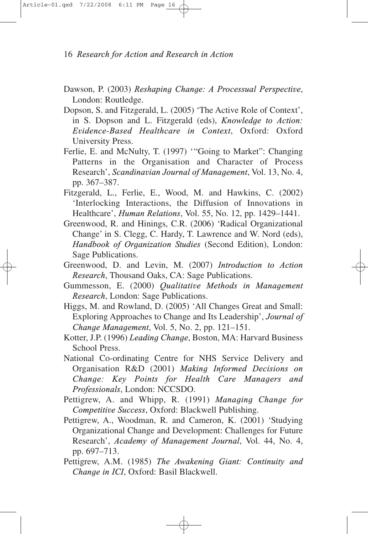- Dawson, P. (2003) *Reshaping Change: A Processual Perspective*, London: Routledge.
- Dopson, S. and Fitzgerald, L. (2005) 'The Active Role of Context', in S. Dopson and L. Fitzgerald (eds), *Knowledge to Action: Evidence-Based Healthcare in Context*, Oxford: Oxford University Press.
- Ferlie, E. and McNulty, T. (1997) '"Going to Market": Changing Patterns in the Organisation and Character of Process Research', *Scandinavian Journal of Management*, Vol. 13, No. 4, pp. 367–387.
- Fitzgerald, L., Ferlie, E., Wood, M. and Hawkins, C. (2002) 'Interlocking Interactions, the Diffusion of Innovations in Healthcare', *Human Relations*, Vol. 55, No. 12, pp. 1429–1441.
- Greenwood, R. and Hinings, C.R. (2006) 'Radical Organizational Change' in S. Clegg, C. Hardy, T. Lawrence and W. Nord (eds), *Handbook of Organization Studies* (Second Edition), London: Sage Publications.
- Greenwood, D. and Levin, M. (2007) *Introduction to Action Research*, Thousand Oaks, CA: Sage Publications.
- Gummesson, E. (2000) *Qualitative Methods in Management Research*, London: Sage Publications.
- Higgs, M. and Rowland, D. (2005) 'All Changes Great and Small: Exploring Approaches to Change and Its Leadership', *Journal of Change Management*, Vol. 5, No. 2, pp. 121–151.
- Kotter, J.P. (1996) *Leading Change*, Boston, MA: Harvard Business School Press.
- National Co-ordinating Centre for NHS Service Delivery and Organisation R&D (2001) *Making Informed Decisions on Change: Key Points for Health Care Managers and Professionals*, London: NCCSDO.
- Pettigrew, A. and Whipp, R. (1991) *Managing Change for Competitive Success*, Oxford: Blackwell Publishing.
- Pettigrew, A., Woodman, R. and Cameron, K. (2001) 'Studying Organizational Change and Development: Challenges for Future Research', *Academy of Management Journal*, Vol. 44, No. 4, pp. 697–713.
- Pettigrew, A.M. (1985) *The Awakening Giant: Continuity and Change in ICI*, Oxford: Basil Blackwell.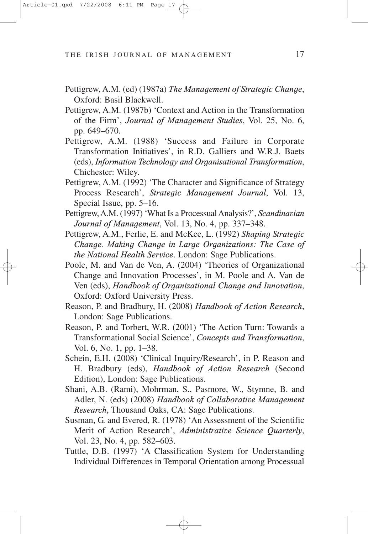- Pettigrew, A.M. (ed) (1987a) *The Management of Strategic Change*, Oxford: Basil Blackwell.
- Pettigrew, A.M. (1987b) 'Context and Action in the Transformation of the Firm', *Journal of Management Studies*, Vol. 25, No. 6, pp. 649–670.
- Pettigrew, A.M. (1988) 'Success and Failure in Corporate Transformation Initiatives', in R.D. Galliers and W.R.J. Baets (eds), *Information Technology and Organisational Transformation*, Chichester: Wiley.
- Pettigrew, A.M. (1992) 'The Character and Significance of Strategy Process Research', *Strategic Management Journal*, Vol. 13, Special Issue, pp. 5–16.
- Pettigrew, A.M. (1997) 'What Is a Processual Analysis?', *Scandinavian Journal of Management*, Vol. 13, No. 4, pp. 337–348.
- Pettigrew, A.M., Ferlie, E. and McKee, L. (1992) *Shaping Strategic Change. Making Change in Large Organizations: The Case of the National Health Service*. London: Sage Publications.
- Poole, M. and Van de Ven, A. (2004) 'Theories of Organizational Change and Innovation Processes', in M. Poole and A. Van de Ven (eds), *Handbook of Organizational Change and Innovation*, Oxford: Oxford University Press.
- Reason, P. and Bradbury, H. (2008) *Handbook of Action Research*, London: Sage Publications.
- Reason, P. and Torbert, W.R. (2001) 'The Action Turn: Towards a Transformational Social Science', *Concepts and Transformation*, Vol. 6, No. 1, pp. 1–38.
- Schein, E.H. (2008) 'Clinical Inquiry/Research', in P. Reason and H. Bradbury (eds), *Handbook of Action Research* (Second Edition), London: Sage Publications.
- Shani, A.B. (Rami), Mohrman, S., Pasmore, W., Stymne, B. and Adler, N. (eds) (2008) *Handbook of Collaborative Management Research*, Thousand Oaks, CA: Sage Publications.
- Susman, G. and Evered, R. (1978) 'An Assessment of the Scientific Merit of Action Research', *Administrative Science Quarterly*, Vol. 23, No. 4, pp. 582–603.
- Tuttle, D.B. (1997) 'A Classification System for Understanding Individual Differences in Temporal Orientation among Processual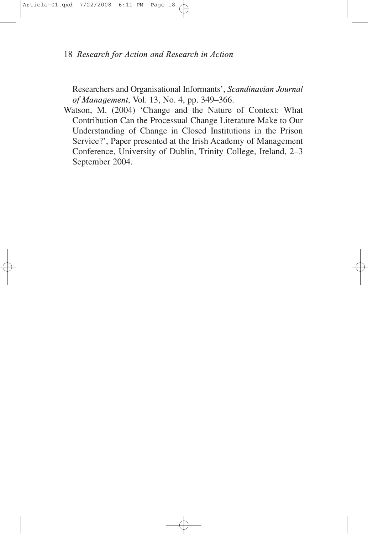Researchers and Organisational Informants', *Scandinavian Journal of Management*, Vol. 13, No. 4, pp. 349–366.

Watson, M. (2004) 'Change and the Nature of Context: What Contribution Can the Processual Change Literature Make to Our Understanding of Change in Closed Institutions in the Prison Service?', Paper presented at the Irish Academy of Management Conference, University of Dublin, Trinity College, Ireland, 2–3 September 2004.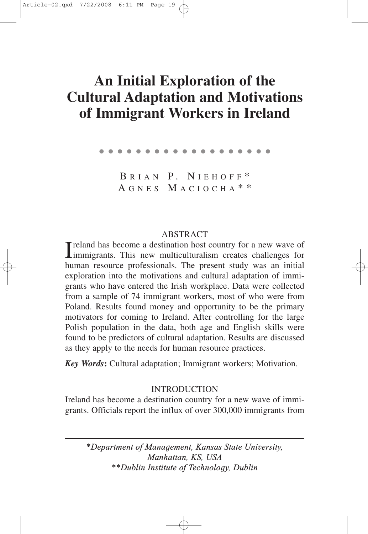# **An Initial Exploration of the Cultural Adaptation and Motivations of Immigrant Workers in Ireland**

●●●●●●●●●●●●●●●●●●●

B RIAN P. N IEHOFF \* A GNES M ACIOCHA \* \*

### ABSTRACT

I reland has become a destination host country for a new wave of immigrants. This new multiculturalism creates challenges for Treland has become a destination host country for a new wave of human resource professionals. The present study was an initial exploration into the motivations and cultural adaptation of immigrants who have entered the Irish workplace. Data were collected from a sample of 74 immigrant workers, most of who were from Poland. Results found money and opportunity to be the primary motivators for coming to Ireland. After controlling for the large Polish population in the data, both age and English skills were found to be predictors of cultural adaptation. Results are discussed as they apply to the needs for human resource practices.

*Key Words***:** Cultural adaptation; Immigrant workers; Motivation.

### **INTRODUCTION**

Ireland has become a destination country for a new wave of immigrants. Officials report the influx of over 300,000 immigrants from

*\*Department of Management, Kansas State University, Manhattan, KS, USA \*\*Dublin Institute of Technology, Dublin*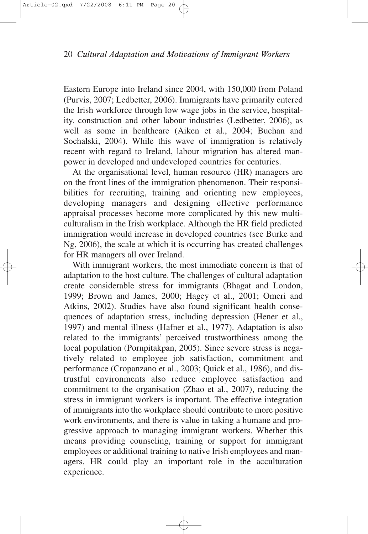Eastern Europe into Ireland since 2004, with 150,000 from Poland (Purvis, 2007; Ledbetter, 2006). Immigrants have primarily entered the Irish workforce through low wage jobs in the service, hospitality, construction and other labour industries (Ledbetter, 2006), as well as some in healthcare (Aiken et al., 2004; Buchan and Sochalski, 2004). While this wave of immigration is relatively recent with regard to Ireland, labour migration has altered manpower in developed and undeveloped countries for centuries.

At the organisational level, human resource (HR) managers are on the front lines of the immigration phenomenon. Their responsibilities for recruiting, training and orienting new employees, developing managers and designing effective performance appraisal processes become more complicated by this new multiculturalism in the Irish workplace. Although the HR field predicted immigration would increase in developed countries (see Burke and Ng, 2006), the scale at which it is occurring has created challenges for HR managers all over Ireland.

With immigrant workers, the most immediate concern is that of adaptation to the host culture. The challenges of cultural adaptation create considerable stress for immigrants (Bhagat and London, 1999; Brown and James, 2000; Hagey et al., 2001; Omeri and Atkins, 2002). Studies have also found significant health consequences of adaptation stress, including depression (Hener et al., 1997) and mental illness (Hafner et al., 1977). Adaptation is also related to the immigrants' perceived trustworthiness among the local population (Pornpitakpan, 2005). Since severe stress is negatively related to employee job satisfaction, commitment and performance (Cropanzano et al., 2003; Quick et al., 1986), and distrustful environments also reduce employee satisfaction and commitment to the organisation (Zhao et al., 2007), reducing the stress in immigrant workers is important. The effective integration of immigrants into the workplace should contribute to more positive work environments, and there is value in taking a humane and progressive approach to managing immigrant workers. Whether this means providing counseling, training or support for immigrant employees or additional training to native Irish employees and managers, HR could play an important role in the acculturation experience.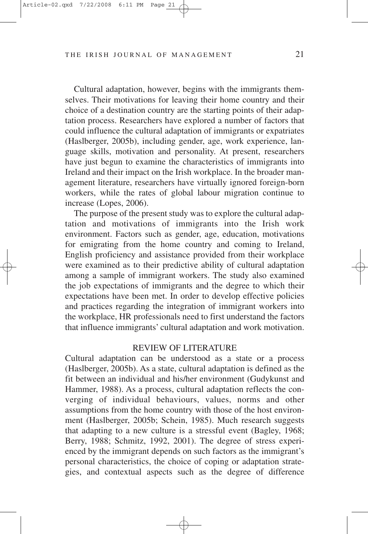Cultural adaptation, however, begins with the immigrants themselves. Their motivations for leaving their home country and their choice of a destination country are the starting points of their adaptation process. Researchers have explored a number of factors that could influence the cultural adaptation of immigrants or expatriates (Haslberger, 2005b), including gender, age, work experience, language skills, motivation and personality. At present, researchers have just begun to examine the characteristics of immigrants into Ireland and their impact on the Irish workplace. In the broader management literature, researchers have virtually ignored foreign-born workers, while the rates of global labour migration continue to increase (Lopes, 2006).

The purpose of the present study was to explore the cultural adaptation and motivations of immigrants into the Irish work environment. Factors such as gender, age, education, motivations for emigrating from the home country and coming to Ireland, English proficiency and assistance provided from their workplace were examined as to their predictive ability of cultural adaptation among a sample of immigrant workers. The study also examined the job expectations of immigrants and the degree to which their expectations have been met. In order to develop effective policies and practices regarding the integration of immigrant workers into the workplace, HR professionals need to first understand the factors that influence immigrants' cultural adaptation and work motivation.

#### REVIEW OF LITERATURE

Cultural adaptation can be understood as a state or a process (Haslberger, 2005b). As a state, cultural adaptation is defined as the fit between an individual and his/her environment (Gudykunst and Hammer, 1988). As a process, cultural adaptation reflects the converging of individual behaviours, values, norms and other assumptions from the home country with those of the host environment (Haslberger, 2005b; Schein, 1985). Much research suggests that adapting to a new culture is a stressful event (Bagley, 1968; Berry, 1988; Schmitz, 1992, 2001). The degree of stress experienced by the immigrant depends on such factors as the immigrant's personal characteristics, the choice of coping or adaptation strategies, and contextual aspects such as the degree of difference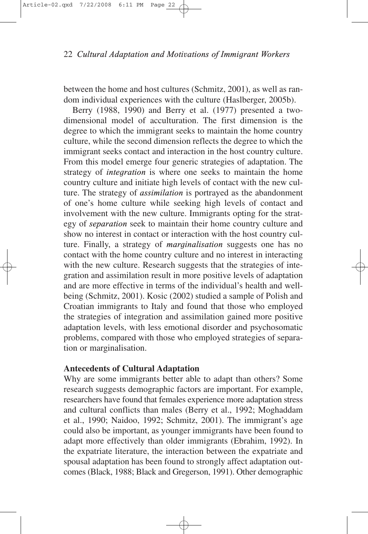between the home and host cultures (Schmitz, 2001), as well as random individual experiences with the culture (Haslberger, 2005b).

Berry (1988, 1990) and Berry et al. (1977) presented a twodimensional model of acculturation. The first dimension is the degree to which the immigrant seeks to maintain the home country culture, while the second dimension reflects the degree to which the immigrant seeks contact and interaction in the host country culture. From this model emerge four generic strategies of adaptation. The strategy of *integration* is where one seeks to maintain the home country culture and initiate high levels of contact with the new culture. The strategy of *assimilation* is portrayed as the abandonment of one's home culture while seeking high levels of contact and involvement with the new culture. Immigrants opting for the strategy of *separation* seek to maintain their home country culture and show no interest in contact or interaction with the host country culture. Finally, a strategy of *marginalisation* suggests one has no contact with the home country culture and no interest in interacting with the new culture. Research suggests that the strategies of integration and assimilation result in more positive levels of adaptation and are more effective in terms of the individual's health and wellbeing (Schmitz, 2001). Kosic (2002) studied a sample of Polish and Croatian immigrants to Italy and found that those who employed the strategies of integration and assimilation gained more positive adaptation levels, with less emotional disorder and psychosomatic problems, compared with those who employed strategies of separation or marginalisation.

## **Antecedents of Cultural Adaptation**

Why are some immigrants better able to adapt than others? Some research suggests demographic factors are important. For example, researchers have found that females experience more adaptation stress and cultural conflicts than males (Berry et al., 1992; Moghaddam et al., 1990; Naidoo, 1992; Schmitz, 2001). The immigrant's age could also be important, as younger immigrants have been found to adapt more effectively than older immigrants (Ebrahim, 1992). In the expatriate literature, the interaction between the expatriate and spousal adaptation has been found to strongly affect adaptation outcomes (Black, 1988; Black and Gregerson, 1991). Other demographic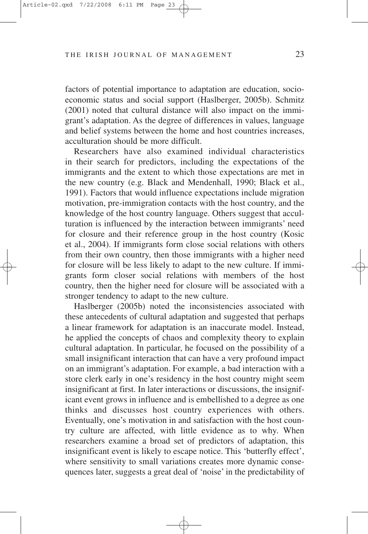factors of potential importance to adaptation are education, socioeconomic status and social support (Haslberger, 2005b). Schmitz (2001) noted that cultural distance will also impact on the immigrant's adaptation. As the degree of differences in values, language and belief systems between the home and host countries increases, acculturation should be more difficult.

Researchers have also examined individual characteristics in their search for predictors, including the expectations of the immigrants and the extent to which those expectations are met in the new country (e.g. Black and Mendenhall, 1990; Black et al., 1991). Factors that would influence expectations include migration motivation, pre-immigration contacts with the host country, and the knowledge of the host country language. Others suggest that acculturation is influenced by the interaction between immigrants' need for closure and their reference group in the host country (Kosic et al., 2004). If immigrants form close social relations with others from their own country, then those immigrants with a higher need for closure will be less likely to adapt to the new culture. If immigrants form closer social relations with members of the host country, then the higher need for closure will be associated with a stronger tendency to adapt to the new culture.

Haslberger (2005b) noted the inconsistencies associated with these antecedents of cultural adaptation and suggested that perhaps a linear framework for adaptation is an inaccurate model. Instead, he applied the concepts of chaos and complexity theory to explain cultural adaptation. In particular, he focused on the possibility of a small insignificant interaction that can have a very profound impact on an immigrant's adaptation. For example, a bad interaction with a store clerk early in one's residency in the host country might seem insignificant at first. In later interactions or discussions, the insignificant event grows in influence and is embellished to a degree as one thinks and discusses host country experiences with others. Eventually, one's motivation in and satisfaction with the host country culture are affected, with little evidence as to why. When researchers examine a broad set of predictors of adaptation, this insignificant event is likely to escape notice. This 'butterfly effect', where sensitivity to small variations creates more dynamic consequences later, suggests a great deal of 'noise' in the predictability of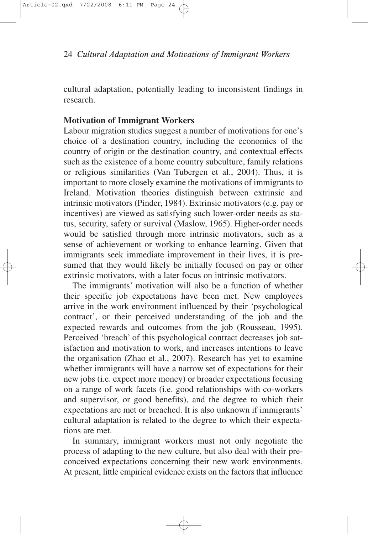cultural adaptation, potentially leading to inconsistent findings in research.

# **Motivation of Immigrant Workers**

Labour migration studies suggest a number of motivations for one's choice of a destination country, including the economics of the country of origin or the destination country, and contextual effects such as the existence of a home country subculture, family relations or religious similarities (Van Tubergen et al., 2004). Thus, it is important to more closely examine the motivations of immigrants to Ireland. Motivation theories distinguish between extrinsic and intrinsic motivators (Pinder, 1984). Extrinsic motivators (e.g. pay or incentives) are viewed as satisfying such lower-order needs as status, security, safety or survival (Maslow, 1965). Higher-order needs would be satisfied through more intrinsic motivators, such as a sense of achievement or working to enhance learning. Given that immigrants seek immediate improvement in their lives, it is presumed that they would likely be initially focused on pay or other extrinsic motivators, with a later focus on intrinsic motivators.

The immigrants' motivation will also be a function of whether their specific job expectations have been met. New employees arrive in the work environment influenced by their 'psychological contract', or their perceived understanding of the job and the expected rewards and outcomes from the job (Rousseau, 1995). Perceived 'breach' of this psychological contract decreases job satisfaction and motivation to work, and increases intentions to leave the organisation (Zhao et al., 2007). Research has yet to examine whether immigrants will have a narrow set of expectations for their new jobs (i.e. expect more money) or broader expectations focusing on a range of work facets (i.e. good relationships with co-workers and supervisor, or good benefits), and the degree to which their expectations are met or breached. It is also unknown if immigrants' cultural adaptation is related to the degree to which their expectations are met.

In summary, immigrant workers must not only negotiate the process of adapting to the new culture, but also deal with their preconceived expectations concerning their new work environments. At present, little empirical evidence exists on the factors that influence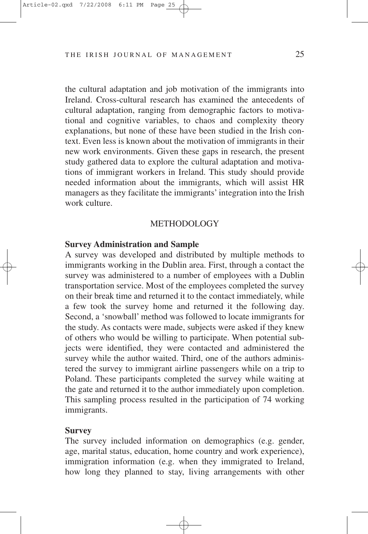the cultural adaptation and job motivation of the immigrants into Ireland. Cross-cultural research has examined the antecedents of cultural adaptation, ranging from demographic factors to motivational and cognitive variables, to chaos and complexity theory explanations, but none of these have been studied in the Irish context. Even less is known about the motivation of immigrants in their new work environments. Given these gaps in research, the present study gathered data to explore the cultural adaptation and motivations of immigrant workers in Ireland. This study should provide needed information about the immigrants, which will assist HR managers as they facilitate the immigrants' integration into the Irish work culture.

#### METHODOLOGY

#### **Survey Administration and Sample**

A survey was developed and distributed by multiple methods to immigrants working in the Dublin area. First, through a contact the survey was administered to a number of employees with a Dublin transportation service. Most of the employees completed the survey on their break time and returned it to the contact immediately, while a few took the survey home and returned it the following day. Second, a 'snowball' method was followed to locate immigrants for the study. As contacts were made, subjects were asked if they knew of others who would be willing to participate. When potential subjects were identified, they were contacted and administered the survey while the author waited. Third, one of the authors administered the survey to immigrant airline passengers while on a trip to Poland. These participants completed the survey while waiting at the gate and returned it to the author immediately upon completion. This sampling process resulted in the participation of 74 working immigrants.

#### **Survey**

The survey included information on demographics (e.g. gender, age, marital status, education, home country and work experience), immigration information (e.g. when they immigrated to Ireland, how long they planned to stay, living arrangements with other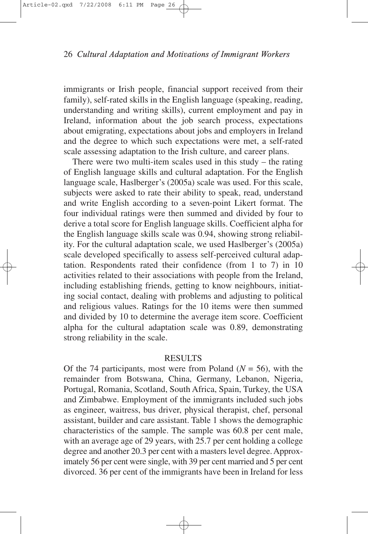immigrants or Irish people, financial support received from their family), self-rated skills in the English language (speaking, reading, understanding and writing skills), current employment and pay in Ireland, information about the job search process, expectations about emigrating, expectations about jobs and employers in Ireland and the degree to which such expectations were met, a self-rated scale assessing adaptation to the Irish culture, and career plans.

There were two multi-item scales used in this study – the rating of English language skills and cultural adaptation. For the English language scale, Haslberger's (2005a) scale was used. For this scale, subjects were asked to rate their ability to speak, read, understand and write English according to a seven-point Likert format. The four individual ratings were then summed and divided by four to derive a total score for English language skills. Coefficient alpha for the English language skills scale was 0.94, showing strong reliability. For the cultural adaptation scale, we used Haslberger's (2005a) scale developed specifically to assess self-perceived cultural adaptation. Respondents rated their confidence (from 1 to 7) in 10 activities related to their associations with people from the Ireland, including establishing friends, getting to know neighbours, initiating social contact, dealing with problems and adjusting to political and religious values. Ratings for the 10 items were then summed and divided by 10 to determine the average item score. Coefficient alpha for the cultural adaptation scale was 0.89, demonstrating strong reliability in the scale.

### **RESULTS**

Of the 74 participants, most were from Poland  $(N = 56)$ , with the remainder from Botswana, China, Germany, Lebanon, Nigeria, Portugal, Romania, Scotland, South Africa, Spain, Turkey, the USA and Zimbabwe. Employment of the immigrants included such jobs as engineer, waitress, bus driver, physical therapist, chef, personal assistant, builder and care assistant. Table 1 shows the demographic characteristics of the sample. The sample was 60.8 per cent male, with an average age of 29 years, with 25.7 per cent holding a college degree and another 20.3 per cent with a masters level degree. Approximately 56 per cent were single, with 39 per cent married and 5 per cent divorced. 36 per cent of the immigrants have been in Ireland for less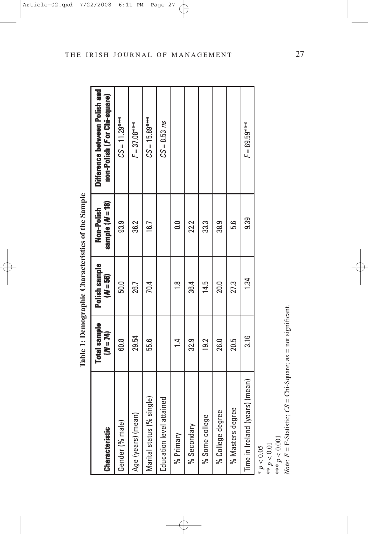| <b>Characteristic</b>          | <b>Total sample</b><br>$(M = 74)$ | Polish sample<br>(N = 56 | sample $(M=18)$<br>Non-Polish | Difference between Polish and<br>non-Polish ( <i>F</i> or Chi-square) |
|--------------------------------|-----------------------------------|--------------------------|-------------------------------|-----------------------------------------------------------------------|
| Gender (% male)                | 60.8                              | 50.0                     | 93.9                          | $CS = 11.29***$                                                       |
| Age (years) (mean)             | 29.54                             | 26.7                     | 36.2                          | $F = 37.08***$                                                        |
| Marital status (% single)      | 55.6                              | 70.4                     | 16.7                          | $CS = 15.89***$                                                       |
| Education level attained       |                                   |                          |                               | $CS = 8.53 \, ns$                                                     |
| % Primary                      | $\ddot{ }$                        | $\frac{8}{1}$            | $\frac{0}{10}$                |                                                                       |
| % Secondary                    | 32.9                              | 36.4                     | 22.2                          |                                                                       |
| % Some college                 | 19.2                              | 14.5                     | ಬ್ಬ                           |                                                                       |
| % College degree               | <b>26.0</b>                       | 20.0                     | 38.9                          |                                                                       |
| % Masters degree               | 20.5                              | 27.3                     | 5.6                           |                                                                       |
| Time in Ireland (years) (mean) | 3.16                              | 1.34                     | 9.39                          | $F = 69.59***$                                                        |

Table 1: Demographic Characteristics of the Sample **Table 1: Demographic Characteristics of the Sample**

\* *p* < 0.05 \*\* *p* < 0.01

\*\*\* *p* < 0.001

*Note*:  $F = F-S$  tatistic;  $CS = Chi-Square$ ;  $ns = not$  significant.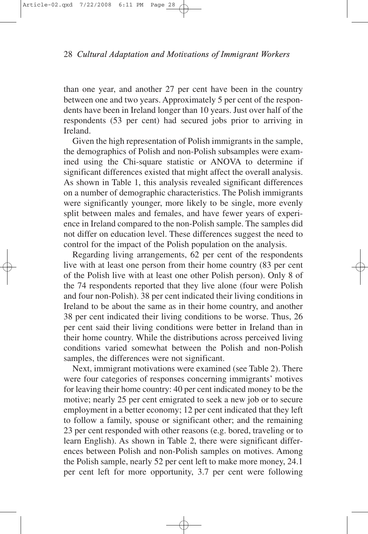than one year, and another 27 per cent have been in the country between one and two years. Approximately 5 per cent of the respondents have been in Ireland longer than 10 years. Just over half of the respondents (53 per cent) had secured jobs prior to arriving in Ireland.

Given the high representation of Polish immigrants in the sample, the demographics of Polish and non-Polish subsamples were examined using the Chi-square statistic or ANOVA to determine if significant differences existed that might affect the overall analysis. As shown in Table 1, this analysis revealed significant differences on a number of demographic characteristics. The Polish immigrants were significantly younger, more likely to be single, more evenly split between males and females, and have fewer years of experience in Ireland compared to the non-Polish sample. The samples did not differ on education level. These differences suggest the need to control for the impact of the Polish population on the analysis.

Regarding living arrangements, 62 per cent of the respondents live with at least one person from their home country (83 per cent of the Polish live with at least one other Polish person). Only 8 of the 74 respondents reported that they live alone (four were Polish and four non-Polish). 38 per cent indicated their living conditions in Ireland to be about the same as in their home country, and another 38 per cent indicated their living conditions to be worse. Thus, 26 per cent said their living conditions were better in Ireland than in their home country. While the distributions across perceived living conditions varied somewhat between the Polish and non-Polish samples, the differences were not significant.

Next, immigrant motivations were examined (see Table 2). There were four categories of responses concerning immigrants' motives for leaving their home country: 40 per cent indicated money to be the motive; nearly 25 per cent emigrated to seek a new job or to secure employment in a better economy; 12 per cent indicated that they left to follow a family, spouse or significant other; and the remaining 23 per cent responded with other reasons (e.g. bored, traveling or to learn English). As shown in Table 2, there were significant differences between Polish and non-Polish samples on motives. Among the Polish sample, nearly 52 per cent left to make more money, 24.1 per cent left for more opportunity, 3.7 per cent were following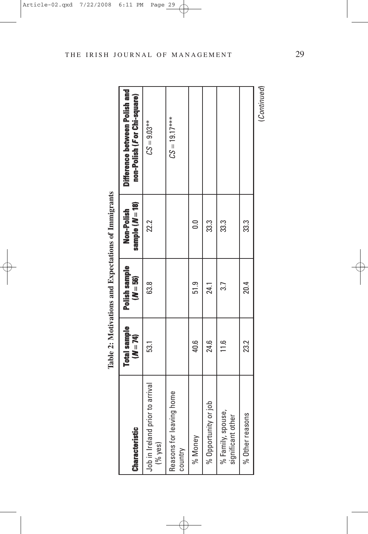Table 2: Motivations and Expectations of Immigrants **Table 2: Motivations and Expectations of Immigrants**

| <b>Characteristic</b>                        | <b>Total sample</b><br>$(M = 74)$ | Polish sample<br>$(M = 56)$ | sample $(M = 18)$<br>Non-Polish | Difference between Polish and<br>non-Polish (For Chi-square) |
|----------------------------------------------|-----------------------------------|-----------------------------|---------------------------------|--------------------------------------------------------------|
| Job in Ireland prior to arrival<br>$(%$ yes) | 53.1                              | 63.8                        | 22.2                            | $CS = 9.03***$                                               |
| ng home<br>Reasons for leavi<br>country      |                                   |                             |                                 | $CS = 19.17***$                                              |
| % Money                                      | 40.6                              | 51.9                        | 0.0                             |                                                              |
| dol Jo<br>% Opportunity                      | 24.6                              | 24.1                        | 33.3                            |                                                              |
| % Family, spouse,<br>significant other       | $\frac{0}{11}$                    | 3.7                         | 33.3                            |                                                              |
| % Other reasons                              | 23.2                              | 20.4                        | 33.3                            |                                                              |
|                                              |                                   |                             |                                 | (Continued)                                                  |

THE IRISH JOURNAL OF MANAGEMENT 29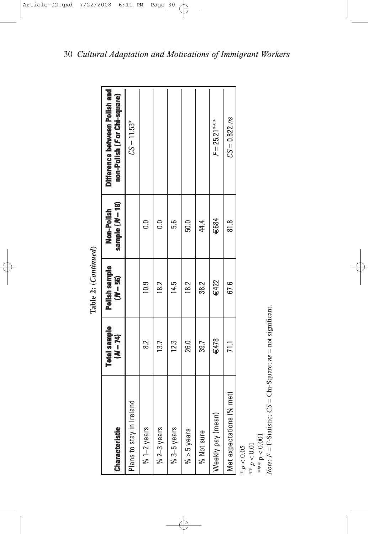| <b>Characteristic</b>    | Total sample<br>$(M=74)$ | Polish sample<br>$(N = 56)$ | sample ( <i>N</i> = 18)<br>Non-Polish | Difference between Polish and<br>non-Polish (For Chi-square) |
|--------------------------|--------------------------|-----------------------------|---------------------------------------|--------------------------------------------------------------|
| Plans to stay in Ireland |                          |                             |                                       | $CS = 11.53*$                                                |
| $% 1-2$ years            | <u>ನ</u>                 | 10.9                        | $\overline{0}$                        |                                                              |
| $% 2-3$ years            | 13.7                     | 18.2                        | $\overline{0}$                        |                                                              |
| $% 3-5 years$            | 12.3                     | 14.5                        | 5.6                                   |                                                              |
| $%$ > 5 years            | 26.0                     | 18.2                        | 50.0                                  |                                                              |
| % Not sure               | 39.7                     | 38.2                        | 44.4                                  |                                                              |
| Ξ<br>Neekly pay (mear    | €478                     | €422                        | $\epsilon$ 684                        | $F = 25.21***$                                               |
| Met expectations (% met) | 71.1                     | 67.6                        | $\frac{8}{8}$                         | $CS = 0.822 \text{ ns}$                                      |
|                          |                          |                             |                                       |                                                              |

Table 2: (Continued) **Table 2: (***Continued***)**

\*  $p < 0.05$ <br>\*\*  $p < 0.01$ 

\*\*\* p < 0.001

*Note*: *F* = F-Statistic; *CS* Chi-Square; *ns* not significant.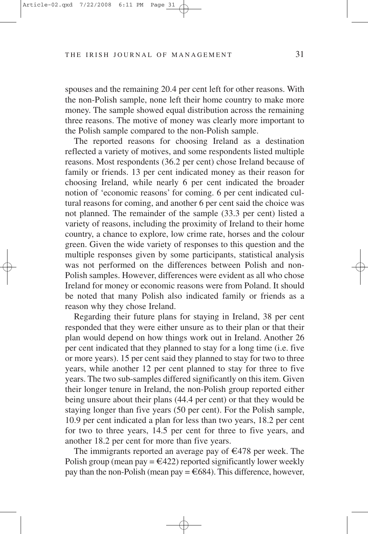spouses and the remaining 20.4 per cent left for other reasons. With the non-Polish sample, none left their home country to make more money. The sample showed equal distribution across the remaining three reasons. The motive of money was clearly more important to the Polish sample compared to the non-Polish sample.

The reported reasons for choosing Ireland as a destination reflected a variety of motives, and some respondents listed multiple reasons. Most respondents (36.2 per cent) chose Ireland because of family or friends. 13 per cent indicated money as their reason for choosing Ireland, while nearly 6 per cent indicated the broader notion of 'economic reasons' for coming. 6 per cent indicated cultural reasons for coming, and another 6 per cent said the choice was not planned. The remainder of the sample (33.3 per cent) listed a variety of reasons, including the proximity of Ireland to their home country, a chance to explore, low crime rate, horses and the colour green. Given the wide variety of responses to this question and the multiple responses given by some participants, statistical analysis was not performed on the differences between Polish and non-Polish samples. However, differences were evident as all who chose Ireland for money or economic reasons were from Poland. It should be noted that many Polish also indicated family or friends as a reason why they chose Ireland.

Regarding their future plans for staying in Ireland, 38 per cent responded that they were either unsure as to their plan or that their plan would depend on how things work out in Ireland. Another 26 per cent indicated that they planned to stay for a long time (i.e. five or more years). 15 per cent said they planned to stay for two to three years, while another 12 per cent planned to stay for three to five years. The two sub-samples differed significantly on this item. Given their longer tenure in Ireland, the non-Polish group reported either being unsure about their plans (44.4 per cent) or that they would be staying longer than five years (50 per cent). For the Polish sample, 10.9 per cent indicated a plan for less than two years, 18.2 per cent for two to three years, 14.5 per cent for three to five years, and another 18.2 per cent for more than five years.

The immigrants reported an average pay of  $\epsilon$ 478 per week. The Polish group (mean pay  $= \epsilon 422$ ) reported significantly lower weekly pay than the non-Polish (mean pay  $= \epsilon 684$ ). This difference, however,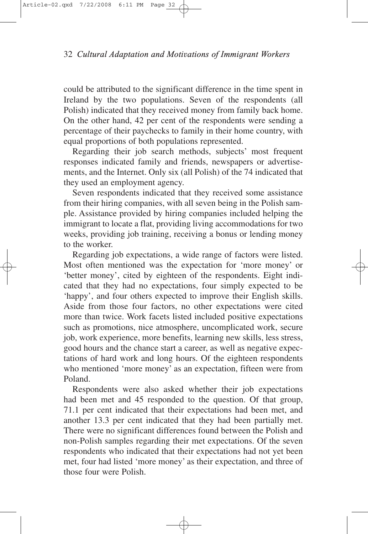could be attributed to the significant difference in the time spent in Ireland by the two populations. Seven of the respondents (all Polish) indicated that they received money from family back home. On the other hand, 42 per cent of the respondents were sending a percentage of their paychecks to family in their home country, with equal proportions of both populations represented.

Regarding their job search methods, subjects' most frequent responses indicated family and friends, newspapers or advertisements, and the Internet. Only six (all Polish) of the 74 indicated that they used an employment agency.

Seven respondents indicated that they received some assistance from their hiring companies, with all seven being in the Polish sample. Assistance provided by hiring companies included helping the immigrant to locate a flat, providing living accommodations for two weeks, providing job training, receiving a bonus or lending money to the worker.

Regarding job expectations, a wide range of factors were listed. Most often mentioned was the expectation for 'more money' or 'better money', cited by eighteen of the respondents. Eight indicated that they had no expectations, four simply expected to be 'happy', and four others expected to improve their English skills. Aside from those four factors, no other expectations were cited more than twice. Work facets listed included positive expectations such as promotions, nice atmosphere, uncomplicated work, secure job, work experience, more benefits, learning new skills, less stress, good hours and the chance start a career, as well as negative expectations of hard work and long hours. Of the eighteen respondents who mentioned 'more money' as an expectation, fifteen were from Poland.

Respondents were also asked whether their job expectations had been met and 45 responded to the question. Of that group, 71.1 per cent indicated that their expectations had been met, and another 13.3 per cent indicated that they had been partially met. There were no significant differences found between the Polish and non-Polish samples regarding their met expectations. Of the seven respondents who indicated that their expectations had not yet been met, four had listed 'more money' as their expectation, and three of those four were Polish.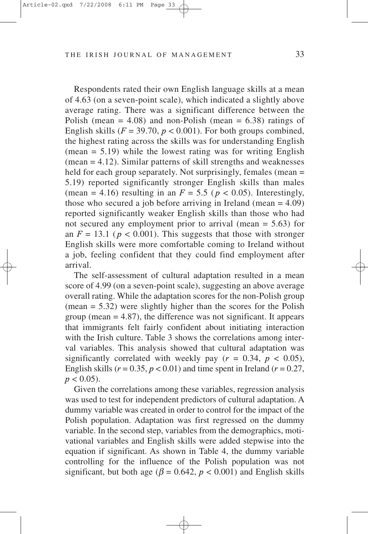Respondents rated their own English language skills at a mean of 4.63 (on a seven-point scale), which indicated a slightly above average rating. There was a significant difference between the Polish (mean  $= 4.08$ ) and non-Polish (mean  $= 6.38$ ) ratings of English skills  $(F = 39.70, p < 0.001)$ . For both groups combined, the highest rating across the skills was for understanding English  $(mean = 5.19)$  while the lowest rating was for writing English (mean = 4.12). Similar patterns of skill strengths and weaknesses held for each group separately. Not surprisingly, females (mean = 5.19) reported significantly stronger English skills than males (mean = 4.16) resulting in an  $F = 5.5$  ( $p < 0.05$ ). Interestingly, those who secured a job before arriving in Ireland (mean  $= 4.09$ ) reported significantly weaker English skills than those who had not secured any employment prior to arrival (mean = 5.63) for an  $F = 13.1$  ( $p < 0.001$ ). This suggests that those with stronger English skills were more comfortable coming to Ireland without a job, feeling confident that they could find employment after arrival.

The self-assessment of cultural adaptation resulted in a mean score of 4.99 (on a seven-point scale), suggesting an above average overall rating. While the adaptation scores for the non-Polish group  $(mean = 5.32)$  were slightly higher than the scores for the Polish group (mean  $= 4.87$ ), the difference was not significant. It appears that immigrants felt fairly confident about initiating interaction with the Irish culture. Table 3 shows the correlations among interval variables. This analysis showed that cultural adaptation was significantly correlated with weekly pay  $(r = 0.34, p < 0.05)$ , English skills ( $r = 0.35$ ,  $p < 0.01$ ) and time spent in Ireland ( $r = 0.27$ ,  $p < 0.05$ ).

Given the correlations among these variables, regression analysis was used to test for independent predictors of cultural adaptation. A dummy variable was created in order to control for the impact of the Polish population. Adaptation was first regressed on the dummy variable. In the second step, variables from the demographics, motivational variables and English skills were added stepwise into the equation if significant. As shown in Table 4, the dummy variable controlling for the influence of the Polish population was not significant, but both age ( $\beta$  = 0.642,  $p$  < 0.001) and English skills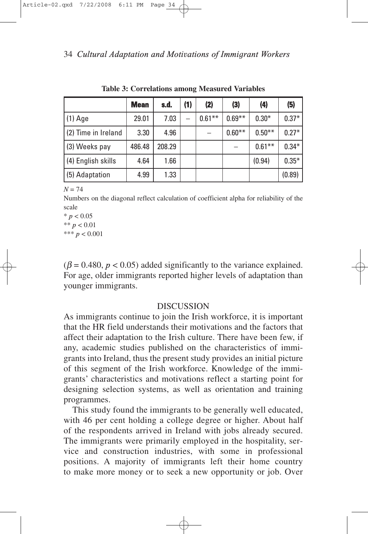|                     | <b>Mean</b> | s.d.   | (1) | (2)       | (3)      | (4)       | (5)     |
|---------------------|-------------|--------|-----|-----------|----------|-----------|---------|
| $(1)$ Age           | 29.01       | 7.03   |     | $0.61***$ | $0.69**$ | $0.30*$   | $0.37*$ |
| (2) Time in Ireland | 3.30        | 4.96   |     |           | $0.60**$ | $0.50**$  | $0.27*$ |
| (3) Weeks pay       | 486.48      | 208.29 |     |           |          | $0.61***$ | $0.34*$ |
| (4) English skills  | 4.64        | 1.66   |     |           |          | (0.94)    | $0.35*$ |
| (5) Adaptation      | 4.99        | 1.33   |     |           |          |           | (0.89)  |

**Table 3: Correlations among Measured Variables**

 $N = 74$ 

Numbers on the diagonal reflect calculation of coefficient alpha for reliability of the scale

 $* p < 0.05$ \*\* *p* < 0.01 \*\*\* *p* < 0.001

 $(\beta = 0.480, p < 0.05)$  added significantly to the variance explained. For age, older immigrants reported higher levels of adaptation than younger immigrants.

#### **DISCUSSION**

As immigrants continue to join the Irish workforce, it is important that the HR field understands their motivations and the factors that affect their adaptation to the Irish culture. There have been few, if any, academic studies published on the characteristics of immigrants into Ireland, thus the present study provides an initial picture of this segment of the Irish workforce. Knowledge of the immigrants' characteristics and motivations reflect a starting point for designing selection systems, as well as orientation and training programmes.

This study found the immigrants to be generally well educated, with 46 per cent holding a college degree or higher. About half of the respondents arrived in Ireland with jobs already secured. The immigrants were primarily employed in the hospitality, service and construction industries, with some in professional positions. A majority of immigrants left their home country to make more money or to seek a new opportunity or job. Over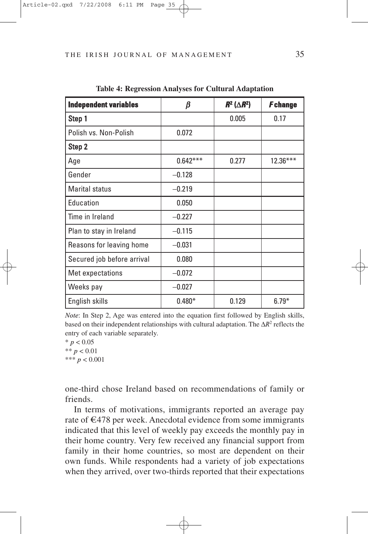| <b>Independent variables</b> | β          | $R^2$ ( $\triangle R^2$ ) | <b>F</b> change |
|------------------------------|------------|---------------------------|-----------------|
| Step 1                       |            | 0.005                     | 0.17            |
| Polish vs. Non-Polish        | 0.072      |                           |                 |
| Step 2                       |            |                           |                 |
| Age                          | $0.642***$ | 0.277                     | $12.36***$      |
| Gender                       | $-0.128$   |                           |                 |
| <b>Marital status</b>        | $-0.219$   |                           |                 |
| Education                    | 0.050      |                           |                 |
| Time in Ireland              | $-0.227$   |                           |                 |
| Plan to stay in Ireland      | $-0.115$   |                           |                 |
| Reasons for leaving home     | $-0.031$   |                           |                 |
| Secured job before arrival   | 0.080      |                           |                 |
| Met expectations             | $-0.072$   |                           |                 |
| Weeks pay                    | $-0.027$   |                           |                 |
| English skills               | $0.480*$   | 0.129                     | $6.79*$         |

**Table 4: Regression Analyses for Cultural Adaptation**

*Note*: In Step 2, Age was entered into the equation first followed by English skills, based on their independent relationships with cultural adaptation. The  $\Delta R^2$  reflects the entry of each variable separately.

 $*$  *p* < 0.05 \*\* *p* < 0.01 \*\*\* *p* < 0.001

one-third chose Ireland based on recommendations of family or friends.

In terms of motivations, immigrants reported an average pay rate of  $\epsilon$ 478 per week. Anecdotal evidence from some immigrants indicated that this level of weekly pay exceeds the monthly pay in their home country. Very few received any financial support from family in their home countries, so most are dependent on their own funds. While respondents had a variety of job expectations when they arrived, over two-thirds reported that their expectations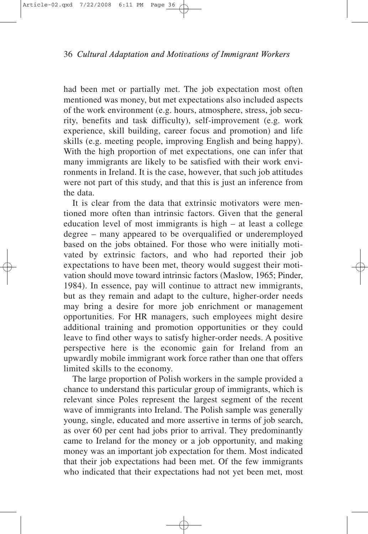had been met or partially met. The job expectation most often mentioned was money, but met expectations also included aspects of the work environment (e.g. hours, atmosphere, stress, job security, benefits and task difficulty), self-improvement (e.g. work experience, skill building, career focus and promotion) and life skills (e.g. meeting people, improving English and being happy). With the high proportion of met expectations, one can infer that many immigrants are likely to be satisfied with their work environments in Ireland. It is the case, however, that such job attitudes were not part of this study, and that this is just an inference from the data.

It is clear from the data that extrinsic motivators were mentioned more often than intrinsic factors. Given that the general education level of most immigrants is high – at least a college degree – many appeared to be overqualified or underemployed based on the jobs obtained. For those who were initially motivated by extrinsic factors, and who had reported their job expectations to have been met, theory would suggest their motivation should move toward intrinsic factors (Maslow, 1965; Pinder, 1984). In essence, pay will continue to attract new immigrants, but as they remain and adapt to the culture, higher-order needs may bring a desire for more job enrichment or management opportunities. For HR managers, such employees might desire additional training and promotion opportunities or they could leave to find other ways to satisfy higher-order needs. A positive perspective here is the economic gain for Ireland from an upwardly mobile immigrant work force rather than one that offers limited skills to the economy.

The large proportion of Polish workers in the sample provided a chance to understand this particular group of immigrants, which is relevant since Poles represent the largest segment of the recent wave of immigrants into Ireland. The Polish sample was generally young, single, educated and more assertive in terms of job search, as over 60 per cent had jobs prior to arrival. They predominantly came to Ireland for the money or a job opportunity, and making money was an important job expectation for them. Most indicated that their job expectations had been met. Of the few immigrants who indicated that their expectations had not yet been met, most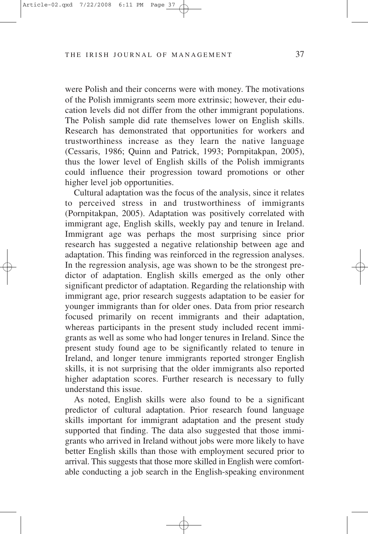were Polish and their concerns were with money. The motivations of the Polish immigrants seem more extrinsic; however, their education levels did not differ from the other immigrant populations. The Polish sample did rate themselves lower on English skills. Research has demonstrated that opportunities for workers and trustworthiness increase as they learn the native language (Cessaris, 1986; Quinn and Patrick, 1993; Pornpitakpan, 2005), thus the lower level of English skills of the Polish immigrants could influence their progression toward promotions or other higher level job opportunities.

Cultural adaptation was the focus of the analysis, since it relates to perceived stress in and trustworthiness of immigrants (Pornpitakpan, 2005). Adaptation was positively correlated with immigrant age, English skills, weekly pay and tenure in Ireland. Immigrant age was perhaps the most surprising since prior research has suggested a negative relationship between age and adaptation. This finding was reinforced in the regression analyses. In the regression analysis, age was shown to be the strongest predictor of adaptation. English skills emerged as the only other significant predictor of adaptation. Regarding the relationship with immigrant age, prior research suggests adaptation to be easier for younger immigrants than for older ones. Data from prior research focused primarily on recent immigrants and their adaptation, whereas participants in the present study included recent immigrants as well as some who had longer tenures in Ireland. Since the present study found age to be significantly related to tenure in Ireland, and longer tenure immigrants reported stronger English skills, it is not surprising that the older immigrants also reported higher adaptation scores. Further research is necessary to fully understand this issue.

As noted, English skills were also found to be a significant predictor of cultural adaptation. Prior research found language skills important for immigrant adaptation and the present study supported that finding. The data also suggested that those immigrants who arrived in Ireland without jobs were more likely to have better English skills than those with employment secured prior to arrival. This suggests that those more skilled in English were comfortable conducting a job search in the English-speaking environment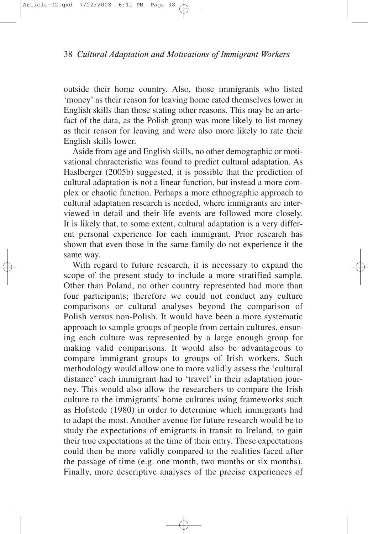outside their home country. Also, those immigrants who listed 'money' as their reason for leaving home rated themselves lower in English skills than those stating other reasons. This may be an artefact of the data, as the Polish group was more likely to list money as their reason for leaving and were also more likely to rate their English skills lower.

Aside from age and English skills, no other demographic or motivational characteristic was found to predict cultural adaptation. As Haslberger (2005b) suggested, it is possible that the prediction of cultural adaptation is not a linear function, but instead a more complex or chaotic function. Perhaps a more ethnographic approach to cultural adaptation research is needed, where immigrants are interviewed in detail and their life events are followed more closely. It is likely that, to some extent, cultural adaptation is a very different personal experience for each immigrant. Prior research has shown that even those in the same family do not experience it the same way.

With regard to future research, it is necessary to expand the scope of the present study to include a more stratified sample. Other than Poland, no other country represented had more than four participants; therefore we could not conduct any culture comparisons or cultural analyses beyond the comparison of Polish versus non-Polish. It would have been a more systematic approach to sample groups of people from certain cultures, ensuring each culture was represented by a large enough group for making valid comparisons. It would also be advantageous to compare immigrant groups to groups of Irish workers. Such methodology would allow one to more validly assess the 'cultural distance' each immigrant had to 'travel' in their adaptation journey. This would also allow the researchers to compare the Irish culture to the immigrants' home cultures using frameworks such as Hofstede (1980) in order to determine which immigrants had to adapt the most. Another avenue for future research would be to study the expectations of emigrants in transit to Ireland, to gain their true expectations at the time of their entry. These expectations could then be more validly compared to the realities faced after the passage of time (e.g. one month, two months or six months). Finally, more descriptive analyses of the precise experiences of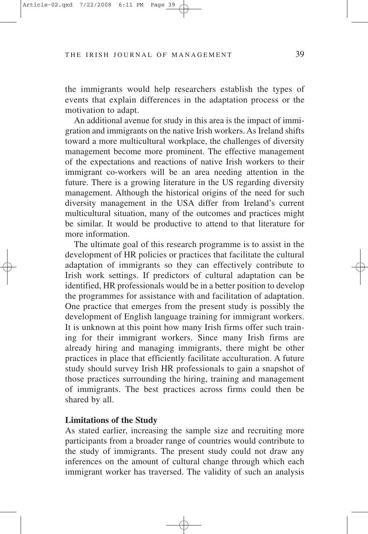the immigrants would help researchers establish the types of events that explain differences in the adaptation process or the motivation to adapt.

An additional avenue for study in this area is the impact of immigration and immigrants on the native Irish workers. As Ireland shifts toward a more multicultural workplace, the challenges of diversity management become more prominent. The effective management of the expectations and reactions of native Irish workers to their immigrant co-workers will be an area needing attention in the future. There is a growing literature in the US regarding diversity management. Although the historical origins of the need for such diversity management in the USA differ from Ireland's current multicultural situation, many of the outcomes and practices might be similar. It would be productive to attend to that literature for more information.

The ultimate goal of this research programme is to assist in the development of HR policies or practices that facilitate the cultural adaptation of immigrants so they can effectively contribute to Irish work settings. If predictors of cultural adaptation can be identified, HR professionals would be in a better position to develop the programmes for assistance with and facilitation of adaptation. One practice that emerges from the present study is possibly the development of English language training for immigrant workers. It is unknown at this point how many Irish firms offer such training for their immigrant workers. Since many Irish firms are already hiring and managing immigrants, there might be other practices in place that efficiently facilitate acculturation. A future study should survey Irish HR professionals to gain a snapshot of those practices surrounding the hiring, training and management of immigrants. The best practices across firms could then be shared by all.

#### **Limitations of the Study**

As stated earlier, increasing the sample size and recruiting more participants from a broader range of countries would contribute to the study of immigrants. The present study could not draw any inferences on the amount of cultural change through which each immigrant worker has traversed. The validity of such an analysis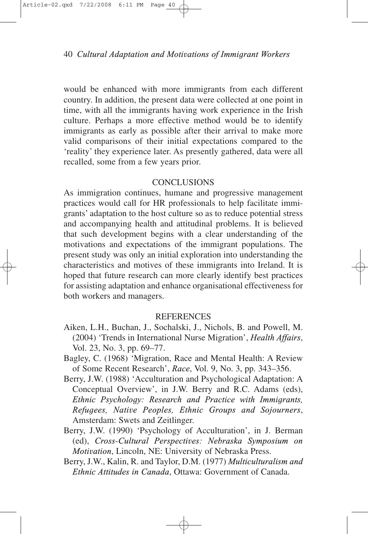would be enhanced with more immigrants from each different country. In addition, the present data were collected at one point in time, with all the immigrants having work experience in the Irish culture. Perhaps a more effective method would be to identify immigrants as early as possible after their arrival to make more valid comparisons of their initial expectations compared to the 'reality' they experience later. As presently gathered, data were all recalled, some from a few years prior.

## **CONCLUSIONS**

As immigration continues, humane and progressive management practices would call for HR professionals to help facilitate immigrants' adaptation to the host culture so as to reduce potential stress and accompanying health and attitudinal problems. It is believed that such development begins with a clear understanding of the motivations and expectations of the immigrant populations. The present study was only an initial exploration into understanding the characteristics and motives of these immigrants into Ireland. It is hoped that future research can more clearly identify best practices for assisting adaptation and enhance organisational effectiveness for both workers and managers.

#### **REFERENCES**

- Aiken, L.H., Buchan, J., Sochalski, J., Nichols, B. and Powell, M. (2004) 'Trends in International Nurse Migration', *Health Affairs*, Vol. 23, No. 3, pp. 69–77.
- Bagley, C. (1968) 'Migration, Race and Mental Health: A Review of Some Recent Research', *Race*, Vol. 9, No. 3, pp. 343–356.
- Berry, J.W. (1988) 'Acculturation and Psychological Adaptation: A Conceptual Overview', in J.W. Berry and R.C. Adams (eds), *Ethnic Psychology: Research and Practice with Immigrants, Refugees, Native Peoples, Ethnic Groups and Sojourners*, Amsterdam: Swets and Zeitlinger.
- Berry, J.W. (1990) 'Psychology of Acculturation', in J. Berman (ed), *Cross-Cultural Perspectives: Nebraska Symposium on Motivation*, Lincoln, NE: University of Nebraska Press.
- Berry, J.W., Kalin, R. and Taylor, D.M. (1977) *Multiculturalism and Ethnic Attitudes in Canada*, Ottawa: Government of Canada.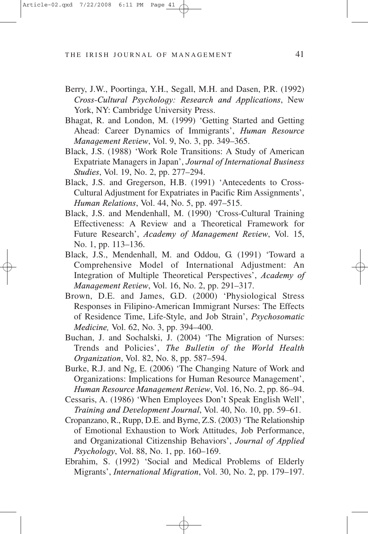- Berry, J.W., Poortinga, Y.H., Segall, M.H. and Dasen, P.R. (1992) *Cross-Cultural Psychology: Research and Applications*, New York, NY: Cambridge University Press.
- Bhagat, R. and London, M. (1999) 'Getting Started and Getting Ahead: Career Dynamics of Immigrants', *Human Resource Management Review*, Vol. 9, No. 3, pp. 349–365.
- Black, J.S. (1988) 'Work Role Transitions: A Study of American Expatriate Managers in Japan', *Journal of International Business Studies*, Vol. 19, No. 2, pp. 277–294.
- Black, J.S. and Gregerson, H.B. (1991) 'Antecedents to Cross-Cultural Adjustment for Expatriates in Pacific Rim Assignments', *Human Relations*, Vol. 44, No. 5, pp. 497–515.
- Black, J.S. and Mendenhall, M. (1990) 'Cross-Cultural Training Effectiveness: A Review and a Theoretical Framework for Future Research', *Academy of Management Review*, Vol. 15, No. 1, pp. 113–136.
- Black, J.S., Mendenhall, M. and Oddou, G. (1991) 'Toward a Comprehensive Model of International Adjustment: An Integration of Multiple Theoretical Perspectives', *Academy of Management Review*, Vol. 16, No. 2, pp. 291–317.
- Brown, D.E. and James, G.D. (2000) 'Physiological Stress Responses in Filipino-American Immigrant Nurses: The Effects of Residence Time, Life-Style, and Job Strain', *Psychosomatic Medicine,* Vol. 62, No. 3, pp. 394–400.
- Buchan, J. and Sochalski, J. (2004) 'The Migration of Nurses: Trends and Policies', *The Bulletin of the World Health Organization*, Vol. 82, No. 8, pp. 587–594.
- Burke, R.J. and Ng, E. (2006) 'The Changing Nature of Work and Organizations: Implications for Human Resource Management', *Human Resource Management Review*, Vol. 16, No. 2, pp. 86–94.
- Cessaris, A. (1986) 'When Employees Don't Speak English Well', *Training and Development Journal*, Vol. 40, No. 10, pp. 59–61.
- Cropanzano, R., Rupp, D.E. and Byrne, Z.S. (2003) 'The Relationship of Emotional Exhaustion to Work Attitudes, Job Performance, and Organizational Citizenship Behaviors', *Journal of Applied Psychology*, Vol. 88, No. 1, pp. 160–169.
- Ebrahim, S. (1992) 'Social and Medical Problems of Elderly Migrants', *International Migration*, Vol. 30, No. 2, pp. 179–197.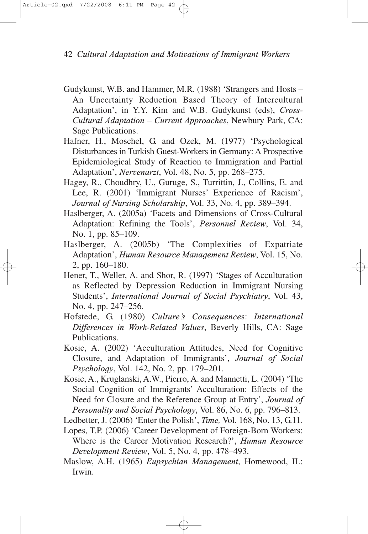- Gudykunst, W.B. and Hammer, M.R. (1988) 'Strangers and Hosts An Uncertainty Reduction Based Theory of Intercultural Adaptation', in Y.Y. Kim and W.B. Gudykunst (eds), *Cross-Cultural Adaptation – Current Approaches*, Newbury Park, CA: Sage Publications.
- Hafner, H., Moschel, G. and Ozek, M. (1977) 'Psychological Disturbances in Turkish Guest-Workers in Germany: A Prospective Epidemiological Study of Reaction to Immigration and Partial Adaptation', *Nervenarzt*, Vol. 48, No. 5, pp. 268–275.
- Hagey, R., Choudhry, U., Guruge, S., Turrittin, J., Collins, E. and Lee, R. (2001) 'Immigrant Nurses' Experience of Racism', *Journal of Nursing Scholarship*, Vol. 33, No. 4, pp. 389–394.
- Haslberger, A. (2005a) 'Facets and Dimensions of Cross-Cultural Adaptation: Refining the Tools', *Personnel Review*, Vol. 34, No. 1, pp. 85–109.
- Haslberger, A. (2005b) 'The Complexities of Expatriate Adaptation', *Human Resource Management Review*, Vol. 15, No. 2, pp. 160–180.
- Hener, T., Weller, A. and Shor, R. (1997) 'Stages of Acculturation as Reflected by Depression Reduction in Immigrant Nursing Students', *International Journal of Social Psychiatry*, Vol. 43, No. 4, pp. 247–256.
- Hofstede, G. (1980) *Culture's Consequence*s: *International Differences in Work-Related Values*, Beverly Hills, CA: Sage Publications.
- Kosic, A. (2002) 'Acculturation Attitudes, Need for Cognitive Closure, and Adaptation of Immigrants', *Journal of Social Psychology*, Vol. 142, No. 2, pp. 179–201.
- Kosic, A., Kruglanski, A.W., Pierro, A. and Mannetti, L. (2004) 'The Social Cognition of Immigrants' Acculturation: Effects of the Need for Closure and the Reference Group at Entry', *Journal of Personality and Social Psychology*, Vol. 86, No. 6, pp. 796–813.

Ledbetter, J. (2006) 'Enter the Polish', *Time,* Vol. 168, No. 13, G.11.

- Lopes, T.P. (2006) 'Career Development of Foreign-Born Workers: Where is the Career Motivation Research?', *Human Resource Development Review*, Vol. 5, No. 4, pp. 478–493.
- Maslow, A.H. (1965) *Eupsychian Management*, Homewood, IL: Irwin.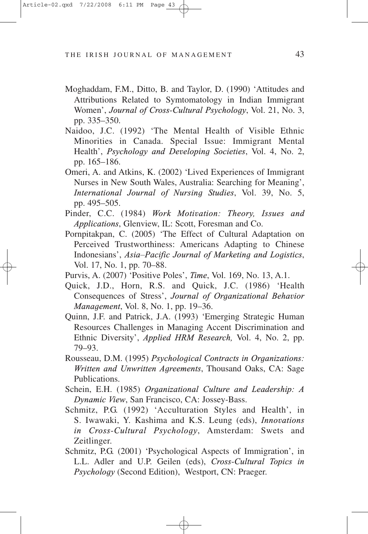- Moghaddam, F.M., Ditto, B. and Taylor, D. (1990) 'Attitudes and Attributions Related to Symtomatology in Indian Immigrant Women', *Journal of Cross-Cultural Psychology*, Vol. 21, No. 3, pp. 335–350.
- Naidoo, J.C. (1992) 'The Mental Health of Visible Ethnic Minorities in Canada. Special Issue: Immigrant Mental Health', *Psychology and Developing Societies*, Vol. 4, No. 2, pp. 165–186.
- Omeri, A. and Atkins, K. (2002) 'Lived Experiences of Immigrant Nurses in New South Wales, Australia: Searching for Meaning', *International Journal of Nursing Studies*, Vol. 39, No. 5, pp. 495–505.
- Pinder, C.C. (1984) *Work Motivation: Theory, Issues and Applications*, Glenview, IL: Scott, Foresman and Co.
- Pornpitakpan, C. (2005) 'The Effect of Cultural Adaptation on Perceived Trustworthiness: Americans Adapting to Chinese Indonesians', *Asia–Pacific Journal of Marketing and Logistics*, Vol. 17, No. 1, pp. 70–88.
- Purvis, A. (2007) 'Positive Poles', *Time*, Vol. 169, No. 13, A.1.
- Quick, J.D., Horn, R.S. and Quick, J.C. (1986) 'Health Consequences of Stress', *Journal of Organizational Behavior Management*, Vol. 8, No. 1, pp. 19–36.
- Quinn, J.F. and Patrick, J.A. (1993) 'Emerging Strategic Human Resources Challenges in Managing Accent Discrimination and Ethnic Diversity', *Applied HRM Research,* Vol. 4, No. 2, pp. 79–93.
- Rousseau, D.M. (1995) *Psychological Contracts in Organizations: Written and Unwritten Agreements*, Thousand Oaks, CA: Sage Publications.
- Schein, E.H. (1985) *Organizational Culture and Leadership: A Dynamic View*, San Francisco, CA: Jossey-Bass.
- Schmitz, P.G. (1992) 'Acculturation Styles and Health', in S. Iwawaki, Y. Kashima and K.S. Leung (eds), *Innovations in Cross-Cultural Psychology*, Amsterdam: Swets and Zeitlinger.
- Schmitz, P.G. (2001) 'Psychological Aspects of Immigration', in L.L. Adler and U.P. Geilen (eds), *Cross-Cultural Topics in Psychology* (Second Edition), Westport, CN: Praeger.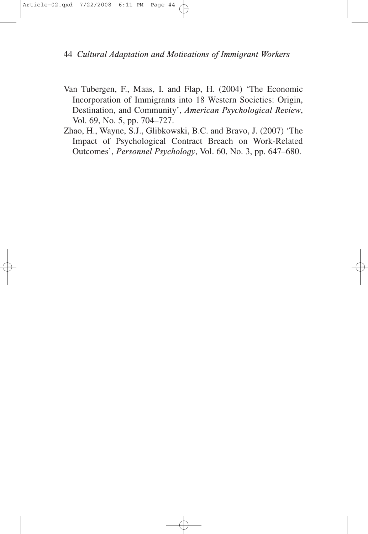- Van Tubergen, F., Maas, I. and Flap, H. (2004) 'The Economic Incorporation of Immigrants into 18 Western Societies: Origin, Destination, and Community', *American Psychological Review*, Vol. 69, No. 5, pp. 704–727.
- Zhao, H., Wayne, S.J., Glibkowski, B.C. and Bravo, J. (2007) 'The Impact of Psychological Contract Breach on Work-Related Outcomes', *Personnel Psychology*, Vol. 60, No. 3, pp. 647–680.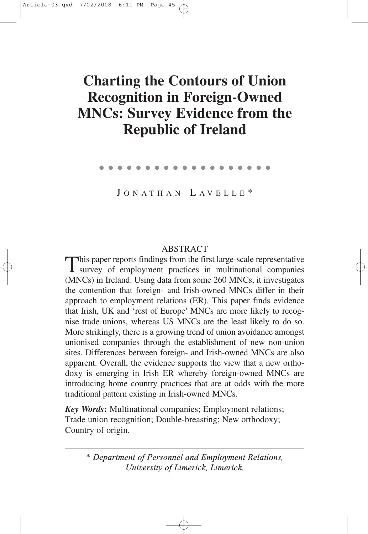# **Charting the Contours of Union Recognition in Foreign-Owned MNCs: Survey Evidence from the Republic of Ireland**

●●●●●●●●●●●●●●●●●●●

J ONATHAN L AV E L L E \*

# ABSTRACT

This paper reports findings from the first large-scale representative survey of employment practices in multinational companies (MNCs) in Ireland. Using data from some 260 MNCs, it investigates the contention that foreign- and Irish-owned MNCs differ in their approach to employment relations (ER). This paper finds evidence that Irish, UK and 'rest of Europe' MNCs are more likely to recognise trade unions, whereas US MNCs are the least likely to do so. More strikingly, there is a growing trend of union avoidance amongst unionised companies through the establishment of new non-union sites. Differences between foreign- and Irish-owned MNCs are also apparent. Overall, the evidence supports the view that a new orthodoxy is emerging in Irish ER whereby foreign-owned MNCs are introducing home country practices that are at odds with the more traditional pattern existing in Irish-owned MNCs.

*Key Words***:** Multinational companies; Employment relations; Trade union recognition; Double-breasting; New orthodoxy; Country of origin.

*\* Department of Personnel and Employment Relations, University of Limerick, Limerick.*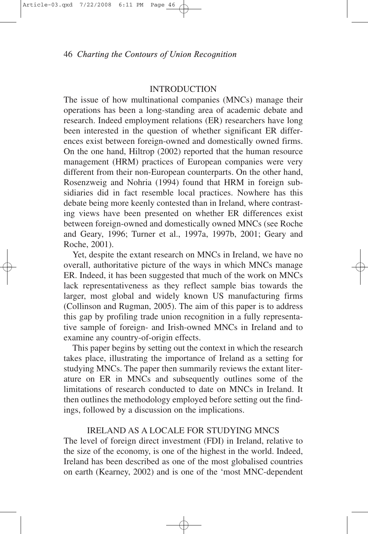#### **INTRODUCTION**

The issue of how multinational companies (MNCs) manage their operations has been a long-standing area of academic debate and research. Indeed employment relations (ER) researchers have long been interested in the question of whether significant ER differences exist between foreign-owned and domestically owned firms. On the one hand, Hiltrop (2002) reported that the human resource management (HRM) practices of European companies were very different from their non-European counterparts. On the other hand, Rosenzweig and Nohria (1994) found that HRM in foreign subsidiaries did in fact resemble local practices. Nowhere has this debate being more keenly contested than in Ireland, where contrasting views have been presented on whether ER differences exist between foreign-owned and domestically owned MNCs (see Roche and Geary, 1996; Turner et al., 1997a, 1997b, 2001; Geary and Roche, 2001).

Yet, despite the extant research on MNCs in Ireland, we have no overall, authoritative picture of the ways in which MNCs manage ER. Indeed, it has been suggested that much of the work on MNCs lack representativeness as they reflect sample bias towards the larger, most global and widely known US manufacturing firms (Collinson and Rugman, 2005). The aim of this paper is to address this gap by profiling trade union recognition in a fully representative sample of foreign- and Irish-owned MNCs in Ireland and to examine any country-of-origin effects.

This paper begins by setting out the context in which the research takes place, illustrating the importance of Ireland as a setting for studying MNCs. The paper then summarily reviews the extant literature on ER in MNCs and subsequently outlines some of the limitations of research conducted to date on MNCs in Ireland. It then outlines the methodology employed before setting out the findings, followed by a discussion on the implications.

## IRELAND AS A LOCALE FOR STUDYING MNCS

The level of foreign direct investment (FDI) in Ireland, relative to the size of the economy, is one of the highest in the world. Indeed, Ireland has been described as one of the most globalised countries on earth (Kearney, 2002) and is one of the 'most MNC-dependent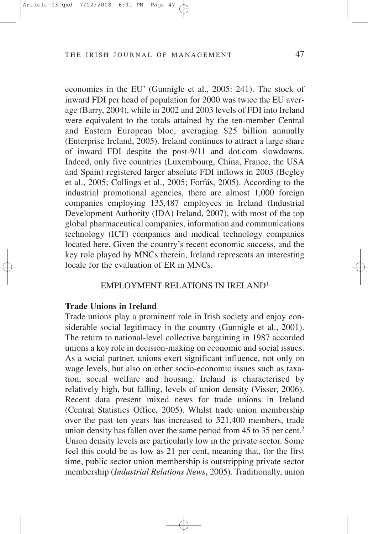economies in the EU' (Gunnigle et al., 2005: 241). The stock of inward FDI per head of population for 2000 was twice the EU average (Barry, 2004), while in 2002 and 2003 levels of FDI into Ireland were equivalent to the totals attained by the ten-member Central and Eastern European bloc, averaging \$25 billion annually (Enterprise Ireland, 2005). Ireland continues to attract a large share of inward FDI despite the post-9/11 and dot.com slowdowns. Indeed, only five countries (Luxembourg, China, France, the USA and Spain) registered larger absolute FDI inflows in 2003 (Begley et al., 2005; Collings et al., 2005; Forfás, 2005). According to the industrial promotional agencies, there are almost 1,000 foreign companies employing 135,487 employees in Ireland (Industrial Development Authority (IDA) Ireland, 2007), with most of the top global pharmaceutical companies, information and communications technology (ICT) companies and medical technology companies located here. Given the country's recent economic success, and the key role played by MNCs therein, Ireland represents an interesting locale for the evaluation of ER in MNCs.

#### EMPLOYMENT RELATIONS IN IRELAND1

#### **Trade Unions in Ireland**

Trade unions play a prominent role in Irish society and enjoy considerable social legitimacy in the country (Gunnigle et al., 2001). The return to national-level collective bargaining in 1987 accorded unions a key role in decision-making on economic and social issues. As a social partner, unions exert significant influence, not only on wage levels, but also on other socio-economic issues such as taxation, social welfare and housing. Ireland is characterised by relatively high, but falling, levels of union density (Visser, 2006). Recent data present mixed news for trade unions in Ireland (Central Statistics Office, 2005). Whilst trade union membership over the past ten years has increased to 521,400 members, trade union density has fallen over the same period from 45 to 35 per cent.<sup>2</sup> Union density levels are particularly low in the private sector. Some feel this could be as low as 21 per cent, meaning that, for the first time, public sector union membership is outstripping private sector membership (*Industrial Relations News*, 2005). Traditionally, union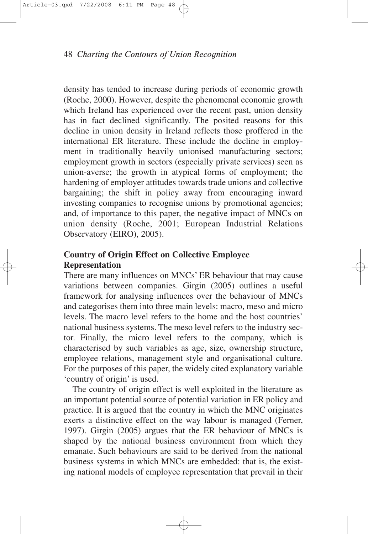density has tended to increase during periods of economic growth (Roche, 2000). However, despite the phenomenal economic growth which Ireland has experienced over the recent past, union density has in fact declined significantly. The posited reasons for this decline in union density in Ireland reflects those proffered in the international ER literature. These include the decline in employment in traditionally heavily unionised manufacturing sectors; employment growth in sectors (especially private services) seen as union-averse; the growth in atypical forms of employment; the hardening of employer attitudes towards trade unions and collective bargaining; the shift in policy away from encouraging inward investing companies to recognise unions by promotional agencies; and, of importance to this paper, the negative impact of MNCs on union density (Roche, 2001; European Industrial Relations Observatory (EIRO), 2005).

# **Country of Origin Effect on Collective Employee Representation**

There are many influences on MNCs' ER behaviour that may cause variations between companies. Girgin (2005) outlines a useful framework for analysing influences over the behaviour of MNCs and categorises them into three main levels: macro, meso and micro levels. The macro level refers to the home and the host countries' national business systems. The meso level refers to the industry sector. Finally, the micro level refers to the company, which is characterised by such variables as age, size, ownership structure, employee relations, management style and organisational culture. For the purposes of this paper, the widely cited explanatory variable 'country of origin' is used.

The country of origin effect is well exploited in the literature as an important potential source of potential variation in ER policy and practice. It is argued that the country in which the MNC originates exerts a distinctive effect on the way labour is managed (Ferner, 1997). Girgin (2005) argues that the ER behaviour of MNCs is shaped by the national business environment from which they emanate. Such behaviours are said to be derived from the national business systems in which MNCs are embedded: that is, the existing national models of employee representation that prevail in their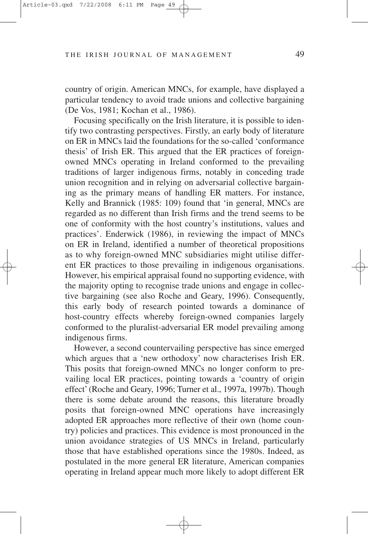country of origin. American MNCs, for example, have displayed a particular tendency to avoid trade unions and collective bargaining (De Vos, 1981; Kochan et al., 1986).

Focusing specifically on the Irish literature, it is possible to identify two contrasting perspectives. Firstly, an early body of literature on ER in MNCs laid the foundations for the so-called 'conformance thesis' of Irish ER. This argued that the ER practices of foreignowned MNCs operating in Ireland conformed to the prevailing traditions of larger indigenous firms, notably in conceding trade union recognition and in relying on adversarial collective bargaining as the primary means of handling ER matters. For instance, Kelly and Brannick (1985: 109) found that 'in general, MNCs are regarded as no different than Irish firms and the trend seems to be one of conformity with the host country's institutions, values and practices'. Enderwick (1986), in reviewing the impact of MNCs on ER in Ireland, identified a number of theoretical propositions as to why foreign-owned MNC subsidiaries might utilise different ER practices to those prevailing in indigenous organisations. However, his empirical appraisal found no supporting evidence, with the majority opting to recognise trade unions and engage in collective bargaining (see also Roche and Geary, 1996). Consequently, this early body of research pointed towards a dominance of host-country effects whereby foreign-owned companies largely conformed to the pluralist-adversarial ER model prevailing among indigenous firms.

However, a second countervailing perspective has since emerged which argues that a 'new orthodoxy' now characterises Irish ER. This posits that foreign-owned MNCs no longer conform to prevailing local ER practices, pointing towards a 'country of origin effect' (Roche and Geary, 1996; Turner et al., 1997a, 1997b). Though there is some debate around the reasons, this literature broadly posits that foreign-owned MNC operations have increasingly adopted ER approaches more reflective of their own (home country) policies and practices. This evidence is most pronounced in the union avoidance strategies of US MNCs in Ireland, particularly those that have established operations since the 1980s. Indeed, as postulated in the more general ER literature, American companies operating in Ireland appear much more likely to adopt different ER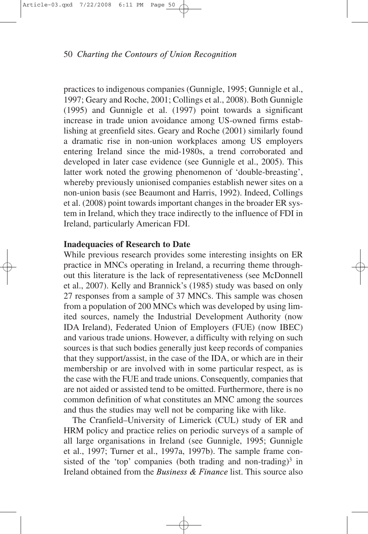practices to indigenous companies (Gunnigle, 1995; Gunnigle et al., 1997; Geary and Roche, 2001; Collings et al., 2008). Both Gunnigle (1995) and Gunnigle et al. (1997) point towards a significant increase in trade union avoidance among US-owned firms establishing at greenfield sites. Geary and Roche (2001) similarly found a dramatic rise in non-union workplaces among US employers entering Ireland since the mid-1980s, a trend corroborated and developed in later case evidence (see Gunnigle et al., 2005). This latter work noted the growing phenomenon of 'double-breasting', whereby previously unionised companies establish newer sites on a non-union basis (see Beaumont and Harris, 1992). Indeed, Collings et al. (2008) point towards important changes in the broader ER system in Ireland, which they trace indirectly to the influence of FDI in Ireland, particularly American FDI.

#### **Inadequacies of Research to Date**

While previous research provides some interesting insights on ER practice in MNCs operating in Ireland, a recurring theme throughout this literature is the lack of representativeness (see McDonnell et al., 2007). Kelly and Brannick's (1985) study was based on only 27 responses from a sample of 37 MNCs. This sample was chosen from a population of 200 MNCs which was developed by using limited sources, namely the Industrial Development Authority (now IDA Ireland), Federated Union of Employers (FUE) (now IBEC) and various trade unions. However, a difficulty with relying on such sources is that such bodies generally just keep records of companies that they support/assist, in the case of the IDA, or which are in their membership or are involved with in some particular respect, as is the case with the FUE and trade unions. Consequently, companies that are not aided or assisted tend to be omitted. Furthermore, there is no common definition of what constitutes an MNC among the sources and thus the studies may well not be comparing like with like.

The Cranfield–University of Limerick (CUL) study of ER and HRM policy and practice relies on periodic surveys of a sample of all large organisations in Ireland (see Gunnigle, 1995; Gunnigle et al., 1997; Turner et al., 1997a, 1997b). The sample frame consisted of the 'top' companies (both trading and non-trading)<sup>3</sup> in Ireland obtained from the *Business & Finance* list. This source also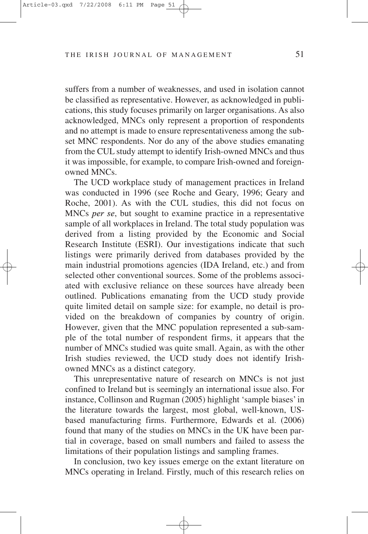suffers from a number of weaknesses, and used in isolation cannot be classified as representative. However, as acknowledged in publications, this study focuses primarily on larger organisations. As also acknowledged, MNCs only represent a proportion of respondents and no attempt is made to ensure representativeness among the subset MNC respondents. Nor do any of the above studies emanating from the CUL study attempt to identify Irish-owned MNCs and thus it was impossible, for example, to compare Irish-owned and foreignowned MNCs.

The UCD workplace study of management practices in Ireland was conducted in 1996 (see Roche and Geary, 1996; Geary and Roche, 2001). As with the CUL studies, this did not focus on MNCs *per se*, but sought to examine practice in a representative sample of all workplaces in Ireland. The total study population was derived from a listing provided by the Economic and Social Research Institute (ESRI). Our investigations indicate that such listings were primarily derived from databases provided by the main industrial promotions agencies (IDA Ireland, etc.) and from selected other conventional sources. Some of the problems associated with exclusive reliance on these sources have already been outlined. Publications emanating from the UCD study provide quite limited detail on sample size: for example, no detail is provided on the breakdown of companies by country of origin. However, given that the MNC population represented a sub-sample of the total number of respondent firms, it appears that the number of MNCs studied was quite small. Again, as with the other Irish studies reviewed, the UCD study does not identify Irishowned MNCs as a distinct category.

This unrepresentative nature of research on MNCs is not just confined to Ireland but is seemingly an international issue also. For instance, Collinson and Rugman (2005) highlight 'sample biases' in the literature towards the largest, most global, well-known, USbased manufacturing firms. Furthermore, Edwards et al. (2006) found that many of the studies on MNCs in the UK have been partial in coverage, based on small numbers and failed to assess the limitations of their population listings and sampling frames.

In conclusion, two key issues emerge on the extant literature on MNCs operating in Ireland. Firstly, much of this research relies on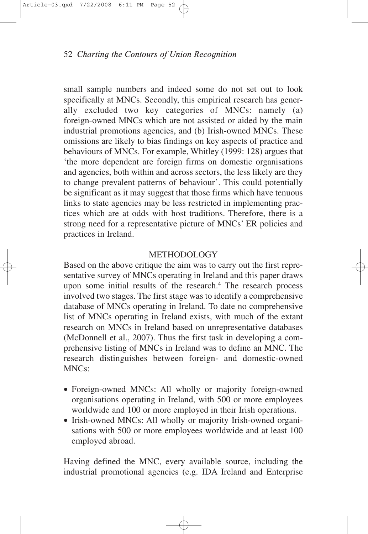small sample numbers and indeed some do not set out to look specifically at MNCs. Secondly, this empirical research has generally excluded two key categories of MNCs: namely (a) foreign-owned MNCs which are not assisted or aided by the main industrial promotions agencies, and (b) Irish-owned MNCs. These omissions are likely to bias findings on key aspects of practice and behaviours of MNCs. For example, Whitley (1999: 128) argues that 'the more dependent are foreign firms on domestic organisations and agencies, both within and across sectors, the less likely are they to change prevalent patterns of behaviour'. This could potentially be significant as it may suggest that those firms which have tenuous links to state agencies may be less restricted in implementing practices which are at odds with host traditions. Therefore, there is a strong need for a representative picture of MNCs' ER policies and practices in Ireland.

## METHODOLOGY

Based on the above critique the aim was to carry out the first representative survey of MNCs operating in Ireland and this paper draws upon some initial results of the research.4 The research process involved two stages. The first stage was to identify a comprehensive database of MNCs operating in Ireland. To date no comprehensive list of MNCs operating in Ireland exists, with much of the extant research on MNCs in Ireland based on unrepresentative databases (McDonnell et al., 2007). Thus the first task in developing a comprehensive listing of MNCs in Ireland was to define an MNC. The research distinguishes between foreign- and domestic-owned MNCs:

- Foreign-owned MNCs: All wholly or majority foreign-owned organisations operating in Ireland, with 500 or more employees worldwide and 100 or more employed in their Irish operations.
- Irish-owned MNCs: All wholly or majority Irish-owned organisations with 500 or more employees worldwide and at least 100 employed abroad.

Having defined the MNC, every available source, including the industrial promotional agencies (e.g. IDA Ireland and Enterprise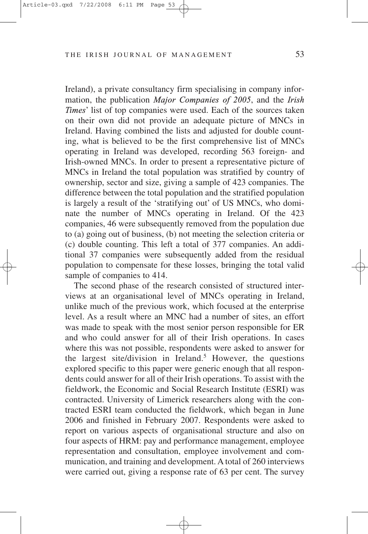Ireland), a private consultancy firm specialising in company information, the publication *Major Companies of 2005*, and the *Irish Times*' list of top companies were used. Each of the sources taken on their own did not provide an adequate picture of MNCs in Ireland. Having combined the lists and adjusted for double counting, what is believed to be the first comprehensive list of MNCs operating in Ireland was developed, recording 563 foreign- and Irish-owned MNCs. In order to present a representative picture of MNCs in Ireland the total population was stratified by country of ownership, sector and size, giving a sample of 423 companies. The difference between the total population and the stratified population is largely a result of the 'stratifying out' of US MNCs, who dominate the number of MNCs operating in Ireland. Of the 423 companies, 46 were subsequently removed from the population due to (a) going out of business, (b) not meeting the selection criteria or (c) double counting. This left a total of 377 companies. An additional 37 companies were subsequently added from the residual population to compensate for these losses, bringing the total valid sample of companies to 414.

The second phase of the research consisted of structured interviews at an organisational level of MNCs operating in Ireland, unlike much of the previous work, which focused at the enterprise level. As a result where an MNC had a number of sites, an effort was made to speak with the most senior person responsible for ER and who could answer for all of their Irish operations. In cases where this was not possible, respondents were asked to answer for the largest site/division in Ireland.<sup>5</sup> However, the questions explored specific to this paper were generic enough that all respondents could answer for all of their Irish operations. To assist with the fieldwork, the Economic and Social Research Institute (ESRI) was contracted. University of Limerick researchers along with the contracted ESRI team conducted the fieldwork, which began in June 2006 and finished in February 2007. Respondents were asked to report on various aspects of organisational structure and also on four aspects of HRM: pay and performance management, employee representation and consultation, employee involvement and communication, and training and development. A total of 260 interviews were carried out, giving a response rate of 63 per cent. The survey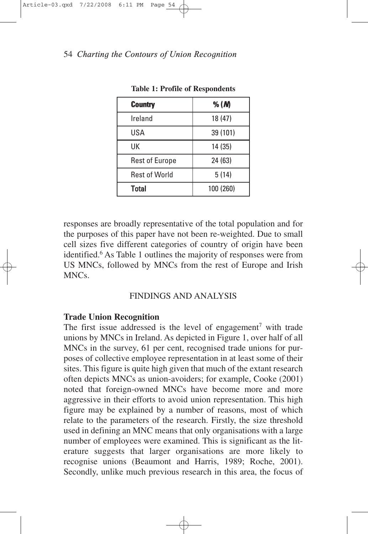| <b>Country</b>        | % $(M)$   |
|-----------------------|-----------|
| Ireland               | 18 (47)   |
| USA                   | 39 (101)  |
| UK                    | 14 (35)   |
| <b>Rest of Europe</b> | 24 (63)   |
| <b>Rest of World</b>  | 5(14)     |
| Total                 | 100 (260) |

**Table 1: Profile of Respondents**

responses are broadly representative of the total population and for the purposes of this paper have not been re-weighted. Due to small cell sizes five different categories of country of origin have been identified.<sup>6</sup> As Table 1 outlines the majority of responses were from US MNCs, followed by MNCs from the rest of Europe and Irish  $MNCs$ 

# FINDINGS AND ANALYSIS

# **Trade Union Recognition**

The first issue addressed is the level of engagement<sup>7</sup> with trade unions by MNCs in Ireland. As depicted in Figure 1, over half of all MNCs in the survey, 61 per cent, recognised trade unions for purposes of collective employee representation in at least some of their sites. This figure is quite high given that much of the extant research often depicts MNCs as union-avoiders; for example, Cooke (2001) noted that foreign-owned MNCs have become more and more aggressive in their efforts to avoid union representation. This high figure may be explained by a number of reasons, most of which relate to the parameters of the research. Firstly, the size threshold used in defining an MNC means that only organisations with a large number of employees were examined. This is significant as the literature suggests that larger organisations are more likely to recognise unions (Beaumont and Harris, 1989; Roche, 2001). Secondly, unlike much previous research in this area, the focus of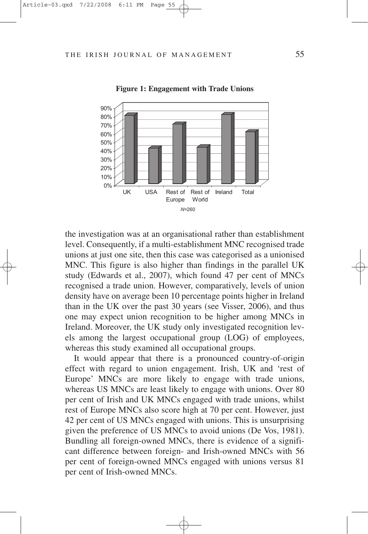

**Figure 1: Engagement with Trade Unions**

the investigation was at an organisational rather than establishment level. Consequently, if a multi-establishment MNC recognised trade unions at just one site, then this case was categorised as a unionised MNC. This figure is also higher than findings in the parallel UK study (Edwards et al., 2007), which found 47 per cent of MNCs recognised a trade union. However, comparatively, levels of union density have on average been 10 percentage points higher in Ireland than in the UK over the past 30 years (see Visser, 2006), and thus one may expect union recognition to be higher among MNCs in Ireland. Moreover, the UK study only investigated recognition levels among the largest occupational group (LOG) of employees, whereas this study examined all occupational groups.

It would appear that there is a pronounced country-of-origin effect with regard to union engagement. Irish, UK and 'rest of Europe' MNCs are more likely to engage with trade unions, whereas US MNCs are least likely to engage with unions. Over 80 per cent of Irish and UK MNCs engaged with trade unions, whilst rest of Europe MNCs also score high at 70 per cent. However, just 42 per cent of US MNCs engaged with unions. This is unsurprising given the preference of US MNCs to avoid unions (De Vos, 1981). Bundling all foreign-owned MNCs, there is evidence of a significant difference between foreign- and Irish-owned MNCs with 56 per cent of foreign-owned MNCs engaged with unions versus 81 per cent of Irish-owned MNCs.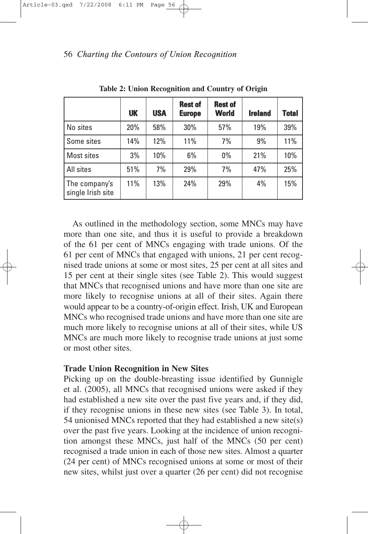|                                    | <b>UK</b> | <b>USA</b> | <b>Rest of</b><br><b>Europe</b> | <b>Rest of</b><br><b>World</b> | <b>Ireland</b> | <b>Total</b> |
|------------------------------------|-----------|------------|---------------------------------|--------------------------------|----------------|--------------|
| No sites                           | 20%       | 58%        | 30%                             | 57%                            | 19%            | 39%          |
| Some sites                         | 14%       | 12%        | 11%                             | 7%                             | 9%             | 11%          |
| Most sites                         | 3%        | 10%        | 6%                              | $0\%$                          | 21%            | 10%          |
| All sites                          | 51%       | 7%         | 29%                             | 7%                             | 47%            | 25%          |
| The company's<br>single Irish site | 11%       | 13%        | 24%                             | 29%                            | 4%             | 15%          |

**Table 2: Union Recognition and Country of Origin**

As outlined in the methodology section, some MNCs may have more than one site, and thus it is useful to provide a breakdown of the 61 per cent of MNCs engaging with trade unions. Of the 61 per cent of MNCs that engaged with unions, 21 per cent recognised trade unions at some or most sites, 25 per cent at all sites and 15 per cent at their single sites (see Table 2). This would suggest that MNCs that recognised unions and have more than one site are more likely to recognise unions at all of their sites. Again there would appear to be a country-of-origin effect. Irish, UK and European MNCs who recognised trade unions and have more than one site are much more likely to recognise unions at all of their sites, while US MNCs are much more likely to recognise trade unions at just some or most other sites.

## **Trade Union Recognition in New Sites**

Picking up on the double-breasting issue identified by Gunnigle et al. (2005), all MNCs that recognised unions were asked if they had established a new site over the past five years and, if they did, if they recognise unions in these new sites (see Table 3). In total, 54 unionised MNCs reported that they had established a new site(s) over the past five years. Looking at the incidence of union recognition amongst these MNCs, just half of the MNCs (50 per cent) recognised a trade union in each of those new sites. Almost a quarter (24 per cent) of MNCs recognised unions at some or most of their new sites, whilst just over a quarter (26 per cent) did not recognise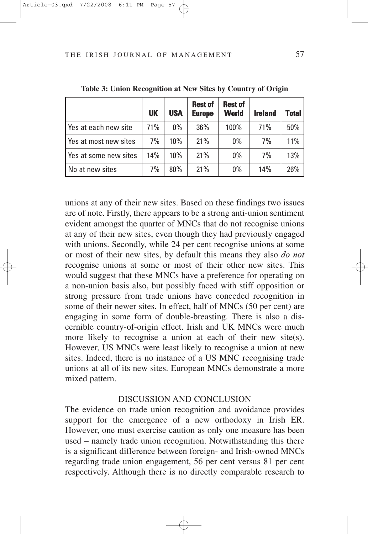|                       | <b>UK</b> | <b>USA</b> | <b>Rest of</b><br><b>Europe</b> | <b>Rest of</b><br><b>World</b> | <b>Ireland</b> | <b>Total</b> |
|-----------------------|-----------|------------|---------------------------------|--------------------------------|----------------|--------------|
| Yes at each new site  | 71%       | $0\%$      | 36%                             | 100%                           | 71%            | 50%          |
| Yes at most new sites | 7%        | 10%        | 21%                             | $0\%$                          | 7%             | 11%          |
| Yes at some new sites | 14%       | 10%        | 21%                             | $0\%$                          | 7%             | 13%          |
| No at new sites       | 7%        | 80%        | 21%                             | $0\%$                          | 14%            | 26%          |

**Table 3: Union Recognition at New Sites by Country of Origin**

unions at any of their new sites. Based on these findings two issues are of note. Firstly, there appears to be a strong anti-union sentiment evident amongst the quarter of MNCs that do not recognise unions at any of their new sites, even though they had previously engaged with unions. Secondly, while 24 per cent recognise unions at some or most of their new sites, by default this means they also *do not* recognise unions at some or most of their other new sites. This would suggest that these MNCs have a preference for operating on a non-union basis also, but possibly faced with stiff opposition or strong pressure from trade unions have conceded recognition in some of their newer sites. In effect, half of MNCs (50 per cent) are engaging in some form of double-breasting. There is also a discernible country-of-origin effect. Irish and UK MNCs were much more likely to recognise a union at each of their new site(s). However, US MNCs were least likely to recognise a union at new sites. Indeed, there is no instance of a US MNC recognising trade unions at all of its new sites. European MNCs demonstrate a more mixed pattern.

#### DISCUSSION AND CONCLUSION

The evidence on trade union recognition and avoidance provides support for the emergence of a new orthodoxy in Irish ER. However, one must exercise caution as only one measure has been used – namely trade union recognition. Notwithstanding this there is a significant difference between foreign- and Irish-owned MNCs regarding trade union engagement, 56 per cent versus 81 per cent respectively. Although there is no directly comparable research to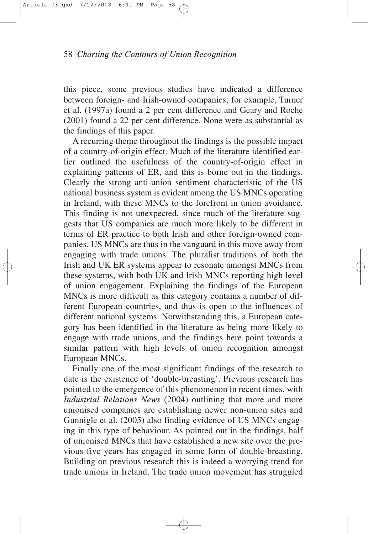this piece, some previous studies have indicated a difference between foreign- and Irish-owned companies; for example, Turner et al. (1997a) found a 2 per cent difference and Geary and Roche (2001) found a 22 per cent difference. None were as substantial as the findings of this paper.

A recurring theme throughout the findings is the possible impact of a country-of-origin effect. Much of the literature identified earlier outlined the usefulness of the country-of-origin effect in explaining patterns of ER, and this is borne out in the findings. Clearly the strong anti-union sentiment characteristic of the US national business system is evident among the US MNCs operating in Ireland, with these MNCs to the forefront in union avoidance. This finding is not unexpected, since much of the literature suggests that US companies are much more likely to be different in terms of ER practice to both Irish and other foreign-owned companies. US MNCs are thus in the vanguard in this move away from engaging with trade unions. The pluralist traditions of both the Irish and UK ER systems appear to resonate amongst MNCs from these systems, with both UK and Irish MNCs reporting high level of union engagement. Explaining the findings of the European MNCs is more difficult as this category contains a number of different European countries, and thus is open to the influences of different national systems. Notwithstanding this, a European category has been identified in the literature as being more likely to engage with trade unions, and the findings here point towards a similar pattern with high levels of union recognition amongst European MNCs.

Finally one of the most significant findings of the research to date is the existence of 'double-breasting'. Previous research has pointed to the emergence of this phenomenon in recent times, with *Industrial Relations News* (2004) outlining that more and more unionised companies are establishing newer non-union sites and Gunnigle et al. (2005) also finding evidence of US MNCs engaging in this type of behaviour. As pointed out in the findings, half of unionised MNCs that have established a new site over the previous five years has engaged in some form of double-breasting. Building on previous research this is indeed a worrying trend for trade unions in Ireland. The trade union movement has struggled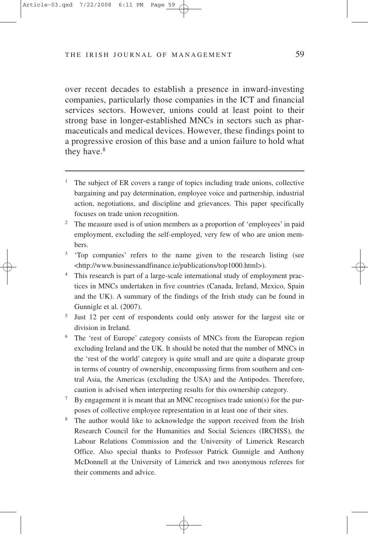over recent decades to establish a presence in inward-investing companies, particularly those companies in the ICT and financial services sectors. However, unions could at least point to their strong base in longer-established MNCs in sectors such as pharmaceuticals and medical devices. However, these findings point to a progressive erosion of this base and a union failure to hold what they have.<sup>8</sup>

- <sup>1</sup> The subject of ER covers a range of topics including trade unions, collective bargaining and pay determination, employee voice and partnership, industrial action, negotiations, and discipline and grievances. This paper specifically focuses on trade union recognition.
- <sup>2</sup> The measure used is of union members as a proportion of 'employees' in paid employment, excluding the self-employed, very few of who are union members.
- <sup>3</sup> 'Top companies' refers to the name given to the research listing (see <http://www.businessandfinance.ie/publications/top1000.html>).
- <sup>4</sup> This research is part of a large-scale international study of employment practices in MNCs undertaken in five countries (Canada, Ireland, Mexico, Spain and the UK). A summary of the findings of the Irish study can be found in Gunnigle et al. (2007).
- <sup>5</sup> Just 12 per cent of respondents could only answer for the largest site or division in Ireland.
- <sup>6</sup> The 'rest of Europe' category consists of MNCs from the European region excluding Ireland and the UK. It should be noted that the number of MNCs in the 'rest of the world' category is quite small and are quite a disparate group in terms of country of ownership, encompassing firms from southern and central Asia, the Americas (excluding the USA) and the Antipodes. Therefore, caution is advised when interpreting results for this ownership category.
- <sup>7</sup> By engagement it is meant that an MNC recognises trade union(s) for the purposes of collective employee representation in at least one of their sites.
- <sup>8</sup> The author would like to acknowledge the support received from the Irish Research Council for the Humanities and Social Sciences (IRCHSS), the Labour Relations Commission and the University of Limerick Research Office. Also special thanks to Professor Patrick Gunnigle and Anthony McDonnell at the University of Limerick and two anonymous referees for their comments and advice.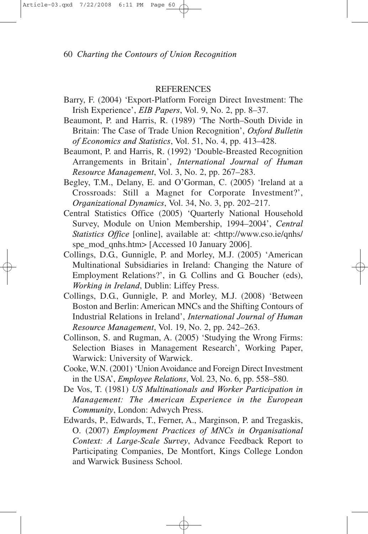#### **REFERENCES**

- Barry, F. (2004) 'Export-Platform Foreign Direct Investment: The Irish Experience', *EIB Papers*, Vol. 9, No. 2, pp. 8–37.
- Beaumont, P. and Harris, R. (1989) 'The North–South Divide in Britain: The Case of Trade Union Recognition', *Oxford Bulletin of Economics and Statistics*, Vol. 51, No. 4, pp. 413–428.
- Beaumont, P. and Harris, R. (1992) 'Double-Breasted Recognition Arrangements in Britain', *International Journal of Human Resource Management*, Vol. 3, No. 2, pp. 267–283.
- Begley, T.M., Delany, E. and O'Gorman, C. (2005) 'Ireland at a Crossroads: Still a Magnet for Corporate Investment?', *Organizational Dynamics*, Vol. 34, No. 3, pp. 202–217.
- Central Statistics Office (2005) 'Quarterly National Household Survey, Module on Union Membership, 1994–2004', *Central Statistics Office* [online], available at: <http://www.cso.ie/qnhs/ spe\_mod\_qnhs.htm> [Accessed 10 January 2006].
- Collings, D.G., Gunnigle, P. and Morley, M.J. (2005) 'American Multinational Subsidiaries in Ireland: Changing the Nature of Employment Relations?', in G. Collins and G. Boucher (eds), *Working in Ireland*, Dublin: Liffey Press.
- Collings, D.G., Gunnigle, P. and Morley, M.J. (2008) 'Between Boston and Berlin: American MNCs and the Shifting Contours of Industrial Relations in Ireland', *International Journal of Human Resource Management*, Vol. 19, No. 2, pp. 242–263.
- Collinson, S. and Rugman, A. (2005) 'Studying the Wrong Firms: Selection Biases in Management Research', Working Paper, Warwick: University of Warwick.
- Cooke, W.N. (2001) 'Union Avoidance and Foreign Direct Investment in the USA', *Employee Relations*, Vol. 23, No. 6, pp. 558–580.
- De Vos, T. (1981) *US Multinationals and Worker Participation in Management: The American Experience in the European Community*, London: Adwych Press.
- Edwards, P., Edwards, T., Ferner, A., Marginson, P. and Tregaskis, O. (2007) *Employment Practices of MNCs in Organisational Context: A Large-Scale Survey*, Advance Feedback Report to Participating Companies, De Montfort, Kings College London and Warwick Business School.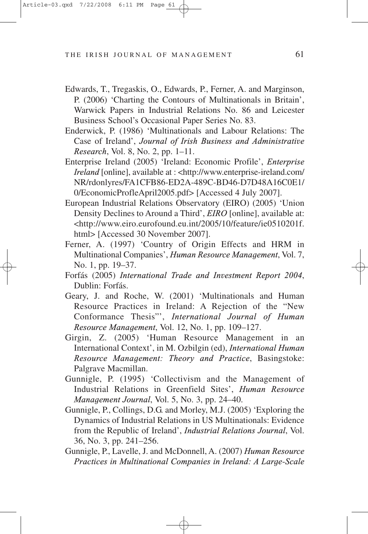- Edwards, T., Tregaskis, O., Edwards, P., Ferner, A. and Marginson, P. (2006) 'Charting the Contours of Multinationals in Britain', Warwick Papers in Industrial Relations No. 86 and Leicester Business School's Occasional Paper Series No. 83.
- Enderwick, P. (1986) 'Multinationals and Labour Relations: The Case of Ireland', *Journal of Irish Business and Administrative Research*, Vol. 8, No. 2, pp. 1–11.
- Enterprise Ireland (2005) 'Ireland: Economic Profile', *Enterprise Ireland* [online], available at : <http://www.enterprise-ireland.com/ NR/rdonlyres/FA1CFB86-ED2A-489C-BD46-D7D48A16C0E1/ 0/EconomicProfleApril2005.pdf> [Accessed 4 July 2007].
- European Industrial Relations Observatory (EIRO) (2005) 'Union Density Declines to Around a Third', *EIRO* [online], available at: <http://www.eiro.eurofound.eu.int/2005/10/feature/ie0510201f. html> [Accessed 30 November 2007].
- Ferner, A. (1997) 'Country of Origin Effects and HRM in Multinational Companies', *Human Resource Management*, Vol. 7, No. 1, pp. 19–37.
- Forfás (2005) *International Trade and Investment Report 2004*, Dublin: Forfás.
- Geary, J. and Roche, W. (2001) 'Multinationals and Human Resource Practices in Ireland: A Rejection of the "New Conformance Thesis"', *International Journal of Human Resource Management*, Vol. 12, No. 1, pp. 109–127.
- Girgin, Z. (2005) 'Human Resource Management in an International Context', in M. Ozbilgin (ed), *International Human Resource Management: Theory and Practice*, Basingstoke: Palgrave Macmillan.
- Gunnigle, P. (1995) 'Collectivism and the Management of Industrial Relations in Greenfield Sites', *Human Resource Management Journal*, Vol. 5, No. 3, pp. 24–40.
- Gunnigle, P., Collings, D.G. and Morley, M.J. (2005) 'Exploring the Dynamics of Industrial Relations in US Multinationals: Evidence from the Republic of Ireland', *Industrial Relations Journal*, Vol. 36, No. 3, pp. 241–256.
- Gunnigle, P., Lavelle, J. and McDonnell, A. (2007) *Human Resource Practices in Multinational Companies in Ireland: A Large-Scale*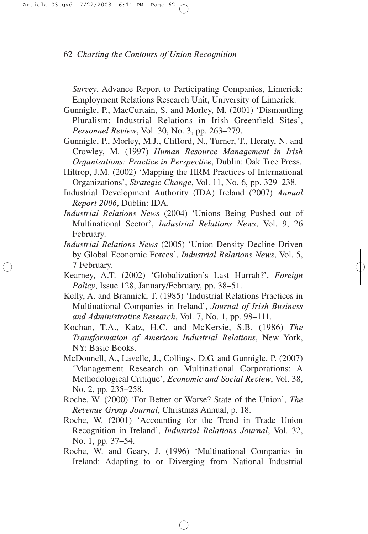*Survey*, Advance Report to Participating Companies, Limerick: Employment Relations Research Unit, University of Limerick.

- Gunnigle, P., MacCurtain, S. and Morley, M. (2001) 'Dismantling Pluralism: Industrial Relations in Irish Greenfield Sites', *Personnel Review*, Vol. 30, No. 3, pp. 263–279.
- Gunnigle, P., Morley, M.J., Clifford, N., Turner, T., Heraty, N. and Crowley, M. (1997) *Human Resource Management in Irish Organisations: Practice in Perspective*, Dublin: Oak Tree Press.
- Hiltrop, J.M. (2002) 'Mapping the HRM Practices of International Organizations', *Strategic Change*, Vol. 11, No. 6, pp. 329–238.
- Industrial Development Authority (IDA) Ireland (2007) *Annual Report 2006*, Dublin: IDA.
- *Industrial Relations News* (2004) 'Unions Being Pushed out of Multinational Sector', *Industrial Relations News*, Vol. 9, 26 February.
- *Industrial Relations News* (2005) 'Union Density Decline Driven by Global Economic Forces', *Industrial Relations News*, Vol. 5, 7 February.
- Kearney, A.T. (2002) 'Globalization's Last Hurrah?', *Foreign Policy*, Issue 128, January/February, pp. 38–51.
- Kelly, A. and Brannick, T. (1985) 'Industrial Relations Practices in Multinational Companies in Ireland', *Journal of Irish Business and Administrative Research*, Vol. 7, No. 1, pp. 98–111.
- Kochan, T.A., Katz, H.C. and McKersie, S.B. (1986) *The Transformation of American Industrial Relations*, New York, NY: Basic Books.
- McDonnell, A., Lavelle, J., Collings, D.G. and Gunnigle, P. (2007) 'Management Research on Multinational Corporations: A Methodological Critique', *Economic and Social Review*, Vol. 38, No. 2, pp. 235–258.
- Roche, W. (2000) 'For Better or Worse? State of the Union', *The Revenue Group Journal*, Christmas Annual, p. 18.
- Roche, W. (2001) 'Accounting for the Trend in Trade Union Recognition in Ireland', *Industrial Relations Journal*, Vol. 32, No. 1, pp. 37–54.
- Roche, W. and Geary, J. (1996) 'Multinational Companies in Ireland: Adapting to or Diverging from National Industrial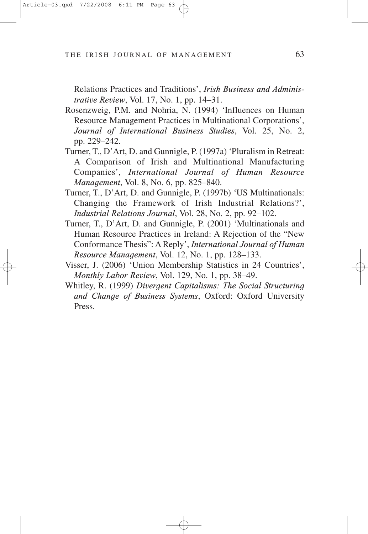Relations Practices and Traditions', *Irish Business and Administrative Review*, Vol. 17, No. 1, pp. 14–31.

- Rosenzweig, P.M. and Nohria, N. (1994) 'Influences on Human Resource Management Practices in Multinational Corporations', *Journal of International Business Studies*, Vol. 25, No. 2, pp. 229–242.
- Turner, T., D'Art, D. and Gunnigle, P. (1997a) 'Pluralism in Retreat: A Comparison of Irish and Multinational Manufacturing Companies', *International Journal of Human Resource Management*, Vol. 8, No. 6, pp. 825–840.
- Turner, T., D'Art, D. and Gunnigle, P. (1997b) 'US Multinationals: Changing the Framework of Irish Industrial Relations?', *Industrial Relations Journal*, Vol. 28, No. 2, pp. 92–102.
- Turner, T., D'Art, D. and Gunnigle, P. (2001) 'Multinationals and Human Resource Practices in Ireland: A Rejection of the "New Conformance Thesis": A Reply', *International Journal of Human Resource Management*, Vol. 12, No. 1, pp. 128–133.
- Visser, J. (2006) 'Union Membership Statistics in 24 Countries', *Monthly Labor Review*, Vol. 129, No. 1, pp. 38–49.
- Whitley, R. (1999) *Divergent Capitalisms: The Social Structuring and Change of Business Systems*, Oxford: Oxford University Press.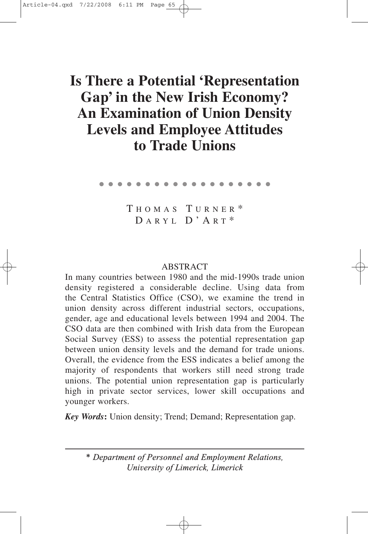# Is There a Potential 'Representation Gap' in the New Irish Economy? **An Examination of Union Density Levels and Employee Attitudes to Trade Unions**

●●●●●●●●●●●●●●●●●●●

T HOMAS T URNER \* D ARYL D'A R T \*

## ABSTRACT

In many countries between 1980 and the mid-1990s trade union density registered a considerable decline. Using data from the Central Statistics Office (CSO), we examine the trend in union density across different industrial sectors, occupations, gender, age and educational levels between 1994 and 2004. The CSO data are then combined with Irish data from the European Social Survey (ESS) to assess the potential representation gap between union density levels and the demand for trade unions. Overall, the evidence from the ESS indicates a belief among the majority of respondents that workers still need strong trade unions. The potential union representation gap is particularly high in private sector services, lower skill occupations and younger workers.

*Key Words***:** Union density; Trend; Demand; Representation gap.

*\* Department of Personnel and Employment Relations, University of Limerick, Limerick*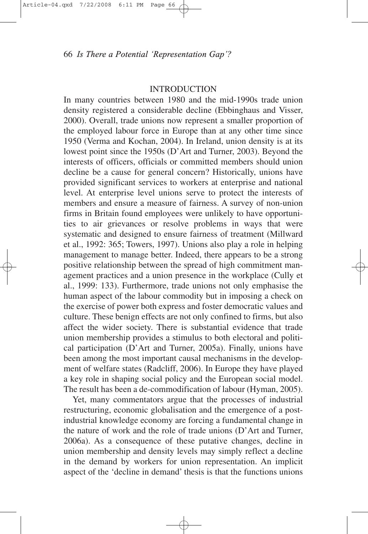#### **INTRODUCTION**

In many countries between 1980 and the mid-1990s trade union density registered a considerable decline (Ebbinghaus and Visser, 2000). Overall, trade unions now represent a smaller proportion of the employed labour force in Europe than at any other time since 1950 (Verma and Kochan, 2004). In Ireland, union density is at its lowest point since the 1950s (D'Art and Turner, 2003). Beyond the interests of officers, officials or committed members should union decline be a cause for general concern? Historically, unions have provided significant services to workers at enterprise and national level. At enterprise level unions serve to protect the interests of members and ensure a measure of fairness. A survey of non-union firms in Britain found employees were unlikely to have opportunities to air grievances or resolve problems in ways that were systematic and designed to ensure fairness of treatment (Millward et al., 1992: 365; Towers, 1997). Unions also play a role in helping management to manage better. Indeed, there appears to be a strong positive relationship between the spread of high commitment management practices and a union presence in the workplace (Cully et al., 1999: 133). Furthermore, trade unions not only emphasise the human aspect of the labour commodity but in imposing a check on the exercise of power both express and foster democratic values and culture. These benign effects are not only confined to firms, but also affect the wider society. There is substantial evidence that trade union membership provides a stimulus to both electoral and political participation (D'Art and Turner, 2005a). Finally, unions have been among the most important causal mechanisms in the development of welfare states (Radcliff, 2006). In Europe they have played a key role in shaping social policy and the European social model. The result has been a de-commodification of labour (Hyman, 2005).

Yet, many commentators argue that the processes of industrial restructuring, economic globalisation and the emergence of a postindustrial knowledge economy are forcing a fundamental change in the nature of work and the role of trade unions (D'Art and Turner, 2006a). As a consequence of these putative changes, decline in union membership and density levels may simply reflect a decline in the demand by workers for union representation. An implicit aspect of the 'decline in demand' thesis is that the functions unions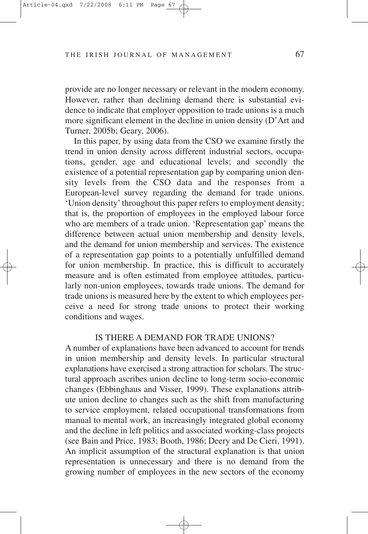provide are no longer necessary or relevant in the modern economy. However, rather than declining demand there is substantial evidence to indicate that employer opposition to trade unions is a much more significant element in the decline in union density (D'Art and Turner, 2005b; Geary, 2006).

In this paper, by using data from the CSO we examine firstly the trend in union density across different industrial sectors, occupations, gender, age and educational levels; and secondly the existence of a potential representation gap by comparing union density levels from the CSO data and the responses from a European-level survey regarding the demand for trade unions. 'Union density' throughout this paper refers to employment density; that is, the proportion of employees in the employed labour force who are members of a trade union. 'Representation gap' means the difference between actual union membership and density levels, and the demand for union membership and services. The existence of a representation gap points to a potentially unfulfilled demand for union membership. In practice, this is difficult to accurately measure and is often estimated from employee attitudes, particularly non-union employees, towards trade unions. The demand for trade unions is measured here by the extent to which employees perceive a need for strong trade unions to protect their working conditions and wages.

### IS THERE A DEMAND FOR TRADE UNIONS?

A number of explanations have been advanced to account for trends in union membership and density levels. In particular structural explanations have exercised a strong attraction for scholars. The structural approach ascribes union decline to long-term socio-economic changes (Ebbinghaus and Visser, 1999). These explanations attribute union decline to changes such as the shift from manufacturing to service employment, related occupational transformations from manual to mental work, an increasingly integrated global economy and the decline in left politics and associated working-class projects (see Bain and Price, 1983; Booth, 1986; Deery and De Cieri, 1991). An implicit assumption of the structural explanation is that union representation is unnecessary and there is no demand from the growing number of employees in the new sectors of the economy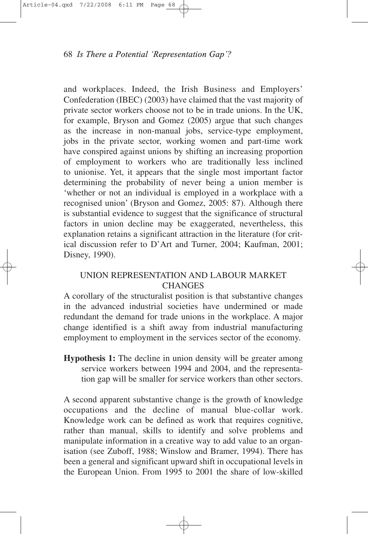and workplaces. Indeed, the Irish Business and Employers' Confederation (IBEC) (2003) have claimed that the vast majority of private sector workers choose not to be in trade unions. In the UK, for example, Bryson and Gomez (2005) argue that such changes as the increase in non-manual jobs, service-type employment, jobs in the private sector, working women and part-time work have conspired against unions by shifting an increasing proportion of employment to workers who are traditionally less inclined to unionise. Yet, it appears that the single most important factor determining the probability of never being a union member is 'whether or not an individual is employed in a workplace with a recognised union' (Bryson and Gomez, 2005: 87). Although there is substantial evidence to suggest that the significance of structural factors in union decline may be exaggerated, nevertheless, this explanation retains a significant attraction in the literature (for critical discussion refer to D'Art and Turner, 2004; Kaufman, 2001; Disney, 1990).

# UNION REPRESENTATION AND LABOUR MARKET **CHANGES**

A corollary of the structuralist position is that substantive changes in the advanced industrial societies have undermined or made redundant the demand for trade unions in the workplace. A major change identified is a shift away from industrial manufacturing employment to employment in the services sector of the economy.

**Hypothesis 1:** The decline in union density will be greater among service workers between 1994 and 2004, and the representation gap will be smaller for service workers than other sectors.

A second apparent substantive change is the growth of knowledge occupations and the decline of manual blue-collar work. Knowledge work can be defined as work that requires cognitive, rather than manual, skills to identify and solve problems and manipulate information in a creative way to add value to an organisation (see Zuboff, 1988; Winslow and Bramer, 1994). There has been a general and significant upward shift in occupational levels in the European Union. From 1995 to 2001 the share of low-skilled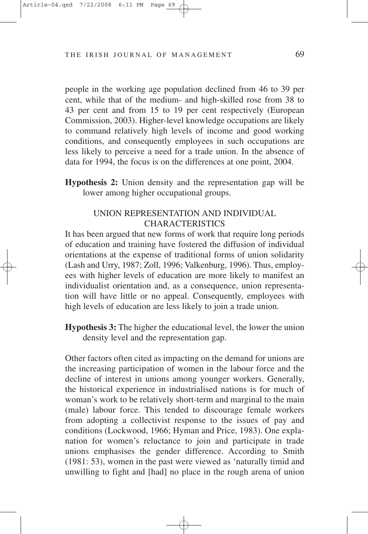people in the working age population declined from 46 to 39 per cent, while that of the medium- and high-skilled rose from 38 to 43 per cent and from 15 to 19 per cent respectively (European Commission, 2003). Higher-level knowledge occupations are likely to command relatively high levels of income and good working conditions, and consequently employees in such occupations are less likely to perceive a need for a trade union. In the absence of data for 1994, the focus is on the differences at one point, 2004.

**Hypothesis 2:** Union density and the representation gap will be lower among higher occupational groups.

# UNION REPRESENTATION AND INDIVIDUAL **CHARACTERISTICS**

It has been argued that new forms of work that require long periods of education and training have fostered the diffusion of individual orientations at the expense of traditional forms of union solidarity (Lash and Urry, 1987; Zoll, 1996; Valkenburg, 1996). Thus, employees with higher levels of education are more likely to manifest an individualist orientation and, as a consequence, union representation will have little or no appeal. Consequently, employees with high levels of education are less likely to join a trade union.

**Hypothesis 3:** The higher the educational level, the lower the union density level and the representation gap.

Other factors often cited as impacting on the demand for unions are the increasing participation of women in the labour force and the decline of interest in unions among younger workers. Generally, the historical experience in industrialised nations is for much of woman's work to be relatively short-term and marginal to the main (male) labour force. This tended to discourage female workers from adopting a collectivist response to the issues of pay and conditions (Lockwood, 1966; Hyman and Price, 1983). One explanation for women's reluctance to join and participate in trade unions emphasises the gender difference. According to Smith (1981: 53), women in the past were viewed as 'naturally timid and unwilling to fight and [had] no place in the rough arena of union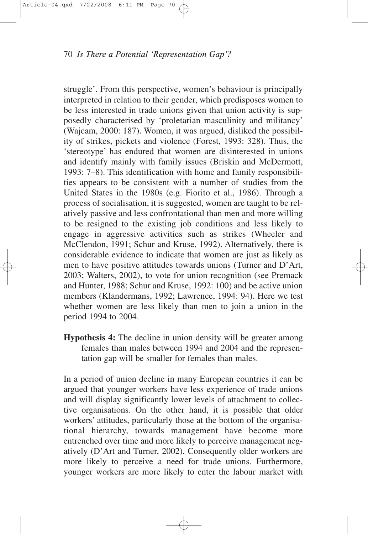struggle'. From this perspective, women's behaviour is principally interpreted in relation to their gender, which predisposes women to be less interested in trade unions given that union activity is supposedly characterised by 'proletarian masculinity and militancy' (Wajcam, 2000: 187). Women, it was argued, disliked the possibility of strikes, pickets and violence (Forest, 1993: 328). Thus, the 'stereotype' has endured that women are disinterested in unions and identify mainly with family issues (Briskin and McDermott, 1993: 7–8). This identification with home and family responsibilities appears to be consistent with a number of studies from the United States in the 1980s (e.g. Fiorito et al., 1986). Through a process of socialisation, it is suggested, women are taught to be relatively passive and less confrontational than men and more willing to be resigned to the existing job conditions and less likely to engage in aggressive activities such as strikes (Wheeler and McClendon, 1991; Schur and Kruse, 1992). Alternatively, there is considerable evidence to indicate that women are just as likely as men to have positive attitudes towards unions (Turner and D'Art, 2003; Walters, 2002), to vote for union recognition (see Premack and Hunter, 1988; Schur and Kruse, 1992: 100) and be active union members (Klandermans, 1992; Lawrence, 1994: 94). Here we test whether women are less likely than men to join a union in the period 1994 to 2004.

**Hypothesis 4:** The decline in union density will be greater among females than males between 1994 and 2004 and the representation gap will be smaller for females than males.

In a period of union decline in many European countries it can be argued that younger workers have less experience of trade unions and will display significantly lower levels of attachment to collective organisations. On the other hand, it is possible that older workers' attitudes, particularly those at the bottom of the organisational hierarchy, towards management have become more entrenched over time and more likely to perceive management negatively (D'Art and Turner, 2002). Consequently older workers are more likely to perceive a need for trade unions. Furthermore, younger workers are more likely to enter the labour market with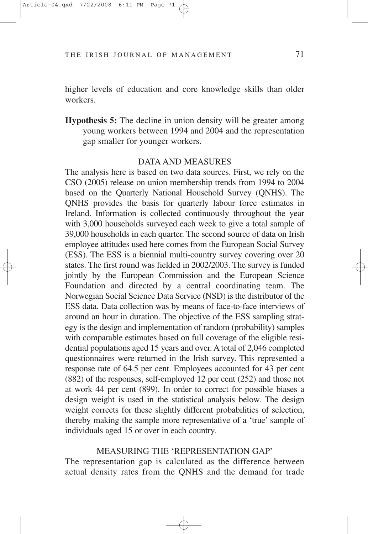higher levels of education and core knowledge skills than older workers.

**Hypothesis 5:** The decline in union density will be greater among young workers between 1994 and 2004 and the representation gap smaller for younger workers.

#### DATA AND MEASURES

The analysis here is based on two data sources. First, we rely on the CSO (2005) release on union membership trends from 1994 to 2004 based on the Quarterly National Household Survey (QNHS). The QNHS provides the basis for quarterly labour force estimates in Ireland. Information is collected continuously throughout the year with 3,000 households surveyed each week to give a total sample of 39,000 households in each quarter. The second source of data on Irish employee attitudes used here comes from the European Social Survey (ESS). The ESS is a biennial multi-country survey covering over 20 states. The first round was fielded in 2002/2003. The survey is funded jointly by the European Commission and the European Science Foundation and directed by a central coordinating team. The Norwegian Social Science Data Service (NSD) is the distributor of the ESS data. Data collection was by means of face-to-face interviews of around an hour in duration. The objective of the ESS sampling strategy is the design and implementation of random (probability) samples with comparable estimates based on full coverage of the eligible residential populations aged 15 years and over. A total of 2,046 completed questionnaires were returned in the Irish survey. This represented a response rate of 64.5 per cent. Employees accounted for 43 per cent (882) of the responses, self-employed 12 per cent (252) and those not at work 44 per cent (899). In order to correct for possible biases a design weight is used in the statistical analysis below. The design weight corrects for these slightly different probabilities of selection, thereby making the sample more representative of a 'true' sample of individuals aged 15 or over in each country.

### MEASURING THE 'REPRESENTATION GAP'

The representation gap is calculated as the difference between actual density rates from the QNHS and the demand for trade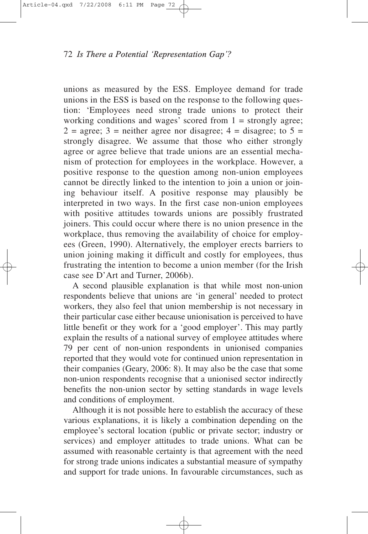unions as measured by the ESS. Employee demand for trade unions in the ESS is based on the response to the following question: 'Employees need strong trade unions to protect their working conditions and wages' scored from  $1 =$  strongly agree;  $2 = \text{agree}$ ;  $3 = \text{neither agree}$  nor disagree;  $4 = \text{disagree}$ ; to  $5 = \text{True}$ strongly disagree. We assume that those who either strongly agree or agree believe that trade unions are an essential mechanism of protection for employees in the workplace. However, a positive response to the question among non-union employees cannot be directly linked to the intention to join a union or joining behaviour itself. A positive response may plausibly be interpreted in two ways. In the first case non-union employees with positive attitudes towards unions are possibly frustrated joiners. This could occur where there is no union presence in the workplace, thus removing the availability of choice for employees (Green, 1990). Alternatively, the employer erects barriers to union joining making it difficult and costly for employees, thus frustrating the intention to become a union member (for the Irish case see D'Art and Turner, 2006b).

A second plausible explanation is that while most non-union respondents believe that unions are 'in general' needed to protect workers, they also feel that union membership is not necessary in their particular case either because unionisation is perceived to have little benefit or they work for a 'good employer'. This may partly explain the results of a national survey of employee attitudes where 79 per cent of non-union respondents in unionised companies reported that they would vote for continued union representation in their companies (Geary, 2006: 8). It may also be the case that some non-union respondents recognise that a unionised sector indirectly benefits the non-union sector by setting standards in wage levels and conditions of employment.

Although it is not possible here to establish the accuracy of these various explanations, it is likely a combination depending on the employee's sectoral location (public or private sector; industry or services) and employer attitudes to trade unions. What can be assumed with reasonable certainty is that agreement with the need for strong trade unions indicates a substantial measure of sympathy and support for trade unions. In favourable circumstances, such as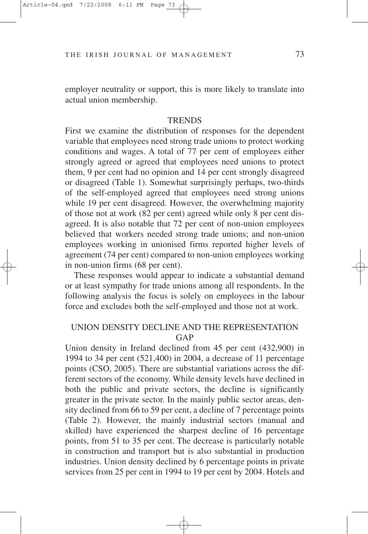employer neutrality or support, this is more likely to translate into actual union membership.

#### **TRENDS**

First we examine the distribution of responses for the dependent variable that employees need strong trade unions to protect working conditions and wages. A total of 77 per cent of employees either strongly agreed or agreed that employees need unions to protect them, 9 per cent had no opinion and 14 per cent strongly disagreed or disagreed (Table 1). Somewhat surprisingly perhaps, two-thirds of the self-employed agreed that employees need strong unions while 19 per cent disagreed. However, the overwhelming majority of those not at work (82 per cent) agreed while only 8 per cent disagreed. It is also notable that 72 per cent of non-union employees believed that workers needed strong trade unions; and non-union employees working in unionised firms reported higher levels of agreement (74 per cent) compared to non-union employees working in non-union firms (68 per cent).

These responses would appear to indicate a substantial demand or at least sympathy for trade unions among all respondents. In the following analysis the focus is solely on employees in the labour force and excludes both the self-employed and those not at work.

## UNION DENSITY DECLINE AND THE REPRESENTATION GAP

Union density in Ireland declined from 45 per cent (432,900) in 1994 to 34 per cent (521,400) in 2004, a decrease of 11 percentage points (CSO, 2005). There are substantial variations across the different sectors of the economy. While density levels have declined in both the public and private sectors, the decline is significantly greater in the private sector. In the mainly public sector areas, density declined from 66 to 59 per cent, a decline of 7 percentage points (Table 2). However, the mainly industrial sectors (manual and skilled) have experienced the sharpest decline of 16 percentage points, from 51 to 35 per cent. The decrease is particularly notable in construction and transport but is also substantial in production industries. Union density declined by 6 percentage points in private services from 25 per cent in 1994 to 19 per cent by 2004. Hotels and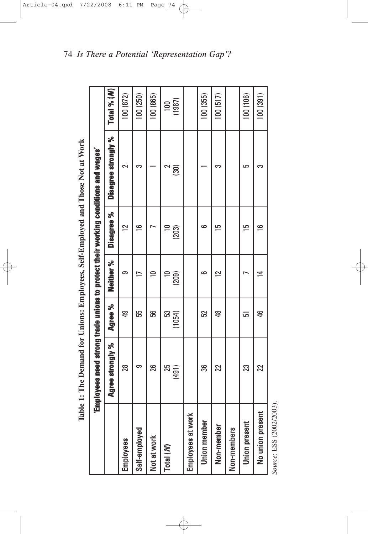| l                             |
|-------------------------------|
| i<br>$\overline{\phantom{a}}$ |
|                               |
| י<br>ו                        |
| i                             |
| <br> <br> <br>ĺ               |
| i                             |
|                               |
|                               |
|                               |
| $\frac{1}{2}$<br>ーミーて         |
|                               |
| )<br>)                        |
|                               |
| $\ddot{\phantom{a}}$<br>J     |
|                               |
| <b>112.000</b><br>;<br>ׇ֚֚֬֕  |
|                               |
|                               |
|                               |
| ļ<br>j                        |
| <br> <br> <br>ĺ               |
| I                             |
| Í<br>:<br>i                   |
|                               |

|                       | Employees need strong trade unions to protect their working conditions and wages' |             |                |                |                     |               |
|-----------------------|-----------------------------------------------------------------------------------|-------------|----------------|----------------|---------------------|---------------|
|                       | Agree strongly %                                                                  | Agree %     | Neither %      | Disagree %     | Disagree strongly % | Total % $(M)$ |
| Employees             | 28                                                                                | ęp          | တ              | $\overline{2}$ | ี∼                  | 100 (872)     |
| Self-employed         | တ                                                                                 | 55          |                | 6              | က                   | 100(250)      |
| Not at work           | 26                                                                                | မ္မ         | 0              |                |                     | 100 (865)     |
| Total $(\mathcal{N})$ | 25<br>(491)                                                                       | S<br>(1054) | $\Xi$<br>(209) | (203)          | $\overline{30}$     | (1987)<br>100 |
| Employees at work     |                                                                                   |             |                |                |                     |               |
| Union member          | အိ                                                                                | 52          | ص              | ڡ              |                     | 100(355)      |
| Non-member            | 22                                                                                | \$          | $\overline{2}$ | c              | က                   | 100(517)      |
| Non-members           |                                                                                   |             |                |                |                     |               |
| Union present         | 23                                                                                | 고           |                | ما             | 5                   | 100 (106)     |
| No union present      | 22                                                                                | \$          | 4              | ڡ              | က                   | 100(391)      |
|                       |                                                                                   |             |                |                |                     |               |

Source: ESS (2002/2003). *Source*: ESS (2002/2003).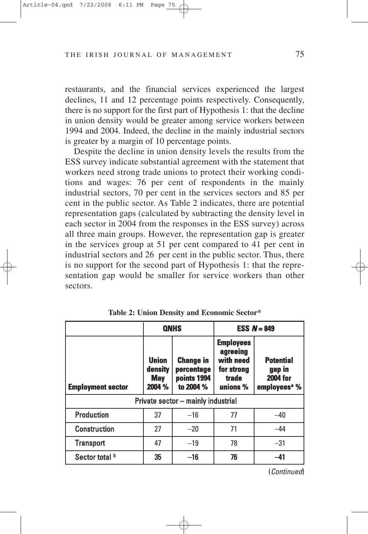restaurants, and the financial services experienced the largest declines, 11 and 12 percentage points respectively. Consequently, there is no support for the first part of Hypothesis 1: that the decline in union density would be greater among service workers between 1994 and 2004. Indeed, the decline in the mainly industrial sectors is greater by a margin of 10 percentage points.

Despite the decline in union density levels the results from the ESS survey indicate substantial agreement with the statement that workers need strong trade unions to protect their working conditions and wages: 76 per cent of respondents in the mainly industrial sectors, 70 per cent in the services sectors and 85 per cent in the public sector. As Table 2 indicates, there are potential representation gaps (calculated by subtracting the density level in each sector in 2004 from the responses in the ESS survey) across all three main groups. However, the representation gap is greater in the services group at 51 per cent compared to 41 per cent in industrial sectors and 26 per cent in the public sector. Thus, there is no support for the second part of Hypothesis 1: that the representation gap would be smaller for service workers than other sectors.

|                          |                                                 | <b>QNHS</b>                                                |                                                                                     | ESS $N = 849$                                                             |  |
|--------------------------|-------------------------------------------------|------------------------------------------------------------|-------------------------------------------------------------------------------------|---------------------------------------------------------------------------|--|
| <b>Employment sector</b> | <b>Union</b><br>density<br><b>May</b><br>2004 % | <b>Change in</b><br>percentage<br>points 1994<br>to 2004 % | <b>Employees</b><br>agreeing<br>with need<br>for strong<br><b>trade</b><br>unions % | <b>Potential</b><br>gap in<br><b>2004 for</b><br>employees <sup>a</sup> % |  |
|                          | Private sector - mainly industrial              |                                                            |                                                                                     |                                                                           |  |
| <b>Production</b>        | 37                                              | $-16$                                                      | 77                                                                                  | $-40$                                                                     |  |
| <b>Construction</b>      | 27                                              | $-20$                                                      | 71                                                                                  | $-44$                                                                     |  |
| <b>Transport</b>         | 47                                              | $-19$                                                      | 78                                                                                  | $-31$                                                                     |  |
| Sector total b           | 35                                              | $-16$                                                      | 76                                                                                  | -41                                                                       |  |

**Table 2: Union Density and Economic Sector\***

(Continued)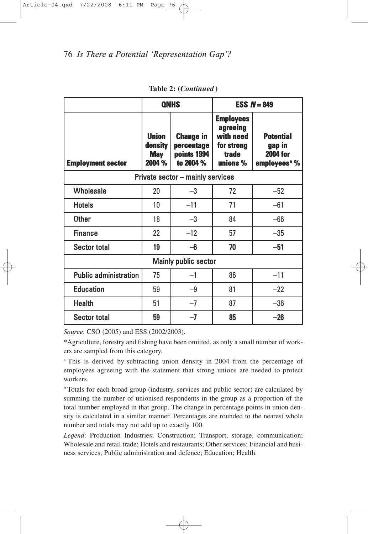|                              |                                                 | <b>QNHS</b>                                                |                                                                              | ESS $N = 849$                                                             |
|------------------------------|-------------------------------------------------|------------------------------------------------------------|------------------------------------------------------------------------------|---------------------------------------------------------------------------|
| <b>Employment sector</b>     | <b>Union</b><br>density<br><b>May</b><br>2004 % | <b>Change in</b><br>percentage<br>points 1994<br>to 2004 % | <b>Employees</b><br>agreeing<br>with need<br>for strong<br>trade<br>unions % | <b>Potential</b><br>gap in<br><b>2004 for</b><br>employees <sup>a</sup> % |
|                              |                                                 | Private sector - mainly services                           |                                                                              |                                                                           |
| <b>Wholesale</b>             | 20                                              | $-3$                                                       | 72                                                                           | $-52$                                                                     |
| <b>Hotels</b>                | 10                                              | $-11$                                                      | 71                                                                           | $-61$                                                                     |
| <b>Other</b>                 | 18                                              | $-3$                                                       | 84                                                                           | $-66$                                                                     |
| <b>Finance</b>               | 22                                              | $-12$                                                      | 57                                                                           | $-35$                                                                     |
| <b>Sector total</b>          | 19                                              | $-6$                                                       | 70                                                                           | $-51$                                                                     |
|                              |                                                 | Mainly public sector                                       |                                                                              |                                                                           |
| <b>Public administration</b> | 75                                              | $-1$                                                       | 86                                                                           | $-11$                                                                     |
| <b>Education</b>             | 59                                              | $-9$                                                       | 81                                                                           | $-22$                                                                     |
| <b>Health</b>                | 51                                              | $-7$                                                       | 87                                                                           | $-36$                                                                     |
| <b>Sector total</b>          | 59                                              | -7                                                         | 85                                                                           | $-26$                                                                     |

**Table 2: (***Continued* **)**

\*Agriculture, forestry and fishing have been omitted, as only a small number of workers are sampled from this category.

<sup>a</sup> This is derived by subtracting union density in 2004 from the percentage of employees agreeing with the statement that strong unions are needed to protect workers.

b Totals for each broad group (industry, services and public sector) are calculated by summing the number of unionised respondents in the group as a proportion of the total number employed in that group. The change in percentage points in union density is calculated in a similar manner. Percentages are rounded to the nearest whole number and totals may not add up to exactly 100.

*Legend*: Production Industries; Construction; Transport, storage, communication; Wholesale and retail trade; Hotels and restaurants; Other services; Financial and business services; Public administration and defence; Education; Health.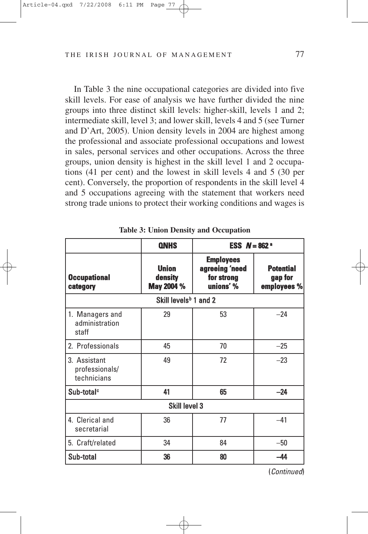In Table 3 the nine occupational categories are divided into five skill levels. For ease of analysis we have further divided the nine groups into three distinct skill levels: higher-skill, levels 1 and 2; intermediate skill, level 3; and lower skill, levels 4 and 5 (see Turner and D'Art, 2005). Union density levels in 2004 are highest among the professional and associate professional occupations and lowest in sales, personal services and other occupations. Across the three groups, union density is highest in the skill level 1 and 2 occupations (41 per cent) and the lowest in skill levels 4 and 5 (30 per cent). Conversely, the proportion of respondents in the skill level 4 and 5 occupations agreeing with the statement that workers need strong trade unions to protect their working conditions and wages is

|                                               | <b>QNHS</b>                           | <b>ESS</b> $N = 862$ <sup>a</sup>                             |                                            |
|-----------------------------------------------|---------------------------------------|---------------------------------------------------------------|--------------------------------------------|
| <b>Occupational</b><br>category               | <b>Union</b><br>density<br>May 2004 % | <b>Employees</b><br>agreeing 'need<br>for strong<br>unions' % | <b>Potential</b><br>gap for<br>employees % |
|                                               | Skill levels <sup>b</sup> 1 and 2     |                                                               |                                            |
| 1. Managers and<br>administration<br>staff    | 29                                    | 53                                                            | $-24$                                      |
| 2. Professionals                              | 45                                    | 70                                                            | $-25$                                      |
| 3. Assistant<br>professionals/<br>technicians | 49                                    | 72                                                            | $-23$                                      |
| Sub-total <sup>c</sup>                        | 41                                    | 65                                                            | $-24$                                      |
|                                               | Skill level 3                         |                                                               |                                            |
| 4. Clerical and<br>secretarial                | 36                                    | 77                                                            | $-41$                                      |
| 5. Craft/related                              | 34                                    | 84                                                            | $-50$                                      |
| Sub-total                                     | 36                                    | 80                                                            | -44                                        |

**Table 3: Union Density and Occupation**

(Continued)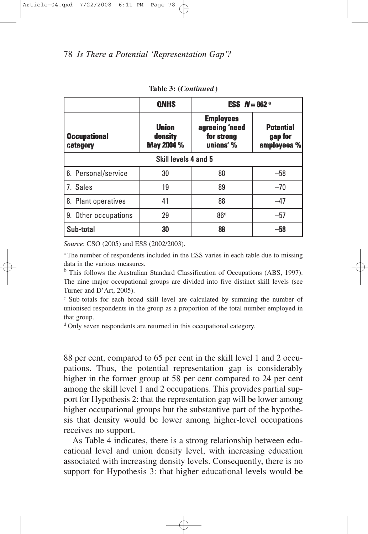|                                 | <b>QNHS</b>                           | <b>ESS</b> $N = 862$ <sup>a</sup>                             |                                            |
|---------------------------------|---------------------------------------|---------------------------------------------------------------|--------------------------------------------|
| <b>Occupational</b><br>category | <b>Union</b><br>density<br>May 2004 % | <b>Employees</b><br>agreeing 'need<br>for strong<br>unions' % | <b>Potential</b><br>gap for<br>employees % |
| Skill levels 4 and 5            |                                       |                                                               |                                            |
| 6. Personal/service             | 30                                    | 88                                                            | $-58$                                      |
| 7. Sales                        | 19                                    | 89                                                            | $-70$                                      |
| 8. Plant operatives             | 41                                    | 88                                                            | $-47$                                      |
| 9. Other occupations            | 29                                    | 86 <sup>d</sup>                                               | $-57$                                      |
| Sub-total                       | 30                                    | 88                                                            | -58                                        |

**Table 3: (***Continued* **)**

a The number of respondents included in the ESS varies in each table due to missing data in the various measures.

<sup>b</sup> This follows the Australian Standard Classification of Occupations (ABS, 1997). The nine major occupational groups are divided into five distinct skill levels (see Turner and D'Art, 2005).

<sup>c</sup> Sub-totals for each broad skill level are calculated by summing the number of unionised respondents in the group as a proportion of the total number employed in that group.

<sup>d</sup> Only seven respondents are returned in this occupational category.

88 per cent, compared to 65 per cent in the skill level 1 and 2 occupations. Thus, the potential representation gap is considerably higher in the former group at 58 per cent compared to 24 per cent among the skill level 1 and 2 occupations. This provides partial support for Hypothesis 2: that the representation gap will be lower among higher occupational groups but the substantive part of the hypothesis that density would be lower among higher-level occupations receives no support.

As Table 4 indicates, there is a strong relationship between educational level and union density level, with increasing education associated with increasing density levels. Consequently, there is no support for Hypothesis 3: that higher educational levels would be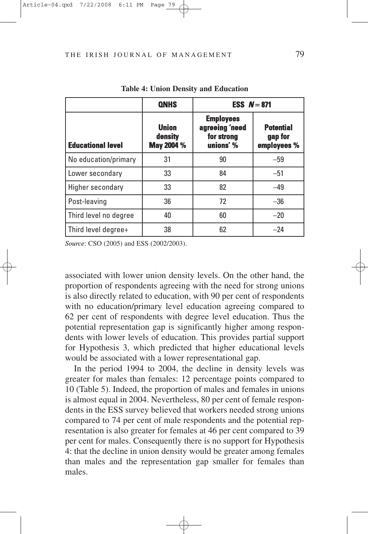|                          | <b>QNHS</b>                           | ESS $N = 871$                                                 |                                            |
|--------------------------|---------------------------------------|---------------------------------------------------------------|--------------------------------------------|
| <b>Educational level</b> | <b>Union</b><br>density<br>May 2004 % | <b>Employees</b><br>agreeing 'need<br>for strong<br>unions' % | <b>Potential</b><br>gap for<br>employees % |
| No education/primary     | 31                                    | 90                                                            | $-59$                                      |
| Lower secondary          | 33                                    | 84                                                            | $-51$                                      |
| Higher secondary         | 33                                    | 82                                                            | $-49$                                      |
| Post-leaving             | 36                                    | 72                                                            | $-36$                                      |
| Third level no degree    | 40                                    | 60                                                            | $-20$                                      |
| Third level degree+      | 38                                    | 62                                                            | $-24$                                      |

**Table 4: Union Density and Education**

associated with lower union density levels. On the other hand, the proportion of respondents agreeing with the need for strong unions is also directly related to education, with 90 per cent of respondents with no education/primary level education agreeing compared to 62 per cent of respondents with degree level education. Thus the potential representation gap is significantly higher among respondents with lower levels of education. This provides partial support for Hypothesis 3, which predicted that higher educational levels would be associated with a lower representational gap.

In the period 1994 to 2004, the decline in density levels was greater for males than females: 12 percentage points compared to 10 (Table 5). Indeed, the proportion of males and females in unions is almost equal in 2004. Nevertheless, 80 per cent of female respondents in the ESS survey believed that workers needed strong unions compared to 74 per cent of male respondents and the potential representation is also greater for females at 46 per cent compared to 39 per cent for males. Consequently there is no support for Hypothesis 4: that the decline in union density would be greater among females than males and the representation gap smaller for females than males.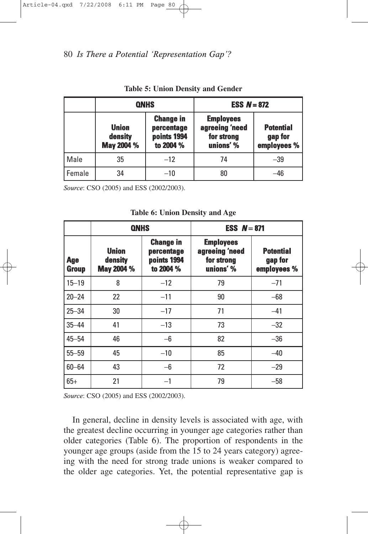|          | <b>QNHS</b>                           |                                                            | <b>ESS <math>N = 872</math></b>                               |                                            |
|----------|---------------------------------------|------------------------------------------------------------|---------------------------------------------------------------|--------------------------------------------|
|          | <b>Union</b><br>density<br>May 2004 % | <b>Change in</b><br>percentage<br>points 1994<br>to 2004 % | <b>Employees</b><br>agreeing 'need<br>for strong<br>unions' % | <b>Potential</b><br>gap for<br>employees % |
| Male     | 35                                    | $-12$                                                      | 74                                                            | $-39$                                      |
| l Female | 34                                    | $-10$                                                      | 80                                                            | -46                                        |

**Table 5: Union Density and Gender**

|                            | <b>QNHS</b>                           |                                                            | ESS $N = 871$                                                 |                                            |
|----------------------------|---------------------------------------|------------------------------------------------------------|---------------------------------------------------------------|--------------------------------------------|
| <b>Age</b><br><b>Group</b> | <b>Union</b><br>density<br>May 2004 % | <b>Change in</b><br>percentage<br>points 1994<br>to 2004 % | <b>Employees</b><br>agreeing 'need<br>for strong<br>unions' % | <b>Potential</b><br>gap for<br>employees % |
| $15 - 19$                  | 8                                     | $-12$                                                      | 79                                                            | $-71$                                      |
| $20 - 24$                  | 22                                    | $-11$                                                      | 90                                                            | $-68$                                      |
| $25 - 34$                  | 30                                    | $-17$                                                      | 71                                                            | $-41$                                      |
| $35 - 44$                  | 41                                    | $-13$                                                      | 73                                                            | $-32$                                      |
| $45 - 54$                  | 46                                    | $-6$                                                       | 82                                                            | $-36$                                      |
| $55 - 59$                  | 45                                    | $-10$                                                      | 85                                                            | $-40$                                      |
| $60 - 64$                  | 43                                    | $-6$                                                       | 72                                                            | $-29$                                      |
| $65+$                      | 21                                    | $-1$                                                       | 79                                                            | $-58$                                      |

**Table 6: Union Density and Age**

*Source*: CSO (2005) and ESS (2002/2003).

In general, decline in density levels is associated with age, with the greatest decline occurring in younger age categories rather than older categories (Table 6). The proportion of respondents in the younger age groups (aside from the 15 to 24 years category) agreeing with the need for strong trade unions is weaker compared to the older age categories. Yet, the potential representative gap is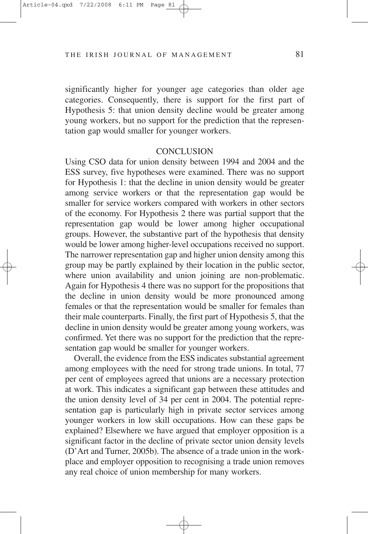significantly higher for younger age categories than older age categories. Consequently, there is support for the first part of Hypothesis 5: that union density decline would be greater among young workers, but no support for the prediction that the representation gap would smaller for younger workers.

#### **CONCLUSION**

Using CSO data for union density between 1994 and 2004 and the ESS survey, five hypotheses were examined. There was no support for Hypothesis 1: that the decline in union density would be greater among service workers or that the representation gap would be smaller for service workers compared with workers in other sectors of the economy. For Hypothesis 2 there was partial support that the representation gap would be lower among higher occupational groups. However, the substantive part of the hypothesis that density would be lower among higher-level occupations received no support. The narrower representation gap and higher union density among this group may be partly explained by their location in the public sector, where union availability and union joining are non-problematic. Again for Hypothesis 4 there was no support for the propositions that the decline in union density would be more pronounced among females or that the representation would be smaller for females than their male counterparts. Finally, the first part of Hypothesis 5, that the decline in union density would be greater among young workers, was confirmed. Yet there was no support for the prediction that the representation gap would be smaller for younger workers.

Overall, the evidence from the ESS indicates substantial agreement among employees with the need for strong trade unions. In total, 77 per cent of employees agreed that unions are a necessary protection at work. This indicates a significant gap between these attitudes and the union density level of 34 per cent in 2004. The potential representation gap is particularly high in private sector services among younger workers in low skill occupations. How can these gaps be explained? Elsewhere we have argued that employer opposition is a significant factor in the decline of private sector union density levels (D'Art and Turner, 2005b). The absence of a trade union in the workplace and employer opposition to recognising a trade union removes any real choice of union membership for many workers.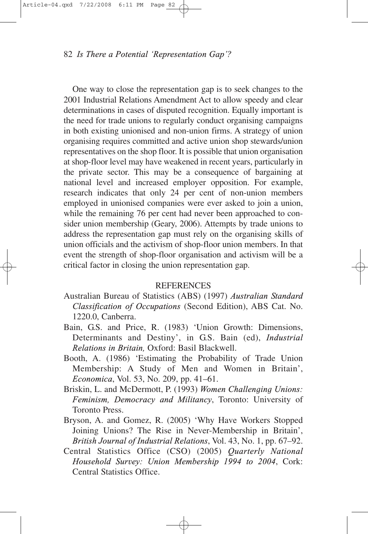One way to close the representation gap is to seek changes to the 2001 Industrial Relations Amendment Act to allow speedy and clear determinations in cases of disputed recognition. Equally important is the need for trade unions to regularly conduct organising campaigns in both existing unionised and non-union firms. A strategy of union organising requires committed and active union shop stewards/union representatives on the shop floor. It is possible that union organisation at shop-floor level may have weakened in recent years, particularly in the private sector. This may be a consequence of bargaining at national level and increased employer opposition. For example, research indicates that only 24 per cent of non-union members employed in unionised companies were ever asked to join a union, while the remaining 76 per cent had never been approached to consider union membership (Geary, 2006). Attempts by trade unions to address the representation gap must rely on the organising skills of union officials and the activism of shop-floor union members. In that event the strength of shop-floor organisation and activism will be a critical factor in closing the union representation gap.

#### REFERENCES

- Australian Bureau of Statistics (ABS) (1997) *Australian Standard Classification of Occupations* (Second Edition), ABS Cat. No. 1220.0, Canberra.
- Bain, G.S. and Price, R. (1983) 'Union Growth: Dimensions, Determinants and Destiny', in G.S. Bain (ed), *Industrial Relations in Britain,* Oxford: Basil Blackwell.
- Booth, A. (1986) 'Estimating the Probability of Trade Union Membership: A Study of Men and Women in Britain', *Economica*, Vol. 53, No. 209, pp. 41–61.
- Briskin, L. and McDermott, P. (1993) *Women Challenging Unions: Feminism, Democracy and Militancy*, Toronto: University of Toronto Press.
- Bryson, A. and Gomez, R. (2005) 'Why Have Workers Stopped Joining Unions? The Rise in Never-Membership in Britain', *British Journal of Industrial Relations*, Vol. 43, No. 1, pp. 67–92.
- Central Statistics Office (CSO) (2005) *Quarterly National Household Survey: Union Membership 1994 to 2004*, Cork: Central Statistics Office.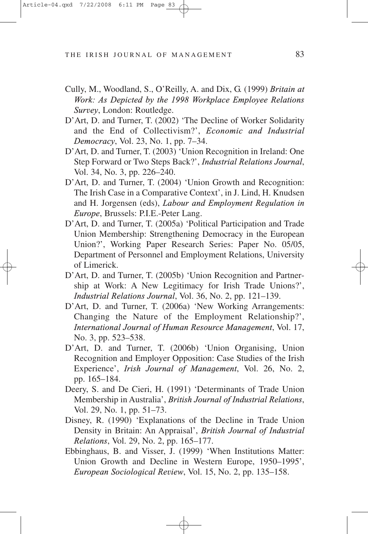- Cully, M., Woodland, S., O'Reilly, A. and Dix, G. (1999) *Britain at Work: As Depicted by the 1998 Workplace Employee Relations Survey*, London: Routledge.
- D'Art, D. and Turner, T. (2002) 'The Decline of Worker Solidarity and the End of Collectivism?', *Economic and Industrial Democracy*, Vol. 23, No. 1, pp. 7–34.
- D'Art, D. and Turner, T. (2003) 'Union Recognition in Ireland: One Step Forward or Two Steps Back?', *Industrial Relations Journal*, Vol. 34, No. 3, pp. 226–240.
- D'Art, D. and Turner, T. (2004) 'Union Growth and Recognition: The Irish Case in a Comparative Context', in J. Lind, H. Knudsen and H. Jorgensen (eds), *Labour and Employment Regulation in Europe*, Brussels: P.I.E.-Peter Lang.
- D'Art, D. and Turner, T. (2005a) 'Political Participation and Trade Union Membership: Strengthening Democracy in the European Union?', Working Paper Research Series: Paper No. 05/05, Department of Personnel and Employment Relations, University of Limerick.
- D'Art, D. and Turner, T. (2005b) 'Union Recognition and Partnership at Work: A New Legitimacy for Irish Trade Unions?', *Industrial Relations Journal*, Vol. 36, No. 2, pp. 121–139.
- D'Art, D. and Turner, T. (2006a) 'New Working Arrangements: Changing the Nature of the Employment Relationship?', *International Journal of Human Resource Management*, Vol. 17, No. 3, pp. 523–538.
- D'Art, D. and Turner, T. (2006b) 'Union Organising, Union Recognition and Employer Opposition: Case Studies of the Irish Experience', *Irish Journal of Management*, Vol. 26, No. 2, pp. 165–184.
- Deery, S. and De Cieri, H. (1991) 'Determinants of Trade Union Membership in Australia', *British Journal of Industrial Relations*, Vol. 29, No. 1, pp. 51–73.
- Disney, R. (1990) 'Explanations of the Decline in Trade Union Density in Britain: An Appraisal', *British Journal of Industrial Relations*, Vol. 29, No. 2, pp. 165–177.
- Ebbinghaus, B. and Visser, J. (1999) 'When Institutions Matter: Union Growth and Decline in Western Europe, 1950–1995', *European Sociological Review*, Vol. 15, No. 2, pp. 135–158.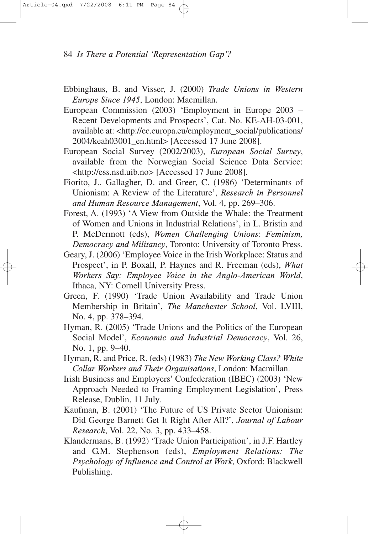- Ebbinghaus, B. and Visser, J. (2000) *Trade Unions in Western Europe Since 1945*, London: Macmillan.
- European Commission (2003) 'Employment in Europe 2003 Recent Developments and Prospects', Cat. No. KE-AH-03-001, available at: <http://ec.europa.eu/employment\_social/publications/ 2004/keah03001\_en.html> [Accessed 17 June 2008].
- European Social Survey (2002/2003), *European Social Survey*, available from the Norwegian Social Science Data Service: <http://ess.nsd.uib.no> [Accessed 17 June 2008].
- Fiorito, J., Gallagher, D. and Greer, C. (1986) 'Determinants of Unionism: A Review of the Literature', *Research in Personnel and Human Resource Management*, Vol. 4, pp. 269–306.
- Forest, A. (1993) 'A View from Outside the Whale: the Treatment of Women and Unions in Industrial Relations', in L. Bristin and P. McDermott (eds), *Women Challenging Unions*: *Feminism, Democracy and Militancy*, Toronto: University of Toronto Press.
- Geary, J. (2006) 'Employee Voice in the Irish Workplace: Status and Prospect', in P. Boxall, P. Haynes and R. Freeman (eds), *What Workers Say: Employee Voice in the Anglo-American World*, Ithaca, NY: Cornell University Press.
- Green, F. (1990) 'Trade Union Availability and Trade Union Membership in Britain', *The Manchester School*, Vol. LVIII, No. 4, pp. 378–394.
- Hyman, R. (2005) 'Trade Unions and the Politics of the European Social Model', *Economic and Industrial Democracy*, Vol. 26, No. 1, pp. 9–40.
- Hyman, R. and Price, R. (eds) (1983) *The New Working Class? White Collar Workers and Their Organisations*, London: Macmillan.
- Irish Business and Employers' Confederation (IBEC) (2003) 'New Approach Needed to Framing Employment Legislation', Press Release, Dublin, 11 July.
- Kaufman, B. (2001) 'The Future of US Private Sector Unionism: Did George Barnett Get It Right After All?', *Journal of Labour Research*, Vol. 22, No. 3, pp. 433–458.
- Klandermans, B. (1992) 'Trade Union Participation', in J.F. Hartley and G.M. Stephenson (eds), *Employment Relations: The Psychology of Influence and Control at Work*, Oxford: Blackwell Publishing.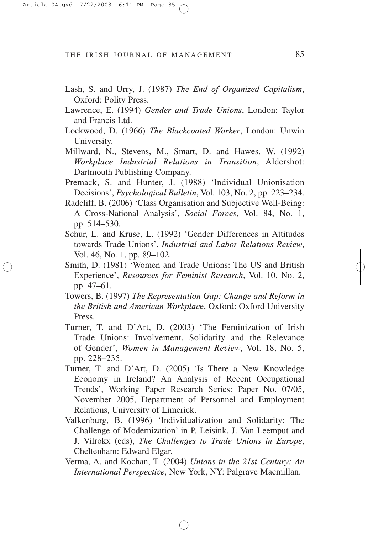- Lash, S. and Urry, J. (1987) *The End of Organized Capitalism*, Oxford: Polity Press.
- Lawrence, E. (1994) *Gender and Trade Unions*, London: Taylor and Francis Ltd.
- Lockwood, D. (1966) *The Blackcoated Worker*, London: Unwin University.
- Millward, N., Stevens, M., Smart, D. and Hawes, W. (1992) *Workplace Industrial Relations in Transition*, Aldershot: Dartmouth Publishing Company.
- Premack, S. and Hunter, J. (1988) 'Individual Unionisation Decisions', *Psychological Bulletin*, Vol. 103, No. 2, pp. 223–234.
- Radcliff, B. (2006) 'Class Organisation and Subjective Well-Being: A Cross-National Analysis', *Social Forces*, Vol. 84, No. 1, pp. 514–530.
- Schur, L. and Kruse, L. (1992) 'Gender Differences in Attitudes towards Trade Unions', *Industrial and Labor Relations Review*, Vol. 46, No. 1, pp. 89–102.
- Smith, D. (1981) 'Women and Trade Unions: The US and British Experience', *Resources for Feminist Research*, Vol. 10, No. 2, pp. 47–61.
- Towers, B. (1997) *The Representation Gap: Change and Reform in the British and American Workplac*e, Oxford: Oxford University Press.
- Turner, T. and D'Art, D. (2003) 'The Feminization of Irish Trade Unions: Involvement, Solidarity and the Relevance of Gender', *Women in Management Review*, Vol. 18, No. 5, pp. 228–235.
- Turner, T. and D'Art, D. (2005) 'Is There a New Knowledge Economy in Ireland? An Analysis of Recent Occupational Trends', Working Paper Research Series: Paper No. 07/05, November 2005, Department of Personnel and Employment Relations, University of Limerick.
- Valkenburg, B. (1996) 'Individualization and Solidarity: The Challenge of Modernization' in P. Leisink, J. Van Leemput and J. Vilrokx (eds), *The Challenges to Trade Unions in Europe*, Cheltenham: Edward Elgar.
- Verma, A. and Kochan, T. (2004) *Unions in the 21st Century: An International Perspective*, New York, NY: Palgrave Macmillan.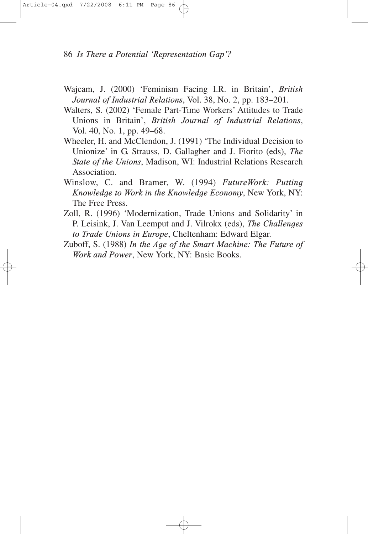- Wajcam, J. (2000) 'Feminism Facing I.R. in Britain', *British Journal of Industrial Relations*, Vol. 38, No. 2, pp. 183–201.
- Walters, S. (2002) 'Female Part-Time Workers' Attitudes to Trade Unions in Britain', *British Journal of Industrial Relations*, Vol. 40, No. 1, pp. 49–68.
- Wheeler, H. and McClendon, J. (1991) 'The Individual Decision to Unionize' in G. Strauss, D. Gallagher and J. Fiorito (eds), *The State of the Unions*, Madison, WI: Industrial Relations Research Association.
- Winslow, C. and Bramer, W. (1994) *FutureWork: Putting Knowledge to Work in the Knowledge Economy*, New York, NY: The Free Press.
- Zoll, R. (1996) 'Modernization, Trade Unions and Solidarity' in P. Leisink, J. Van Leemput and J. Vilrokx (eds), *The Challenges to Trade Unions in Europe*, Cheltenham: Edward Elgar.
- Zuboff, S. (1988) *In the Age of the Smart Machine: The Future of Work and Power*, New York, NY: Basic Books.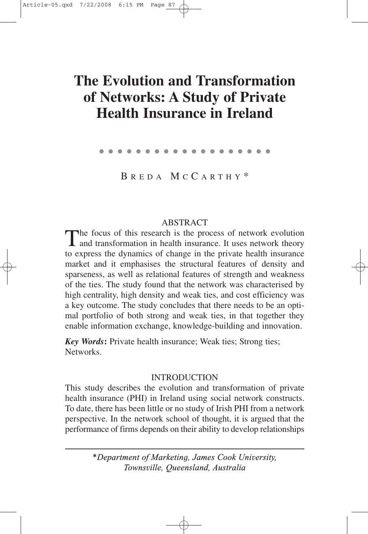# **The Evolution and Transformation of Networks: A Study of Private Health Insurance in Ireland**

●●●●●●●●●●●●●●●●●●●

B REDA M C C ARTHY \*

# ABSTRACT

The focus of this research is the process of network evolution and transformation in health insurance. It uses network theory to express the dynamics of change in the private health insurance market and it emphasises the structural features of density and sparseness, as well as relational features of strength and weakness of the ties. The study found that the network was characterised by high centrality, high density and weak ties, and cost efficiency was a key outcome. The study concludes that there needs to be an optimal portfolio of both strong and weak ties, in that together they enable information exchange, knowledge-building and innovation.

*Key Words***:** Private health insurance; Weak ties; Strong ties; Networks.

## **INTRODUCTION**

This study describes the evolution and transformation of private health insurance (PHI) in Ireland using social network constructs. To date, there has been little or no study of Irish PHI from a network perspective. In the network school of thought, it is argued that the performance of firms depends on their ability to develop relationships

> *\*Department of Marketing, James Cook University, Townsville, Queensland, Australia*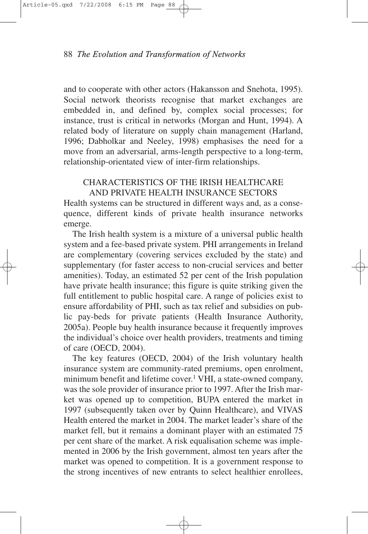and to cooperate with other actors (Hakansson and Snehota, 1995). Social network theorists recognise that market exchanges are embedded in, and defined by, complex social processes; for instance, trust is critical in networks (Morgan and Hunt, 1994). A related body of literature on supply chain management (Harland, 1996; Dabholkar and Neeley, 1998) emphasises the need for a move from an adversarial, arms-length perspective to a long-term, relationship-orientated view of inter-firm relationships.

## CHARACTERISTICS OF THE IRISH HEALTHCARE AND PRIVATE HEALTH INSURANCE SECTORS

Health systems can be structured in different ways and, as a consequence, different kinds of private health insurance networks emerge.

The Irish health system is a mixture of a universal public health system and a fee-based private system. PHI arrangements in Ireland are complementary (covering services excluded by the state) and supplementary (for faster access to non-crucial services and better amenities). Today, an estimated 52 per cent of the Irish population have private health insurance; this figure is quite striking given the full entitlement to public hospital care. A range of policies exist to ensure affordability of PHI, such as tax relief and subsidies on public pay-beds for private patients (Health Insurance Authority, 2005a). People buy health insurance because it frequently improves the individual's choice over health providers, treatments and timing of care (OECD, 2004).

The key features (OECD, 2004) of the Irish voluntary health insurance system are community-rated premiums, open enrolment, minimum benefit and lifetime cover.<sup>1</sup> VHI, a state-owned company, was the sole provider of insurance prior to 1997. After the Irish market was opened up to competition, BUPA entered the market in 1997 (subsequently taken over by Quinn Healthcare), and VIVAS Health entered the market in 2004. The market leader's share of the market fell, but it remains a dominant player with an estimated 75 per cent share of the market. A risk equalisation scheme was implemented in 2006 by the Irish government, almost ten years after the market was opened to competition. It is a government response to the strong incentives of new entrants to select healthier enrollees,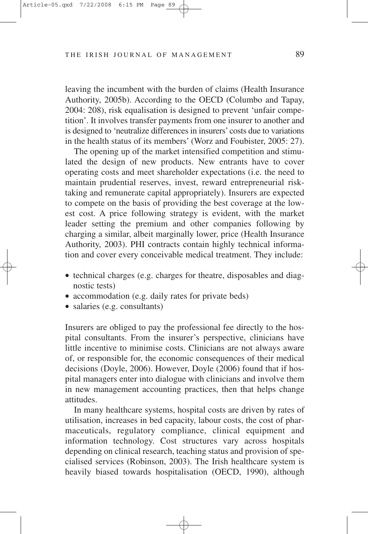leaving the incumbent with the burden of claims (Health Insurance Authority, 2005b). According to the OECD (Columbo and Tapay, 2004: 208), risk equalisation is designed to prevent 'unfair competition'. It involves transfer payments from one insurer to another and is designed to 'neutralize differences in insurers' costs due to variations in the health status of its members' (Worz and Foubister, 2005: 27).

The opening up of the market intensified competition and stimulated the design of new products. New entrants have to cover operating costs and meet shareholder expectations (i.e. the need to maintain prudential reserves, invest, reward entrepreneurial risktaking and remunerate capital appropriately). Insurers are expected to compete on the basis of providing the best coverage at the lowest cost. A price following strategy is evident, with the market leader setting the premium and other companies following by charging a similar, albeit marginally lower, price (Health Insurance Authority, 2003). PHI contracts contain highly technical information and cover every conceivable medical treatment. They include:

- technical charges (e.g. charges for theatre, disposables and diagnostic tests)
- accommodation (e.g. daily rates for private beds)
- salaries (e.g. consultants)

Insurers are obliged to pay the professional fee directly to the hospital consultants. From the insurer's perspective, clinicians have little incentive to minimise costs. Clinicians are not always aware of, or responsible for, the economic consequences of their medical decisions (Doyle, 2006). However, Doyle (2006) found that if hospital managers enter into dialogue with clinicians and involve them in new management accounting practices, then that helps change attitudes.

In many healthcare systems, hospital costs are driven by rates of utilisation, increases in bed capacity, labour costs, the cost of pharmaceuticals, regulatory compliance, clinical equipment and information technology. Cost structures vary across hospitals depending on clinical research, teaching status and provision of specialised services (Robinson, 2003). The Irish healthcare system is heavily biased towards hospitalisation (OECD, 1990), although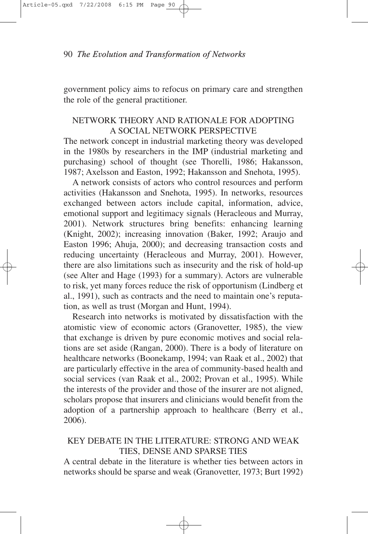government policy aims to refocus on primary care and strengthen the role of the general practitioner.

## NETWORK THEORY AND RATIONALE FOR ADOPTING A SOCIAL NETWORK PERSPECTIVE

The network concept in industrial marketing theory was developed in the 1980s by researchers in the IMP (industrial marketing and purchasing) school of thought (see Thorelli, 1986; Hakansson, 1987; Axelsson and Easton, 1992; Hakansson and Snehota, 1995).

A network consists of actors who control resources and perform activities (Hakansson and Snehota, 1995). In networks, resources exchanged between actors include capital, information, advice, emotional support and legitimacy signals (Heracleous and Murray, 2001). Network structures bring benefits: enhancing learning (Knight, 2002); increasing innovation (Baker, 1992; Araujo and Easton 1996; Ahuja, 2000); and decreasing transaction costs and reducing uncertainty (Heracleous and Murray, 2001). However, there are also limitations such as insecurity and the risk of hold-up (see Alter and Hage (1993) for a summary). Actors are vulnerable to risk, yet many forces reduce the risk of opportunism (Lindberg et al., 1991), such as contracts and the need to maintain one's reputation, as well as trust (Morgan and Hunt, 1994).

Research into networks is motivated by dissatisfaction with the atomistic view of economic actors (Granovetter, 1985), the view that exchange is driven by pure economic motives and social relations are set aside (Rangan, 2000). There is a body of literature on healthcare networks (Boonekamp, 1994; van Raak et al., 2002) that are particularly effective in the area of community-based health and social services (van Raak et al., 2002; Provan et al., 1995). While the interests of the provider and those of the insurer are not aligned, scholars propose that insurers and clinicians would benefit from the adoption of a partnership approach to healthcare (Berry et al., 2006).

## KEY DEBATE IN THE LITERATURE: STRONG AND WEAK TIES, DENSE AND SPARSE TIES

A central debate in the literature is whether ties between actors in networks should be sparse and weak (Granovetter, 1973; Burt 1992)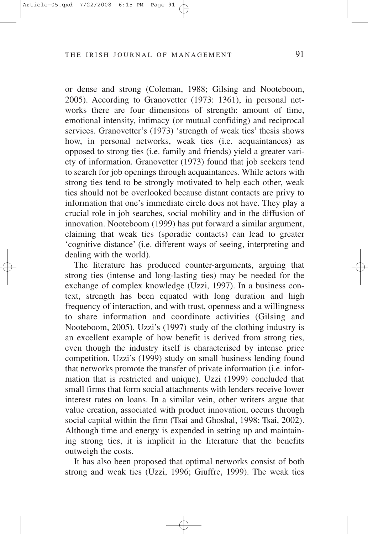or dense and strong (Coleman, 1988; Gilsing and Nooteboom, 2005). According to Granovetter (1973: 1361), in personal networks there are four dimensions of strength: amount of time, emotional intensity, intimacy (or mutual confiding) and reciprocal services. Granovetter's (1973) 'strength of weak ties' thesis shows how, in personal networks, weak ties (i.e. acquaintances) as opposed to strong ties (i.e. family and friends) yield a greater variety of information. Granovetter (1973) found that job seekers tend to search for job openings through acquaintances. While actors with strong ties tend to be strongly motivated to help each other, weak ties should not be overlooked because distant contacts are privy to information that one's immediate circle does not have. They play a crucial role in job searches, social mobility and in the diffusion of innovation. Nooteboom (1999) has put forward a similar argument, claiming that weak ties (sporadic contacts) can lead to greater 'cognitive distance' (i.e. different ways of seeing, interpreting and dealing with the world).

The literature has produced counter-arguments, arguing that strong ties (intense and long-lasting ties) may be needed for the exchange of complex knowledge (Uzzi, 1997). In a business context, strength has been equated with long duration and high frequency of interaction, and with trust, openness and a willingness to share information and coordinate activities (Gilsing and Nooteboom, 2005). Uzzi's (1997) study of the clothing industry is an excellent example of how benefit is derived from strong ties, even though the industry itself is characterised by intense price competition. Uzzi's (1999) study on small business lending found that networks promote the transfer of private information (i.e. information that is restricted and unique). Uzzi (1999) concluded that small firms that form social attachments with lenders receive lower interest rates on loans. In a similar vein, other writers argue that value creation, associated with product innovation, occurs through social capital within the firm (Tsai and Ghoshal, 1998; Tsai, 2002). Although time and energy is expended in setting up and maintaining strong ties, it is implicit in the literature that the benefits outweigh the costs.

It has also been proposed that optimal networks consist of both strong and weak ties (Uzzi, 1996; Giuffre, 1999). The weak ties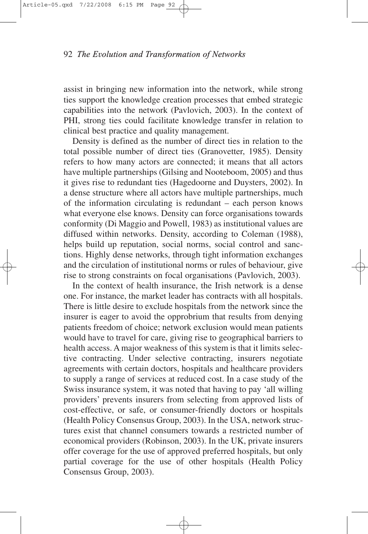assist in bringing new information into the network, while strong ties support the knowledge creation processes that embed strategic capabilities into the network (Pavlovich, 2003). In the context of PHI, strong ties could facilitate knowledge transfer in relation to clinical best practice and quality management.

Density is defined as the number of direct ties in relation to the total possible number of direct ties (Granovetter, 1985). Density refers to how many actors are connected; it means that all actors have multiple partnerships (Gilsing and Nooteboom, 2005) and thus it gives rise to redundant ties (Hagedoorne and Duysters, 2002). In a dense structure where all actors have multiple partnerships, much of the information circulating is redundant – each person knows what everyone else knows. Density can force organisations towards conformity (Di Maggio and Powell, 1983) as institutional values are diffused within networks. Density, according to Coleman (1988), helps build up reputation, social norms, social control and sanctions. Highly dense networks, through tight information exchanges and the circulation of institutional norms or rules of behaviour, give rise to strong constraints on focal organisations (Pavlovich, 2003).

In the context of health insurance, the Irish network is a dense one. For instance, the market leader has contracts with all hospitals. There is little desire to exclude hospitals from the network since the insurer is eager to avoid the opprobrium that results from denying patients freedom of choice; network exclusion would mean patients would have to travel for care, giving rise to geographical barriers to health access. A major weakness of this system is that it limits selective contracting. Under selective contracting, insurers negotiate agreements with certain doctors, hospitals and healthcare providers to supply a range of services at reduced cost. In a case study of the Swiss insurance system, it was noted that having to pay 'all willing providers' prevents insurers from selecting from approved lists of cost-effective, or safe, or consumer-friendly doctors or hospitals (Health Policy Consensus Group, 2003). In the USA, network structures exist that channel consumers towards a restricted number of economical providers (Robinson, 2003). In the UK, private insurers offer coverage for the use of approved preferred hospitals, but only partial coverage for the use of other hospitals (Health Policy Consensus Group, 2003).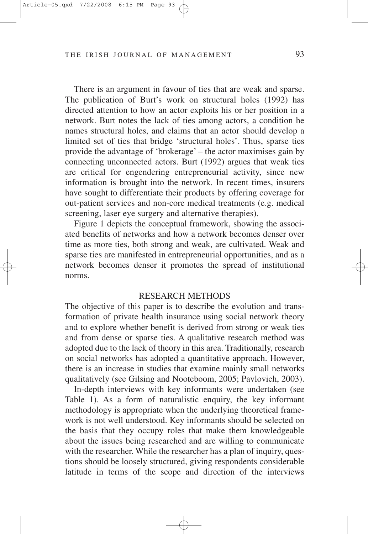There is an argument in favour of ties that are weak and sparse. The publication of Burt's work on structural holes (1992) has directed attention to how an actor exploits his or her position in a network. Burt notes the lack of ties among actors, a condition he names structural holes, and claims that an actor should develop a limited set of ties that bridge 'structural holes'. Thus, sparse ties provide the advantage of 'brokerage' – the actor maximises gain by connecting unconnected actors. Burt (1992) argues that weak ties are critical for engendering entrepreneurial activity, since new information is brought into the network. In recent times, insurers have sought to differentiate their products by offering coverage for out-patient services and non-core medical treatments (e.g. medical screening, laser eye surgery and alternative therapies).

Figure 1 depicts the conceptual framework, showing the associated benefits of networks and how a network becomes denser over time as more ties, both strong and weak, are cultivated. Weak and sparse ties are manifested in entrepreneurial opportunities, and as a network becomes denser it promotes the spread of institutional norms.

#### RESEARCH METHODS

The objective of this paper is to describe the evolution and transformation of private health insurance using social network theory and to explore whether benefit is derived from strong or weak ties and from dense or sparse ties. A qualitative research method was adopted due to the lack of theory in this area. Traditionally, research on social networks has adopted a quantitative approach. However, there is an increase in studies that examine mainly small networks qualitatively (see Gilsing and Nooteboom, 2005; Pavlovich, 2003).

In-depth interviews with key informants were undertaken (see Table 1). As a form of naturalistic enquiry, the key informant methodology is appropriate when the underlying theoretical framework is not well understood. Key informants should be selected on the basis that they occupy roles that make them knowledgeable about the issues being researched and are willing to communicate with the researcher. While the researcher has a plan of inquiry, questions should be loosely structured, giving respondents considerable latitude in terms of the scope and direction of the interviews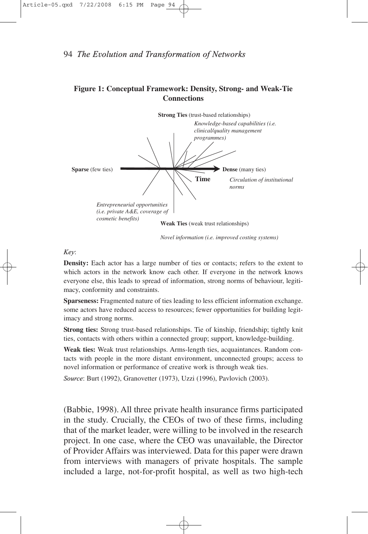#### **Figure 1: Conceptual Framework: Density, Strong- and Weak-Tie Connections**



*Novel information (i.e. improved costing systems)*

#### *Key*:

**Density:** Each actor has a large number of ties or contacts; refers to the extent to which actors in the network know each other. If everyone in the network knows everyone else, this leads to spread of information, strong norms of behaviour, legitimacy, conformity and constraints.

**Sparseness:** Fragmented nature of ties leading to less efficient information exchange. some actors have reduced access to resources; fewer opportunities for building legitimacy and strong norms.

**Strong ties:** Strong trust-based relationships. Tie of kinship, friendship; tightly knit ties, contacts with others within a connected group; support, knowledge-building.

**Weak ties:** Weak trust relationships. Arms-length ties, acquaintances. Random contacts with people in the more distant environment, unconnected groups; access to novel information or performance of creative work is through weak ties.

*Source*: Burt (1992), Granovetter (1973), Uzzi (1996), Pavlovich (2003).

(Babbie, 1998). All three private health insurance firms participated in the study. Crucially, the CEOs of two of these firms, including that of the market leader, were willing to be involved in the research project. In one case, where the CEO was unavailable, the Director of Provider Affairs was interviewed. Data for this paper were drawn from interviews with managers of private hospitals. The sample included a large, not-for-profit hospital, as well as two high-tech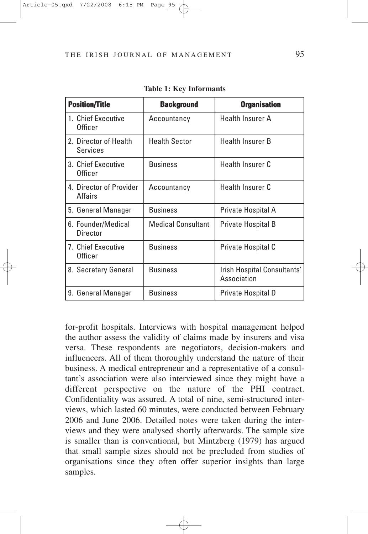| <b>Position/Title</b>              | <b>Background</b>         | <b>Organisation</b>                        |
|------------------------------------|---------------------------|--------------------------------------------|
| 1. Chief Executive<br>Officer      | Accountancy               | <b>Health Insurer A</b>                    |
| 2. Director of Health<br>Services  | <b>Health Sector</b>      | <b>Health Insurer B</b>                    |
| 3. Chief Executive<br>Officer      | <b>Business</b>           | <b>Health Insurer C</b>                    |
| 4. Director of Provider<br>Affairs | Accountancy               | <b>Health Insurer C</b>                    |
| 5. General Manager                 | <b>Business</b>           | Private Hospital A                         |
| 6. Founder/Medical<br>Director     | <b>Medical Consultant</b> | Private Hospital B                         |
| 7. Chief Executive<br>Officer      | <b>Business</b>           | Private Hospital C                         |
| 8. Secretary General               | <b>Business</b>           | Irish Hospital Consultants'<br>Association |
| 9. General Manager                 | <b>Business</b>           | Private Hospital D                         |

**Table 1: Key Informants**

for-profit hospitals. Interviews with hospital management helped the author assess the validity of claims made by insurers and visa versa. These respondents are negotiators, decision-makers and influencers. All of them thoroughly understand the nature of their business. A medical entrepreneur and a representative of a consultant's association were also interviewed since they might have a different perspective on the nature of the PHI contract. Confidentiality was assured. A total of nine, semi-structured interviews, which lasted 60 minutes, were conducted between February 2006 and June 2006. Detailed notes were taken during the interviews and they were analysed shortly afterwards. The sample size is smaller than is conventional, but Mintzberg (1979) has argued that small sample sizes should not be precluded from studies of organisations since they often offer superior insights than large samples.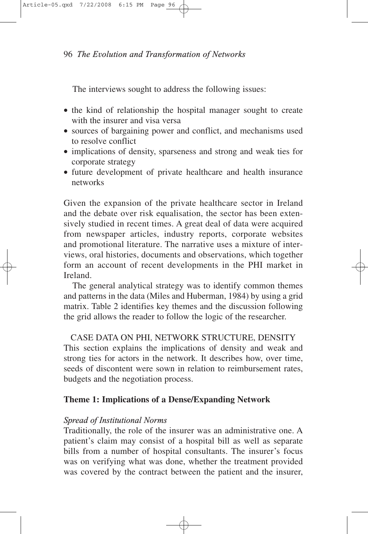The interviews sought to address the following issues:

- the kind of relationship the hospital manager sought to create with the insurer and visa versa
- sources of bargaining power and conflict, and mechanisms used to resolve conflict
- implications of density, sparseness and strong and weak ties for corporate strategy
- future development of private healthcare and health insurance networks

Given the expansion of the private healthcare sector in Ireland and the debate over risk equalisation, the sector has been extensively studied in recent times. A great deal of data were acquired from newspaper articles, industry reports, corporate websites and promotional literature. The narrative uses a mixture of interviews, oral histories, documents and observations, which together form an account of recent developments in the PHI market in Ireland.

The general analytical strategy was to identify common themes and patterns in the data (Miles and Huberman, 1984) by using a grid matrix. Table 2 identifies key themes and the discussion following the grid allows the reader to follow the logic of the researcher.

CASE DATA ON PHI, NETWORK STRUCTURE, DENSITY This section explains the implications of density and weak and strong ties for actors in the network. It describes how, over time, seeds of discontent were sown in relation to reimbursement rates, budgets and the negotiation process.

# **Theme 1: Implications of a Dense/Expanding Network**

### *Spread of Institutional Norms*

Traditionally, the role of the insurer was an administrative one. A patient's claim may consist of a hospital bill as well as separate bills from a number of hospital consultants. The insurer's focus was on verifying what was done, whether the treatment provided was covered by the contract between the patient and the insurer,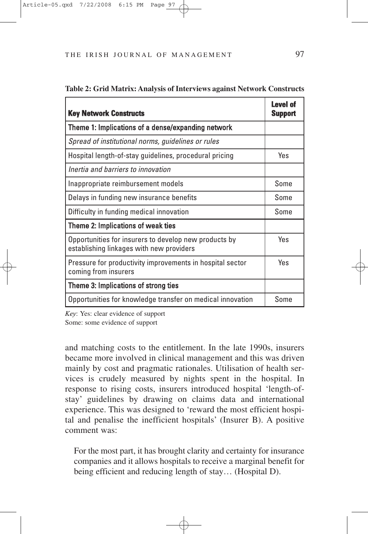| <b>Key Network Constructs</b>                                                                     | Level of<br>Support |
|---------------------------------------------------------------------------------------------------|---------------------|
| Theme 1: Implications of a dense/expanding network                                                |                     |
| Spread of institutional norms, guidelines or rules                                                |                     |
| Hospital length-of-stay guidelines, procedural pricing                                            | Yes                 |
| Inertia and barriers to innovation                                                                |                     |
| Inappropriate reimbursement models                                                                | Some                |
| Delays in funding new insurance benefits                                                          | Some                |
| Difficulty in funding medical innovation                                                          | Some                |
| Theme 2: Implications of weak ties                                                                |                     |
| Opportunities for insurers to develop new products by<br>establishing linkages with new providers | Yes                 |
| Pressure for productivity improvements in hospital sector<br>coming from insurers                 | Yes                 |
| Theme 3: Implications of strong ties                                                              |                     |
| Opportunities for knowledge transfer on medical innovation                                        | Some                |

#### **Table 2: Grid Matrix: Analysis of Interviews against Network Constructs**

*Key*: Yes: clear evidence of support Some: some evidence of support

and matching costs to the entitlement. In the late 1990s, insurers became more involved in clinical management and this was driven mainly by cost and pragmatic rationales. Utilisation of health services is crudely measured by nights spent in the hospital. In response to rising costs, insurers introduced hospital 'length-ofstay' guidelines by drawing on claims data and international experience. This was designed to 'reward the most efficient hospital and penalise the inefficient hospitals' (Insurer B). A positive comment was:

For the most part, it has brought clarity and certainty for insurance companies and it allows hospitals to receive a marginal benefit for being efficient and reducing length of stay… (Hospital D).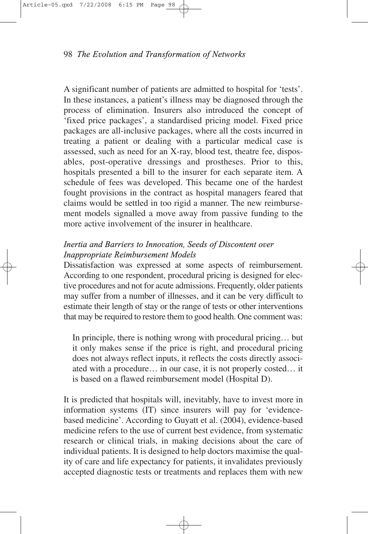A significant number of patients are admitted to hospital for 'tests'. In these instances, a patient's illness may be diagnosed through the process of elimination. Insurers also introduced the concept of 'fixed price packages', a standardised pricing model. Fixed price packages are all-inclusive packages, where all the costs incurred in treating a patient or dealing with a particular medical case is assessed, such as need for an X-ray, blood test, theatre fee, disposables, post-operative dressings and prostheses. Prior to this, hospitals presented a bill to the insurer for each separate item. A schedule of fees was developed. This became one of the hardest fought provisions in the contract as hospital managers feared that claims would be settled in too rigid a manner. The new reimbursement models signalled a move away from passive funding to the more active involvement of the insurer in healthcare.

# *Inertia and Barriers to Innovation, Seeds of Discontent over Inappropriate Reimbursement Models*

Dissatisfaction was expressed at some aspects of reimbursement. According to one respondent, procedural pricing is designed for elective procedures and not for acute admissions. Frequently, older patients may suffer from a number of illnesses, and it can be very difficult to estimate their length of stay or the range of tests or other interventions that may be required to restore them to good health. One comment was:

In principle, there is nothing wrong with procedural pricing… but it only makes sense if the price is right, and procedural pricing does not always reflect inputs, it reflects the costs directly associated with a procedure… in our case, it is not properly costed… it is based on a flawed reimbursement model (Hospital D).

It is predicted that hospitals will, inevitably, have to invest more in information systems (IT) since insurers will pay for 'evidencebased medicine'. According to Guyatt et al. (2004), evidence-based medicine refers to the use of current best evidence, from systematic research or clinical trials, in making decisions about the care of individual patients. It is designed to help doctors maximise the quality of care and life expectancy for patients, it invalidates previously accepted diagnostic tests or treatments and replaces them with new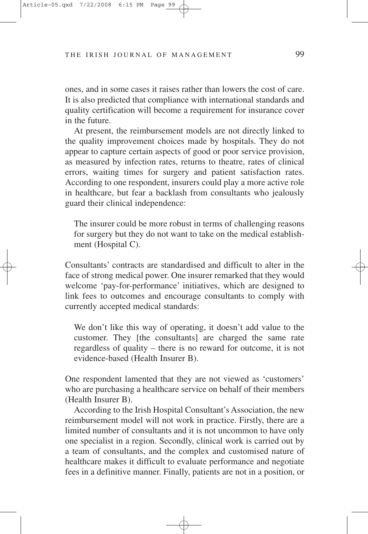ones, and in some cases it raises rather than lowers the cost of care. It is also predicted that compliance with international standards and quality certification will become a requirement for insurance cover in the future.

At present, the reimbursement models are not directly linked to the quality improvement choices made by hospitals. They do not appear to capture certain aspects of good or poor service provision, as measured by infection rates, returns to theatre, rates of clinical errors, waiting times for surgery and patient satisfaction rates. According to one respondent, insurers could play a more active role in healthcare, but fear a backlash from consultants who jealously guard their clinical independence:

The insurer could be more robust in terms of challenging reasons for surgery but they do not want to take on the medical establishment (Hospital C).

Consultants' contracts are standardised and difficult to alter in the face of strong medical power. One insurer remarked that they would welcome 'pay-for-performance' initiatives, which are designed to link fees to outcomes and encourage consultants to comply with currently accepted medical standards:

We don't like this way of operating, it doesn't add value to the customer. They [the consultants] are charged the same rate regardless of quality – there is no reward for outcome, it is not evidence-based (Health Insurer B).

One respondent lamented that they are not viewed as 'customers' who are purchasing a healthcare service on behalf of their members (Health Insurer B).

According to the Irish Hospital Consultant's Association, the new reimbursement model will not work in practice. Firstly, there are a limited number of consultants and it is not uncommon to have only one specialist in a region. Secondly, clinical work is carried out by a team of consultants, and the complex and customised nature of healthcare makes it difficult to evaluate performance and negotiate fees in a definitive manner. Finally, patients are not in a position, or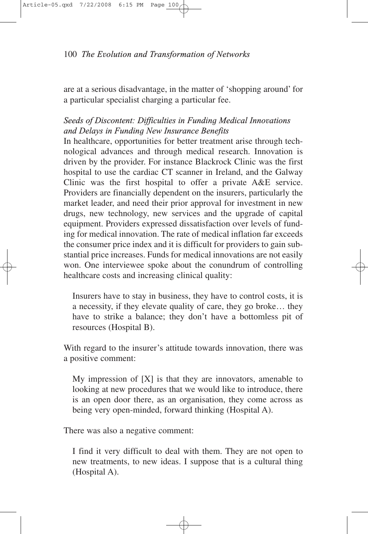are at a serious disadvantage, in the matter of 'shopping around' for a particular specialist charging a particular fee.

# *Seeds of Discontent: Difficulties in Funding Medical Innovations and Delays in Funding New Insurance Benefits*

In healthcare, opportunities for better treatment arise through technological advances and through medical research. Innovation is driven by the provider. For instance Blackrock Clinic was the first hospital to use the cardiac CT scanner in Ireland, and the Galway Clinic was the first hospital to offer a private A&E service. Providers are financially dependent on the insurers, particularly the market leader, and need their prior approval for investment in new drugs, new technology, new services and the upgrade of capital equipment. Providers expressed dissatisfaction over levels of funding for medical innovation. The rate of medical inflation far exceeds the consumer price index and it is difficult for providers to gain substantial price increases. Funds for medical innovations are not easily won. One interviewee spoke about the conundrum of controlling healthcare costs and increasing clinical quality:

Insurers have to stay in business, they have to control costs, it is a necessity, if they elevate quality of care, they go broke… they have to strike a balance; they don't have a bottomless pit of resources (Hospital B).

With regard to the insurer's attitude towards innovation, there was a positive comment:

My impression of  $[X]$  is that they are innovators, amenable to looking at new procedures that we would like to introduce, there is an open door there, as an organisation, they come across as being very open-minded, forward thinking (Hospital A).

There was also a negative comment:

I find it very difficult to deal with them. They are not open to new treatments, to new ideas. I suppose that is a cultural thing (Hospital A).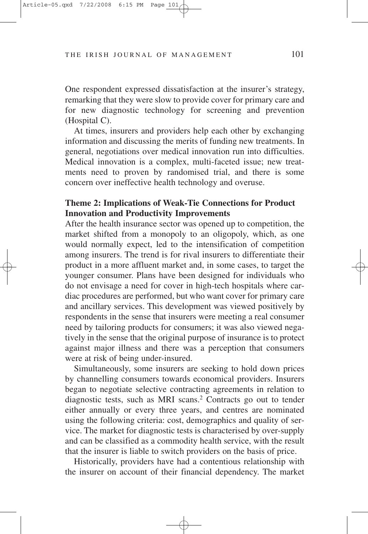One respondent expressed dissatisfaction at the insurer's strategy, remarking that they were slow to provide cover for primary care and for new diagnostic technology for screening and prevention (Hospital C).

At times, insurers and providers help each other by exchanging information and discussing the merits of funding new treatments. In general, negotiations over medical innovation run into difficulties. Medical innovation is a complex, multi-faceted issue; new treatments need to proven by randomised trial, and there is some concern over ineffective health technology and overuse.

# **Theme 2: Implications of Weak-Tie Connections for Product Innovation and Productivity Improvements**

After the health insurance sector was opened up to competition, the market shifted from a monopoly to an oligopoly, which, as one would normally expect, led to the intensification of competition among insurers. The trend is for rival insurers to differentiate their product in a more affluent market and, in some cases, to target the younger consumer. Plans have been designed for individuals who do not envisage a need for cover in high-tech hospitals where cardiac procedures are performed, but who want cover for primary care and ancillary services. This development was viewed positively by respondents in the sense that insurers were meeting a real consumer need by tailoring products for consumers; it was also viewed negatively in the sense that the original purpose of insurance is to protect against major illness and there was a perception that consumers were at risk of being under-insured.

Simultaneously, some insurers are seeking to hold down prices by channelling consumers towards economical providers. Insurers began to negotiate selective contracting agreements in relation to diagnostic tests, such as MRI scans.2 Contracts go out to tender either annually or every three years, and centres are nominated using the following criteria: cost, demographics and quality of service. The market for diagnostic tests is characterised by over-supply and can be classified as a commodity health service, with the result that the insurer is liable to switch providers on the basis of price.

Historically, providers have had a contentious relationship with the insurer on account of their financial dependency. The market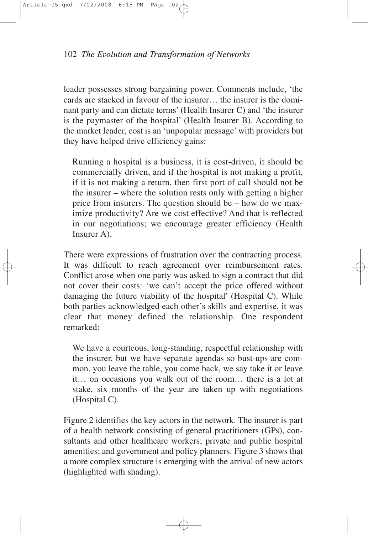leader possesses strong bargaining power. Comments include, 'the cards are stacked in favour of the insurer… the insurer is the dominant party and can dictate terms' (Health Insurer C) and 'the insurer is the paymaster of the hospital' (Health Insurer B). According to the market leader, cost is an 'unpopular message' with providers but they have helped drive efficiency gains:

Running a hospital is a business, it is cost-driven, it should be commercially driven, and if the hospital is not making a profit, if it is not making a return, then first port of call should not be the insurer – where the solution rests only with getting a higher price from insurers. The question should be – how do we maximize productivity? Are we cost effective? And that is reflected in our negotiations; we encourage greater efficiency (Health Insurer A).

There were expressions of frustration over the contracting process. It was difficult to reach agreement over reimbursement rates. Conflict arose when one party was asked to sign a contract that did not cover their costs: 'we can't accept the price offered without damaging the future viability of the hospital' (Hospital C). While both parties acknowledged each other's skills and expertise, it was clear that money defined the relationship. One respondent remarked:

We have a courteous, long-standing, respectful relationship with the insurer, but we have separate agendas so bust-ups are common, you leave the table, you come back, we say take it or leave it… on occasions you walk out of the room… there is a lot at stake, six months of the year are taken up with negotiations (Hospital C).

Figure 2 identifies the key actors in the network. The insurer is part of a health network consisting of general practitioners (GPs), consultants and other healthcare workers; private and public hospital amenities; and government and policy planners. Figure 3 shows that a more complex structure is emerging with the arrival of new actors (highlighted with shading).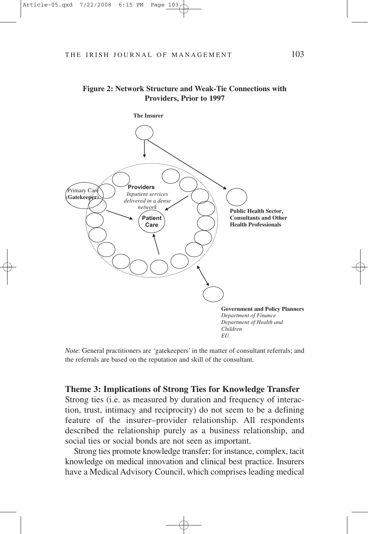

#### **Figure 2: Network Structure and Weak-Tie Connections with Providers, Prior to 1997**

*Note*: General practitioners are 'gatekeepers' in the matter of consultant referrals; and the referrals are based on the reputation and skill of the consultant.

#### **Theme 3: Implications of Strong Ties for Knowledge Transfer**

Strong ties (i.e. as measured by duration and frequency of interaction, trust, intimacy and reciprocity) do not seem to be a defining feature of the insurer–provider relationship. All respondents described the relationship purely as a business relationship, and social ties or social bonds are not seen as important.

Strong ties promote knowledge transfer; for instance, complex, tacit knowledge on medical innovation and clinical best practice. Insurers have a Medical Advisory Council, which comprises leading medical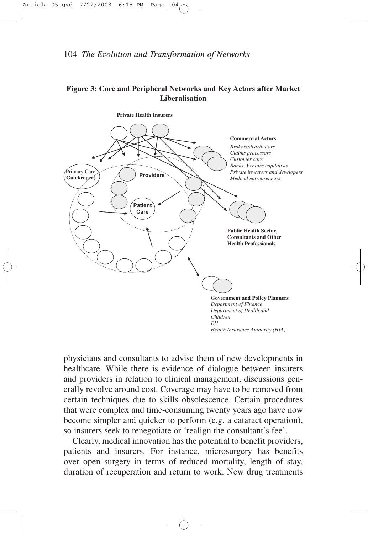## **Figure 3: Core and Peripheral Networks and Key Actors after Market Liberalisation**



physicians and consultants to advise them of new developments in healthcare. While there is evidence of dialogue between insurers and providers in relation to clinical management, discussions generally revolve around cost. Coverage may have to be removed from certain techniques due to skills obsolescence. Certain procedures that were complex and time-consuming twenty years ago have now become simpler and quicker to perform (e.g. a cataract operation), so insurers seek to renegotiate or 'realign the consultant's fee'.

Clearly, medical innovation has the potential to benefit providers, patients and insurers. For instance, microsurgery has benefits over open surgery in terms of reduced mortality, length of stay, duration of recuperation and return to work. New drug treatments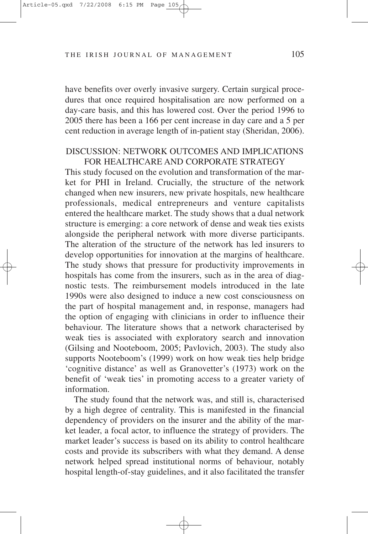have benefits over overly invasive surgery. Certain surgical procedures that once required hospitalisation are now performed on a day-care basis, and this has lowered cost. Over the period 1996 to 2005 there has been a 166 per cent increase in day care and a 5 per cent reduction in average length of in-patient stay (Sheridan, 2006).

### DISCUSSION: NETWORK OUTCOMES AND IMPLICATIONS FOR HEALTHCARE AND CORPORATE STRATEGY

This study focused on the evolution and transformation of the market for PHI in Ireland. Crucially, the structure of the network changed when new insurers, new private hospitals, new healthcare professionals, medical entrepreneurs and venture capitalists entered the healthcare market. The study shows that a dual network structure is emerging: a core network of dense and weak ties exists alongside the peripheral network with more diverse participants. The alteration of the structure of the network has led insurers to develop opportunities for innovation at the margins of healthcare. The study shows that pressure for productivity improvements in hospitals has come from the insurers, such as in the area of diagnostic tests. The reimbursement models introduced in the late 1990s were also designed to induce a new cost consciousness on the part of hospital management and, in response, managers had the option of engaging with clinicians in order to influence their behaviour. The literature shows that a network characterised by weak ties is associated with exploratory search and innovation (Gilsing and Nooteboom, 2005; Pavlovich, 2003). The study also supports Nooteboom's (1999) work on how weak ties help bridge 'cognitive distance' as well as Granovetter's (1973) work on the benefit of 'weak ties' in promoting access to a greater variety of information.

The study found that the network was, and still is, characterised by a high degree of centrality. This is manifested in the financial dependency of providers on the insurer and the ability of the market leader, a focal actor, to influence the strategy of providers. The market leader's success is based on its ability to control healthcare costs and provide its subscribers with what they demand. A dense network helped spread institutional norms of behaviour, notably hospital length-of-stay guidelines, and it also facilitated the transfer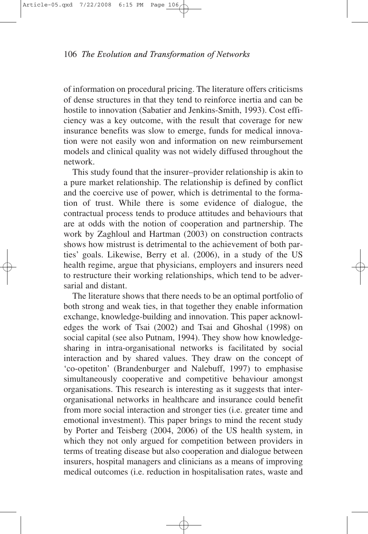of information on procedural pricing. The literature offers criticisms of dense structures in that they tend to reinforce inertia and can be hostile to innovation (Sabatier and Jenkins-Smith, 1993). Cost efficiency was a key outcome, with the result that coverage for new insurance benefits was slow to emerge, funds for medical innovation were not easily won and information on new reimbursement models and clinical quality was not widely diffused throughout the network.

This study found that the insurer–provider relationship is akin to a pure market relationship. The relationship is defined by conflict and the coercive use of power, which is detrimental to the formation of trust. While there is some evidence of dialogue, the contractual process tends to produce attitudes and behaviours that are at odds with the notion of cooperation and partnership. The work by Zaghloul and Hartman (2003) on construction contracts shows how mistrust is detrimental to the achievement of both parties' goals. Likewise, Berry et al. (2006), in a study of the US health regime, argue that physicians, employers and insurers need to restructure their working relationships, which tend to be adversarial and distant.

The literature shows that there needs to be an optimal portfolio of both strong and weak ties, in that together they enable information exchange, knowledge-building and innovation. This paper acknowledges the work of Tsai (2002) and Tsai and Ghoshal (1998) on social capital (see also Putnam, 1994). They show how knowledgesharing in intra-organisational networks is facilitated by social interaction and by shared values. They draw on the concept of 'co-opetiton' (Brandenburger and Nalebuff, 1997) to emphasise simultaneously cooperative and competitive behaviour amongst organisations. This research is interesting as it suggests that interorganisational networks in healthcare and insurance could benefit from more social interaction and stronger ties (i.e. greater time and emotional investment). This paper brings to mind the recent study by Porter and Teisberg (2004, 2006) of the US health system, in which they not only argued for competition between providers in terms of treating disease but also cooperation and dialogue between insurers, hospital managers and clinicians as a means of improving medical outcomes (i.e. reduction in hospitalisation rates, waste and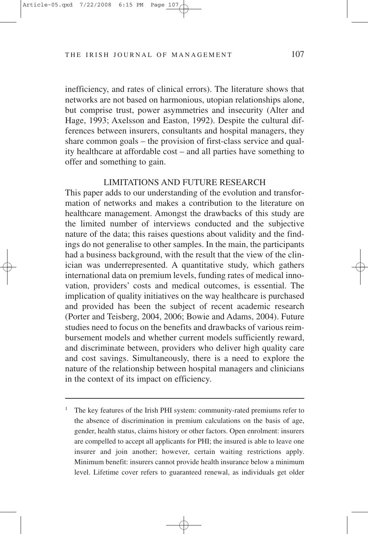inefficiency, and rates of clinical errors). The literature shows that networks are not based on harmonious, utopian relationships alone, but comprise trust, power asymmetries and insecurity (Alter and Hage, 1993; Axelsson and Easton, 1992). Despite the cultural differences between insurers, consultants and hospital managers, they share common goals – the provision of first-class service and quality healthcare at affordable cost – and all parties have something to offer and something to gain.

#### LIMITATIONS AND FUTURE RESEARCH

This paper adds to our understanding of the evolution and transformation of networks and makes a contribution to the literature on healthcare management. Amongst the drawbacks of this study are the limited number of interviews conducted and the subjective nature of the data; this raises questions about validity and the findings do not generalise to other samples. In the main, the participants had a business background, with the result that the view of the clinician was underrepresented. A quantitative study, which gathers international data on premium levels, funding rates of medical innovation, providers' costs and medical outcomes, is essential. The implication of quality initiatives on the way healthcare is purchased and provided has been the subject of recent academic research (Porter and Teisberg, 2004, 2006; Bowie and Adams, 2004). Future studies need to focus on the benefits and drawbacks of various reimbursement models and whether current models sufficiently reward, and discriminate between, providers who deliver high quality care and cost savings. Simultaneously, there is a need to explore the nature of the relationship between hospital managers and clinicians in the context of its impact on efficiency.

<sup>&</sup>lt;sup>1</sup> The key features of the Irish PHI system: community-rated premiums refer to the absence of discrimination in premium calculations on the basis of age, gender, health status, claims history or other factors. Open enrolment: insurers are compelled to accept all applicants for PHI; the insured is able to leave one insurer and join another; however, certain waiting restrictions apply. Minimum benefit: insurers cannot provide health insurance below a minimum level. Lifetime cover refers to guaranteed renewal, as individuals get older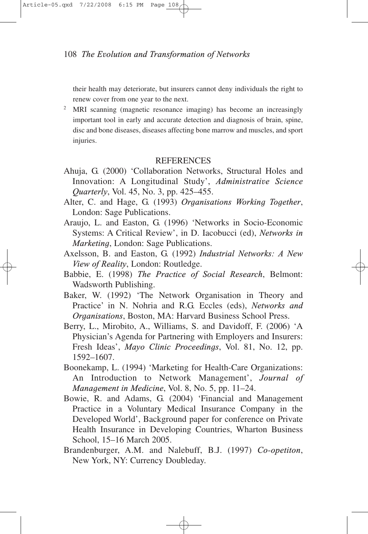their health may deteriorate, but insurers cannot deny individuals the right to renew cover from one year to the next.

<sup>2</sup> MRI scanning (magnetic resonance imaging) has become an increasingly important tool in early and accurate detection and diagnosis of brain, spine, disc and bone diseases, diseases affecting bone marrow and muscles, and sport injuries.

## **REFERENCES**

- Ahuja, G. (2000) 'Collaboration Networks, Structural Holes and Innovation: A Longitudinal Study', *Administrative Science Quarterly*, Vol. 45, No. 3, pp. 425–455.
- Alter, C. and Hage, G. (1993) *Organisations Working Together*, London: Sage Publications.
- Araujo, L. and Easton, G. (1996) 'Networks in Socio-Economic Systems: A Critical Review', in D. Iacobucci (ed), *Networks in Marketing*, London: Sage Publications.
- Axelsson, B. and Easton, G. (1992) *Industrial Networks: A New View of Reality*, London: Routledge.
- Babbie, E. (1998) *The Practice of Social Research*, Belmont: Wadsworth Publishing.
- Baker, W. (1992) 'The Network Organisation in Theory and Practice' in N. Nohria and R.G. Eccles (eds), *Networks and Organisations*, Boston, MA: Harvard Business School Press.
- Berry, L., Mirobito, A., Williams, S. and Davidoff, F. (2006) 'A Physician's Agenda for Partnering with Employers and Insurers: Fresh Ideas', *Mayo Clinic Proceedings*, Vol. 81, No. 12, pp. 1592–1607.
- Boonekamp, L. (1994) 'Marketing for Health-Care Organizations: An Introduction to Network Management', *Journal of Management in Medicine*, Vol. 8, No. 5, pp. 11–24.
- Bowie, R. and Adams, G. (2004) 'Financial and Management Practice in a Voluntary Medical Insurance Company in the Developed World', Background paper for conference on Private Health Insurance in Developing Countries, Wharton Business School, 15–16 March 2005.
- Brandenburger, A.M. and Nalebuff, B.J. (1997) *Co-opetiton*, New York, NY: Currency Doubleday.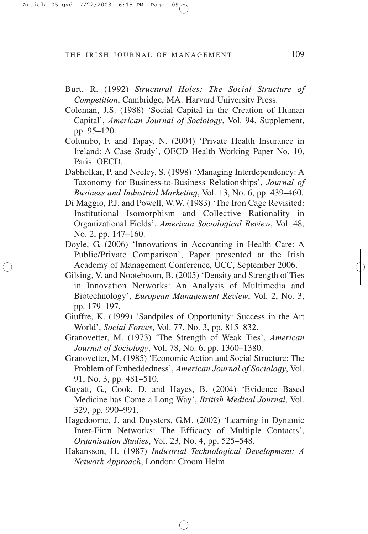- Burt, R. (1992) *Structural Holes: The Social Structure of Competition*, Cambridge, MA: Harvard University Press.
- Coleman, J.S. (1988) 'Social Capital in the Creation of Human Capital', *American Journal of Sociology*, Vol. 94, Supplement, pp. 95–120.
- Columbo, F. and Tapay, N. (2004) 'Private Health Insurance in Ireland: A Case Study', OECD Health Working Paper No. 10, Paris: OECD.
- Dabholkar, P. and Neeley, S. (1998) 'Managing Interdependency: A Taxonomy for Business-to-Business Relationships', *Journal of Business and Industrial Marketing*, Vol. 13, No. 6, pp. 439–460.
- Di Maggio, P.J. and Powell, W.W. (1983) 'The Iron Cage Revisited: Institutional Isomorphism and Collective Rationality in Organizational Fields', *American Sociological Review*, Vol. 48, No. 2, pp. 147–160.
- Doyle, G. (2006) 'Innovations in Accounting in Health Care: A Public/Private Comparison', Paper presented at the Irish Academy of Management Conference, UCC, September 2006.
- Gilsing, V. and Nooteboom, B. (2005) 'Density and Strength of Ties in Innovation Networks: An Analysis of Multimedia and Biotechnology', *European Management Review*, Vol. 2, No. 3, pp. 179–197.
- Giuffre, K. (1999) 'Sandpiles of Opportunity: Success in the Art World', *Social Forces*, Vol. 77, No. 3, pp. 815–832.
- Granovetter, M. (1973) 'The Strength of Weak Ties', *American Journal of Sociology*, Vol. 78, No. 6, pp. 1360–1380.
- Granovetter, M. (1985) 'Economic Action and Social Structure: The Problem of Embeddedness', *American Journal of Sociology*, Vol. 91, No. 3, pp. 481–510.
- Guyatt, G., Cook, D. and Hayes, B. (2004) 'Evidence Based Medicine has Come a Long Way', *British Medical Journal*, Vol. 329, pp. 990–991.
- Hagedoorne, J. and Duysters, G.M. (2002) 'Learning in Dynamic Inter-Firm Networks: The Efficacy of Multiple Contacts', *Organisation Studies*, Vol. 23, No. 4, pp. 525–548.
- Hakansson, H. (1987) *Industrial Technological Development: A Network Approach*, London: Croom Helm.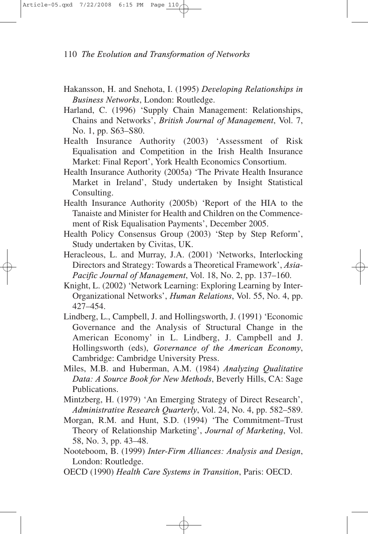- Hakansson, H. and Snehota, I. (1995) *Developing Relationships in Business Networks*, London: Routledge.
- Harland, C. (1996) 'Supply Chain Management: Relationships, Chains and Networks', *British Journal of Management*, Vol. 7, No. 1, pp. S63–S80.
- Health Insurance Authority (2003) 'Assessment of Risk Equalisation and Competition in the Irish Health Insurance Market: Final Report', York Health Economics Consortium.
- Health Insurance Authority (2005a) 'The Private Health Insurance Market in Ireland', Study undertaken by Insight Statistical Consulting.
- Health Insurance Authority (2005b) 'Report of the HIA to the Tanaiste and Minister for Health and Children on the Commencement of Risk Equalisation Payments', December 2005.
- Health Policy Consensus Group (2003) 'Step by Step Reform', Study undertaken by Civitas, UK.
- Heracleous, L. and Murray, J.A. (2001) 'Networks, Interlocking Directors and Strategy: Towards a Theoretical Framework', *Asia-Pacific Journal of Management*, Vol. 18, No. 2, pp. 137–160.
- Knight, L. (2002) 'Network Learning: Exploring Learning by Inter-Organizational Networks', *Human Relations*, Vol. 55, No. 4, pp. 427–454.
- Lindberg, L., Campbell, J. and Hollingsworth, J. (1991) 'Economic Governance and the Analysis of Structural Change in the American Economy' in L. Lindberg, J. Campbell and J. Hollingsworth (eds), *Governance of the American Economy*, Cambridge: Cambridge University Press.
- Miles, M.B. and Huberman, A.M. (1984) *Analyzing Qualitative Data: A Source Book for New Methods*, Beverly Hills, CA: Sage Publications.
- Mintzberg, H. (1979) 'An Emerging Strategy of Direct Research', *Administrative Research Quarterly*, Vol. 24, No. 4, pp. 582–589.
- Morgan, R.M. and Hunt, S.D. (1994) 'The Commitment–Trust Theory of Relationship Marketing', *Journal of Marketing*, Vol. 58, No. 3, pp. 43–48.
- Nooteboom, B. (1999) *Inter-Firm Alliances: Analysis and Design*, London: Routledge.
- OECD (1990) *Health Care Systems in Transition*, Paris: OECD.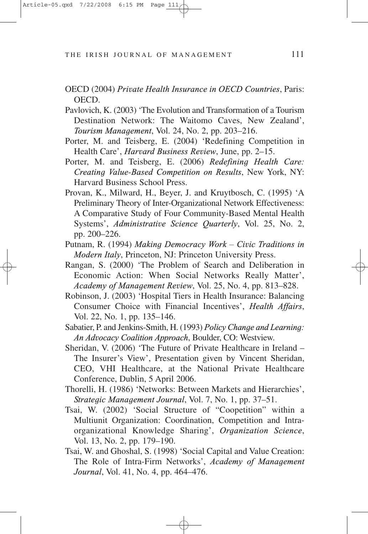- OECD (2004) *Private Health Insurance in OECD Countries*, Paris: OECD.
- Pavlovich, K. (2003) 'The Evolution and Transformation of a Tourism Destination Network: The Waitomo Caves, New Zealand', *Tourism Management*, Vol. 24, No. 2, pp. 203–216.
- Porter, M. and Teisberg, E. (2004) 'Redefining Competition in Health Care', *Harvard Business Review*, June, pp. 2–15.
- Porter, M. and Teisberg, E. (2006) *Redefining Health Care: Creating Value-Based Competition on Results*, New York, NY: Harvard Business School Press.
- Provan, K., Milward, H., Beyer, J. and Kruytbosch, C. (1995) 'A Preliminary Theory of Inter-Organizational Network Effectiveness: A Comparative Study of Four Community-Based Mental Health Systems', *Administrative Science Quarterly*, Vol. 25, No. 2, pp. 200–226.
- Putnam, R. (1994) *Making Democracy Work Civic Traditions in Modern Italy*, Princeton, NJ: Princeton University Press.
- Rangan, S. (2000) 'The Problem of Search and Deliberation in Economic Action: When Social Networks Really Matter', *Academy of Management Review*, Vol. 25, No. 4, pp. 813–828.
- Robinson, J. (2003) 'Hospital Tiers in Health Insurance: Balancing Consumer Choice with Financial Incentives', *Health Affairs*, Vol. 22, No. 1, pp. 135–146.
- Sabatier, P. and Jenkins-Smith, H. (1993) *Policy Change and Learning: An Advocacy Coalition Approach*, Boulder, CO: Westview.
- Sheridan, V. (2006) 'The Future of Private Healthcare in Ireland The Insurer's View', Presentation given by Vincent Sheridan, CEO, VHI Healthcare, at the National Private Healthcare Conference, Dublin, 5 April 2006.
- Thorelli, H. (1986) 'Networks: Between Markets and Hierarchies', *Strategic Management Journal*, Vol. 7, No. 1, pp. 37–51.
- Tsai, W. (2002) 'Social Structure of "Coopetition" within a Multiunit Organization: Coordination, Competition and Intraorganizational Knowledge Sharing', *Organization Science*, Vol. 13, No. 2, pp. 179–190.
- Tsai, W. and Ghoshal, S. (1998) 'Social Capital and Value Creation: The Role of Intra-Firm Networks', *Academy of Management Journal*, Vol. 41, No. 4, pp. 464–476.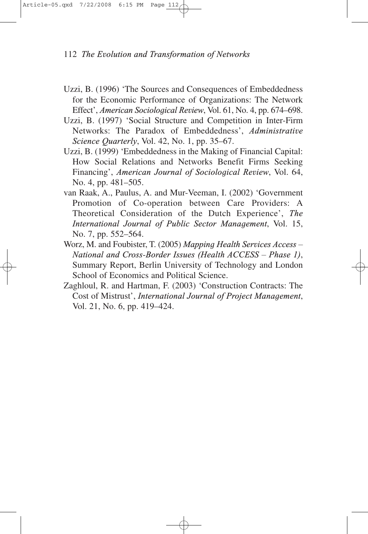- Uzzi, B. (1996) 'The Sources and Consequences of Embeddedness for the Economic Performance of Organizations: The Network Effect', *American Sociological Review*, Vol. 61, No. 4, pp. 674–698.
- Uzzi, B. (1997) 'Social Structure and Competition in Inter-Firm Networks: The Paradox of Embeddedness', *Administrative Science Quarterly*, Vol. 42, No. 1, pp. 35–67.
- Uzzi, B. (1999) 'Embeddedness in the Making of Financial Capital: How Social Relations and Networks Benefit Firms Seeking Financing', *American Journal of Sociological Review*, Vol. 64, No. 4, pp. 481–505.
- van Raak, A., Paulus, A. and Mur-Veeman, I. (2002) 'Government Promotion of Co-operation between Care Providers: A Theoretical Consideration of the Dutch Experience', *The International Journal of Public Sector Management*, Vol. 15, No. 7, pp. 552–564.
- Worz, M. and Foubister, T. (2005) *Mapping Health Services Access – National and Cross-Border Issues (Health ACCESS – Phase 1)*, Summary Report, Berlin University of Technology and London School of Economics and Political Science.
- Zaghloul, R. and Hartman, F. (2003) 'Construction Contracts: The Cost of Mistrust', *International Journal of Project Management*, Vol. 21, No. 6, pp. 419–424.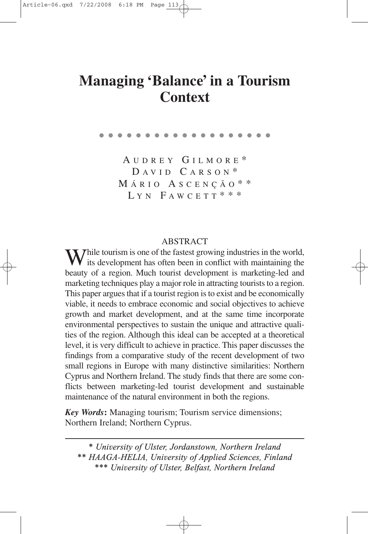# **Managing Balance in a Tourism ' ' Context**

A UDREY G ILMORE \*  $D A VID C A R S ON$ <sup>\*</sup> M ÁRIO A SCENÇÃO \* \* LYN FAWCETT  $* * *$ 

●●●●●●●●●●●●●●●●●●●

# ABSTRACT

While tourism is one of the fastest growing industries in the world,<br>its development has often been in conflict with maintaining the its development has often been in conflict with maintaining the beauty of a region. Much tourist development is marketing-led and marketing techniques play a major role in attracting tourists to a region. This paper argues that if a tourist region is to exist and be economically viable, it needs to embrace economic and social objectives to achieve growth and market development, and at the same time incorporate environmental perspectives to sustain the unique and attractive qualities of the region. Although this ideal can be accepted at a theoretical level, it is very difficult to achieve in practice. This paper discusses the findings from a comparative study of the recent development of two small regions in Europe with many distinctive similarities: Northern Cyprus and Northern Ireland. The study finds that there are some conflicts between marketing-led tourist development and sustainable maintenance of the natural environment in both the regions.

*Key Words***:** Managing tourism; Tourism service dimensions; Northern Ireland; Northern Cyprus.

*\* University of Ulster, Jordanstown, Northern Ireland \*\* HAAGA-HELIA, University of Applied Sciences, Finland \*\*\* University of Ulster, Belfast, Northern Ireland*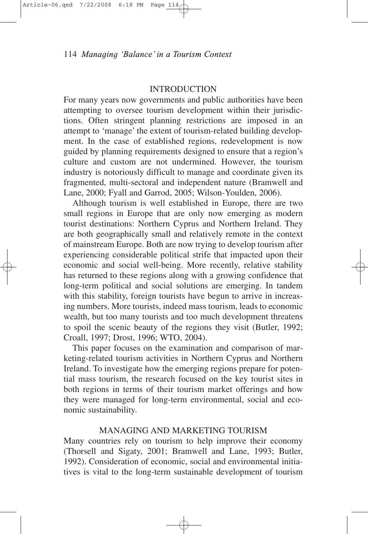## **INTRODUCTION**

For many years now governments and public authorities have been attempting to oversee tourism development within their jurisdictions. Often stringent planning restrictions are imposed in an attempt to 'manage' the extent of tourism-related building development. In the case of established regions, redevelopment is now guided by planning requirements designed to ensure that a region's culture and custom are not undermined. However, the tourism industry is notoriously difficult to manage and coordinate given its fragmented, multi-sectoral and independent nature (Bramwell and Lane, 2000; Fyall and Garrod, 2005; Wilson-Youlden, 2006).

Although tourism is well established in Europe, there are two small regions in Europe that are only now emerging as modern tourist destinations: Northern Cyprus and Northern Ireland. They are both geographically small and relatively remote in the context of mainstream Europe. Both are now trying to develop tourism after experiencing considerable political strife that impacted upon their economic and social well-being. More recently, relative stability has returned to these regions along with a growing confidence that long-term political and social solutions are emerging. In tandem with this stability, foreign tourists have begun to arrive in increasing numbers. More tourists, indeed mass tourism, leads to economic wealth, but too many tourists and too much development threatens to spoil the scenic beauty of the regions they visit (Butler, 1992; Croall, 1997; Drost, 1996; WTO, 2004).

This paper focuses on the examination and comparison of marketing-related tourism activities in Northern Cyprus and Northern Ireland. To investigate how the emerging regions prepare for potential mass tourism, the research focused on the key tourist sites in both regions in terms of their tourism market offerings and how they were managed for long-term environmental, social and economic sustainability.

## MANAGING AND MARKETING TOURISM

Many countries rely on tourism to help improve their economy (Thorsell and Sigaty, 2001; Bramwell and Lane, 1993; Butler, 1992). Consideration of economic, social and environmental initiatives is vital to the long-term sustainable development of tourism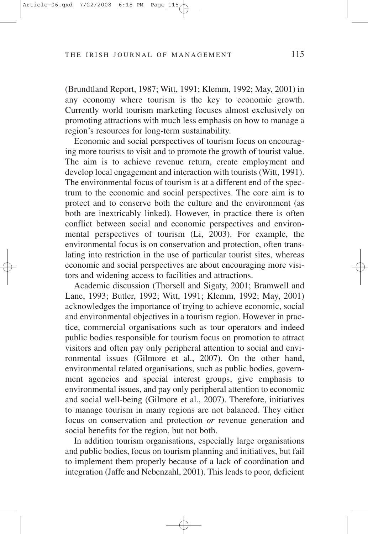(Brundtland Report, 1987; Witt, 1991; Klemm, 1992; May, 2001) in any economy where tourism is the key to economic growth. Currently world tourism marketing focuses almost exclusively on promoting attractions with much less emphasis on how to manage a region's resources for long-term sustainability.

Economic and social perspectives of tourism focus on encouraging more tourists to visit and to promote the growth of tourist value. The aim is to achieve revenue return, create employment and develop local engagement and interaction with tourists (Witt, 1991). The environmental focus of tourism is at a different end of the spectrum to the economic and social perspectives. The core aim is to protect and to conserve both the culture and the environment (as both are inextricably linked). However, in practice there is often conflict between social and economic perspectives and environmental perspectives of tourism (Li, 2003). For example, the environmental focus is on conservation and protection, often translating into restriction in the use of particular tourist sites, whereas economic and social perspectives are about encouraging more visitors and widening access to facilities and attractions.

Academic discussion (Thorsell and Sigaty, 2001; Bramwell and Lane, 1993; Butler, 1992; Witt, 1991; Klemm, 1992; May, 2001) acknowledges the importance of trying to achieve economic, social and environmental objectives in a tourism region. However in practice, commercial organisations such as tour operators and indeed public bodies responsible for tourism focus on promotion to attract visitors and often pay only peripheral attention to social and environmental issues (Gilmore et al., 2007). On the other hand, environmental related organisations, such as public bodies, government agencies and special interest groups, give emphasis to environmental issues, and pay only peripheral attention to economic and social well-being (Gilmore et al., 2007). Therefore, initiatives to manage tourism in many regions are not balanced. They either focus on conservation and protection *or* revenue generation and social benefits for the region, but not both.

In addition tourism organisations, especially large organisations and public bodies, focus on tourism planning and initiatives, but fail to implement them properly because of a lack of coordination and integration (Jaffe and Nebenzahl, 2001). This leads to poor, deficient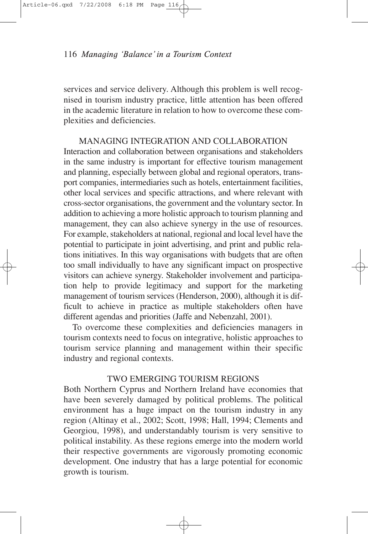services and service delivery. Although this problem is well recognised in tourism industry practice, little attention has been offered in the academic literature in relation to how to overcome these complexities and deficiencies.

MANAGING INTEGRATION AND COLLABORATION Interaction and collaboration between organisations and stakeholders in the same industry is important for effective tourism management and planning, especially between global and regional operators, transport companies, intermediaries such as hotels, entertainment facilities, other local services and specific attractions, and where relevant with cross-sector organisations, the government and the voluntary sector. In addition to achieving a more holistic approach to tourism planning and management, they can also achieve synergy in the use of resources. For example, stakeholders at national, regional and local level have the potential to participate in joint advertising, and print and public relations initiatives. In this way organisations with budgets that are often too small individually to have any significant impact on prospective visitors can achieve synergy. Stakeholder involvement and participation help to provide legitimacy and support for the marketing management of tourism services (Henderson, 2000), although it is difficult to achieve in practice as multiple stakeholders often have different agendas and priorities (Jaffe and Nebenzahl, 2001).

To overcome these complexities and deficiencies managers in tourism contexts need to focus on integrative, holistic approaches to tourism service planning and management within their specific industry and regional contexts.

## TWO EMERGING TOURISM REGIONS

Both Northern Cyprus and Northern Ireland have economies that have been severely damaged by political problems. The political environment has a huge impact on the tourism industry in any region (Altinay et al., 2002; Scott, 1998; Hall, 1994; Clements and Georgiou, 1998), and understandably tourism is very sensitive to political instability. As these regions emerge into the modern world their respective governments are vigorously promoting economic development. One industry that has a large potential for economic growth is tourism.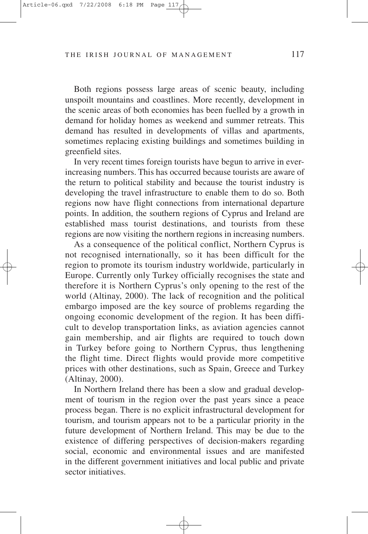Both regions possess large areas of scenic beauty, including unspoilt mountains and coastlines. More recently, development in the scenic areas of both economies has been fuelled by a growth in demand for holiday homes as weekend and summer retreats. This demand has resulted in developments of villas and apartments, sometimes replacing existing buildings and sometimes building in greenfield sites.

In very recent times foreign tourists have begun to arrive in everincreasing numbers. This has occurred because tourists are aware of the return to political stability and because the tourist industry is developing the travel infrastructure to enable them to do so. Both regions now have flight connections from international departure points. In addition, the southern regions of Cyprus and Ireland are established mass tourist destinations, and tourists from these regions are now visiting the northern regions in increasing numbers.

As a consequence of the political conflict, Northern Cyprus is not recognised internationally, so it has been difficult for the region to promote its tourism industry worldwide, particularly in Europe. Currently only Turkey officially recognises the state and therefore it is Northern Cyprus's only opening to the rest of the world (Altinay, 2000). The lack of recognition and the political embargo imposed are the key source of problems regarding the ongoing economic development of the region. It has been difficult to develop transportation links, as aviation agencies cannot gain membership, and air flights are required to touch down in Turkey before going to Northern Cyprus, thus lengthening the flight time. Direct flights would provide more competitive prices with other destinations, such as Spain, Greece and Turkey (Altinay, 2000).

In Northern Ireland there has been a slow and gradual development of tourism in the region over the past years since a peace process began. There is no explicit infrastructural development for tourism, and tourism appears not to be a particular priority in the future development of Northern Ireland. This may be due to the existence of differing perspectives of decision-makers regarding social, economic and environmental issues and are manifested in the different government initiatives and local public and private sector initiatives.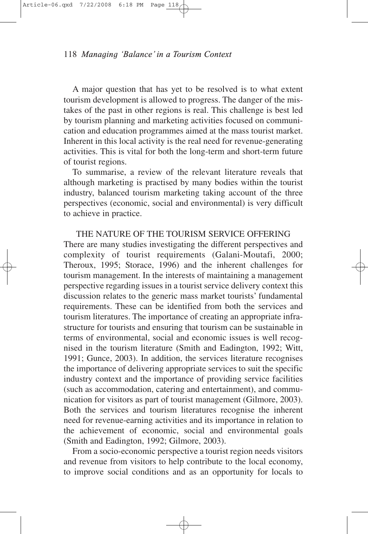A major question that has yet to be resolved is to what extent tourism development is allowed to progress. The danger of the mistakes of the past in other regions is real. This challenge is best led by tourism planning and marketing activities focused on communication and education programmes aimed at the mass tourist market. Inherent in this local activity is the real need for revenue-generating activities. This is vital for both the long-term and short-term future of tourist regions.

To summarise, a review of the relevant literature reveals that although marketing is practised by many bodies within the tourist industry, balanced tourism marketing taking account of the three perspectives (economic, social and environmental) is very difficult to achieve in practice.

THE NATURE OF THE TOURISM SERVICE OFFERING There are many studies investigating the different perspectives and complexity of tourist requirements (Galani-Moutafi, 2000; Theroux, 1995; Storace, 1996) and the inherent challenges for tourism management. In the interests of maintaining a management perspective regarding issues in a tourist service delivery context this discussion relates to the generic mass market tourists' fundamental requirements. These can be identified from both the services and tourism literatures. The importance of creating an appropriate infrastructure for tourists and ensuring that tourism can be sustainable in terms of environmental, social and economic issues is well recognised in the tourism literature (Smith and Eadington, 1992; Witt, 1991; Gunce, 2003). In addition, the services literature recognises the importance of delivering appropriate services to suit the specific industry context and the importance of providing service facilities (such as accommodation, catering and entertainment), and communication for visitors as part of tourist management (Gilmore, 2003). Both the services and tourism literatures recognise the inherent need for revenue-earning activities and its importance in relation to the achievement of economic, social and environmental goals (Smith and Eadington, 1992; Gilmore, 2003).

From a socio-economic perspective a tourist region needs visitors and revenue from visitors to help contribute to the local economy, to improve social conditions and as an opportunity for locals to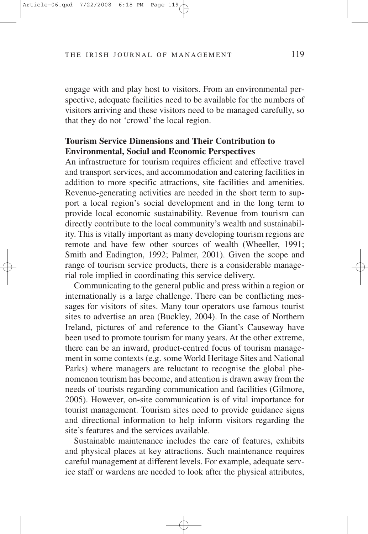engage with and play host to visitors. From an environmental perspective, adequate facilities need to be available for the numbers of visitors arriving and these visitors need to be managed carefully, so that they do not 'crowd' the local region.

# **Tourism Service Dimensions and Their Contribution to Environmental, Social and Economic Perspectives**

An infrastructure for tourism requires efficient and effective travel and transport services, and accommodation and catering facilities in addition to more specific attractions, site facilities and amenities. Revenue-generating activities are needed in the short term to support a local region's social development and in the long term to provide local economic sustainability. Revenue from tourism can directly contribute to the local community's wealth and sustainability. This is vitally important as many developing tourism regions are remote and have few other sources of wealth (Wheeller, 1991; Smith and Eadington, 1992; Palmer, 2001). Given the scope and range of tourism service products, there is a considerable managerial role implied in coordinating this service delivery.

Communicating to the general public and press within a region or internationally is a large challenge. There can be conflicting messages for visitors of sites. Many tour operators use famous tourist sites to advertise an area (Buckley, 2004). In the case of Northern Ireland, pictures of and reference to the Giant's Causeway have been used to promote tourism for many years. At the other extreme, there can be an inward, product-centred focus of tourism management in some contexts (e.g. some World Heritage Sites and National Parks) where managers are reluctant to recognise the global phenomenon tourism has become, and attention is drawn away from the needs of tourists regarding communication and facilities (Gilmore, 2005). However, on**-**site communication is of vital importance for tourist management. Tourism sites need to provide guidance signs and directional information to help inform visitors regarding the site's features and the services available.

Sustainable maintenance includes the care of features, exhibits and physical places at key attractions. Such maintenance requires careful management at different levels. For example, adequate service staff or wardens are needed to look after the physical attributes,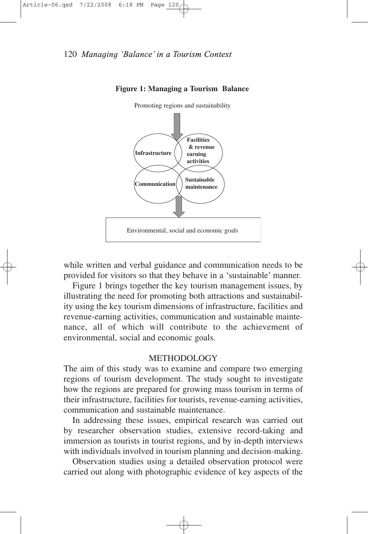

**Figure 1: Managing a Tourism Balance**

while written and verbal guidance and communication needs to be provided for visitors so that they behave in a 'sustainable' manner.

Figure 1 brings together the key tourism management issues, by illustrating the need for promoting both attractions and sustainability using the key tourism dimensions of infrastructure, facilities and revenue-earning activities, communication and sustainable maintenance, all of which will contribute to the achievement of environmental, social and economic goals.

#### METHODOLOGY

The aim of this study was to examine and compare two emerging regions of tourism development. The study sought to investigate how the regions are prepared for growing mass tourism in terms of their infrastructure, facilities for tourists, revenue-earning activities, communication and sustainable maintenance.

In addressing these issues, empirical research was carried out by researcher observation studies, extensive record-taking and immersion as tourists in tourist regions, and by in-depth interviews with individuals involved in tourism planning and decision-making.

Observation studies using a detailed observation protocol were carried out along with photographic evidence of key aspects of the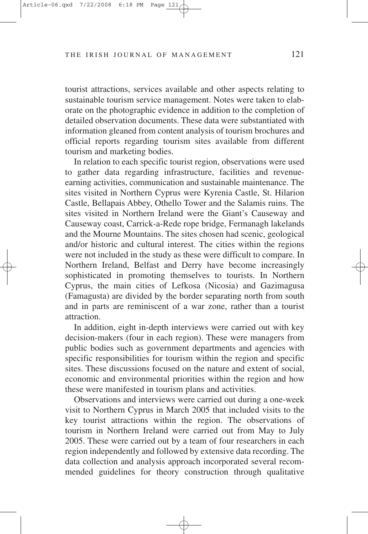tourist attractions, services available and other aspects relating to sustainable tourism service management. Notes were taken to elaborate on the photographic evidence in addition to the completion of detailed observation documents. These data were substantiated with information gleaned from content analysis of tourism brochures and official reports regarding tourism sites available from different tourism and marketing bodies.

In relation to each specific tourist region, observations were used to gather data regarding infrastructure, facilities and revenueearning activities, communication and sustainable maintenance. The sites visited in Northern Cyprus were Kyrenia Castle, St. Hilarion Castle, Bellapais Abbey, Othello Tower and the Salamis ruins. The sites visited in Northern Ireland were the Giant's Causeway and Causeway coast, Carrick-a-Rede rope bridge, Fermanagh lakelands and the Mourne Mountains. The sites chosen had scenic, geological and/or historic and cultural interest. The cities within the regions were not included in the study as these were difficult to compare. In Northern Ireland, Belfast and Derry have become increasingly sophisticated in promoting themselves to tourists. In Northern Cyprus, the main cities of Lefkosa (Nicosia) and Gazimagusa (Famagusta) are divided by the border separating north from south and in parts are reminiscent of a war zone, rather than a tourist attraction.

In addition, eight in-depth interviews were carried out with key decision-makers (four in each region). These were managers from public bodies such as government departments and agencies with specific responsibilities for tourism within the region and specific sites. These discussions focused on the nature and extent of social, economic and environmental priorities within the region and how these were manifested in tourism plans and activities.

Observations and interviews were carried out during a one-week visit to Northern Cyprus in March 2005 that included visits to the key tourist attractions within the region. The observations of tourism in Northern Ireland were carried out from May to July 2005. These were carried out by a team of four researchers in each region independently and followed by extensive data recording. The data collection and analysis approach incorporated several recommended guidelines for theory construction through qualitative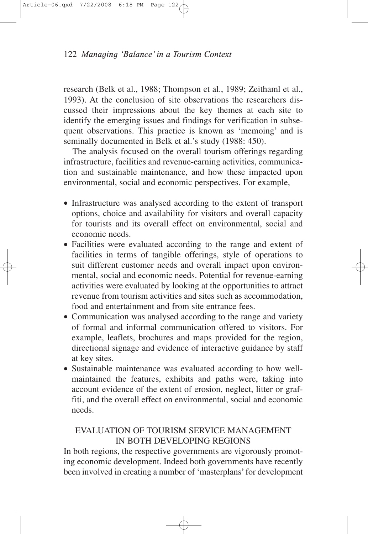research (Belk et al., 1988; Thompson et al., 1989; Zeithaml et al., 1993). At the conclusion of site observations the researchers discussed their impressions about the key themes at each site to identify the emerging issues and findings for verification in subsequent observations. This practice is known as 'memoing' and is seminally documented in Belk et al.'s study (1988: 450).

The analysis focused on the overall tourism offerings regarding infrastructure, facilities and revenue-earning activities, communication and sustainable maintenance, and how these impacted upon environmental, social and economic perspectives. For example,

- Infrastructure was analysed according to the extent of transport options, choice and availability for visitors and overall capacity for tourists and its overall effect on environmental, social and economic needs.
- Facilities were evaluated according to the range and extent of facilities in terms of tangible offerings, style of operations to suit different customer needs and overall impact upon environmental, social and economic needs. Potential for revenue-earning activities were evaluated by looking at the opportunities to attract revenue from tourism activities and sites such as accommodation, food and entertainment and from site entrance fees.
- Communication was analysed according to the range and variety of formal and informal communication offered to visitors. For example, leaflets, brochures and maps provided for the region, directional signage and evidence of interactive guidance by staff at key sites.
- Sustainable maintenance was evaluated according to how wellmaintained the features, exhibits and paths were, taking into account evidence of the extent of erosion, neglect, litter or graffiti, and the overall effect on environmental, social and economic needs.

# EVALUATION OF TOURISM SERVICE MANAGEMENT IN BOTH DEVELOPING REGIONS

In both regions, the respective governments are vigorously promoting economic development. Indeed both governments have recently been involved in creating a number of 'masterplans' for development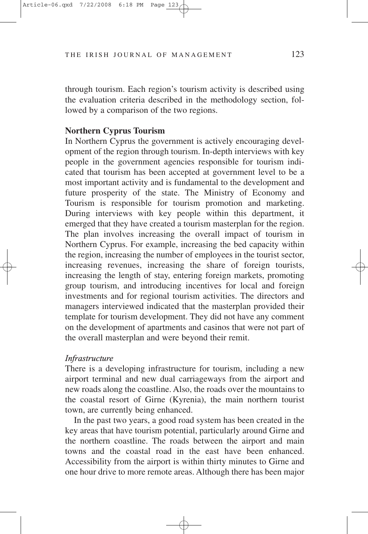through tourism. Each region's tourism activity is described using the evaluation criteria described in the methodology section, followed by a comparison of the two regions.

# **Northern Cyprus Tourism**

In Northern Cyprus the government is actively encouraging development of the region through tourism. In-depth interviews with key people in the government agencies responsible for tourism indicated that tourism has been accepted at government level to be a most important activity and is fundamental to the development and future prosperity of the state. The Ministry of Economy and Tourism is responsible for tourism promotion and marketing. During interviews with key people within this department, it emerged that they have created a tourism masterplan for the region. The plan involves increasing the overall impact of tourism in Northern Cyprus. For example, increasing the bed capacity within the region, increasing the number of employees in the tourist sector, increasing revenues, increasing the share of foreign tourists, increasing the length of stay, entering foreign markets, promoting group tourism, and introducing incentives for local and foreign investments and for regional tourism activities. The directors and managers interviewed indicated that the masterplan provided their template for tourism development. They did not have any comment on the development of apartments and casinos that were not part of the overall masterplan and were beyond their remit.

## *Infrastructure*

There is a developing infrastructure for tourism, including a new airport terminal and new dual carriageways from the airport and new roads along the coastline. Also, the roads over the mountains to the coastal resort of Girne (Kyrenia), the main northern tourist town, are currently being enhanced.

In the past two years, a good road system has been created in the key areas that have tourism potential, particularly around Girne and the northern coastline. The roads between the airport and main towns and the coastal road in the east have been enhanced. Accessibility from the airport is within thirty minutes to Girne and one hour drive to more remote areas. Although there has been major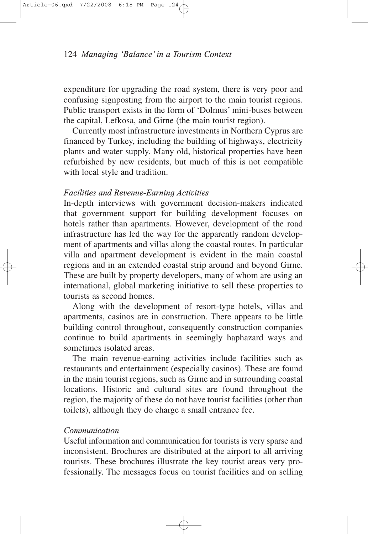expenditure for upgrading the road system, there is very poor and confusing signposting from the airport to the main tourist regions. Public transport exists in the form of 'Dolmus' mini-buses between the capital, Lefkosa, and Girne (the main tourist region).

Currently most infrastructure investments in Northern Cyprus are financed by Turkey, including the building of highways, electricity plants and water supply. Many old, historical properties have been refurbished by new residents, but much of this is not compatible with local style and tradition.

## *Facilities and Revenue-Earning Activities*

In-depth interviews with government decision-makers indicated that government support for building development focuses on hotels rather than apartments. However, development of the road infrastructure has led the way for the apparently random development of apartments and villas along the coastal routes. In particular villa and apartment development is evident in the main coastal regions and in an extended coastal strip around and beyond Girne. These are built by property developers, many of whom are using an international, global marketing initiative to sell these properties to tourists as second homes.

Along with the development of resort-type hotels, villas and apartments, casinos are in construction. There appears to be little building control throughout, consequently construction companies continue to build apartments in seemingly haphazard ways and sometimes isolated areas.

The main revenue-earning activities include facilities such as restaurants and entertainment (especially casinos). These are found in the main tourist regions, such as Girne and in surrounding coastal locations. Historic and cultural sites are found throughout the region, the majority of these do not have tourist facilities (other than toilets), although they do charge a small entrance fee.

### *Communication*

Useful information and communication for tourists is very sparse and inconsistent. Brochures are distributed at the airport to all arriving tourists. These brochures illustrate the key tourist areas very professionally. The messages focus on tourist facilities and on selling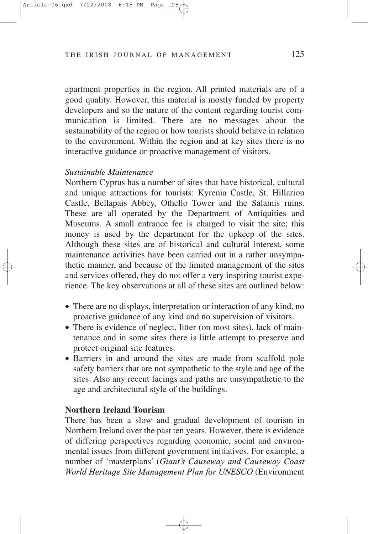apartment properties in the region. All printed materials are of a good quality. However, this material is mostly funded by property developers and so the nature of the content regarding tourist communication is limited. There are no messages about the sustainability of the region or how tourists should behave in relation to the environment. Within the region and at key sites there is no interactive guidance or proactive management of visitors.

## *Sustainable Maintenance*

Northern Cyprus has a number of sites that have historical, cultural and unique attractions for tourists: Kyrenia Castle, St. Hillarion Castle, Bellapais Abbey, Othello Tower and the Salamis ruins. These are all operated by the Department of Antiquities and Museums. A small entrance fee is charged to visit the site; this money is used by the department for the upkeep of the sites. Although these sites are of historical and cultural interest, some maintenance activities have been carried out in a rather unsympathetic manner, and because of the limited management of the sites and services offered, they do not offer a very inspiring tourist experience. The key observations at all of these sites are outlined below:

- There are no displays, interpretation or interaction of any kind, no proactive guidance of any kind and no supervision of visitors.
- There is evidence of neglect, litter (on most sites), lack of maintenance and in some sites there is little attempt to preserve and protect original site features.
- Barriers in and around the sites are made from scaffold pole safety barriers that are not sympathetic to the style and age of the sites. Also any recent facings and paths are unsympathetic to the age and architectural style of the buildings.

## **Northern Ireland Tourism**

There has been a slow and gradual development of tourism in Northern Ireland over the past ten years. However, there is evidence of differing perspectives regarding economic, social and environmental issues from different government initiatives. For example, a number of 'masterplans' (*Giant's Causeway and Causeway Coast World Heritage Site Management Plan for UNESCO* (Environment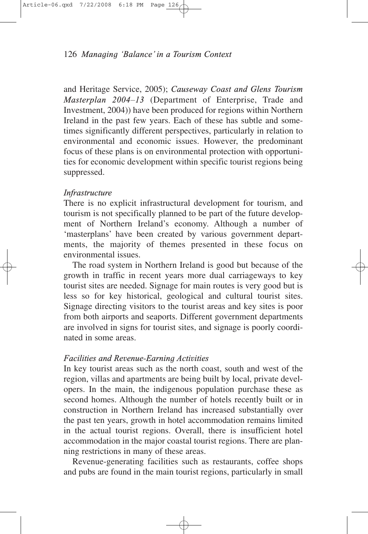and Heritage Service, 2005); *Causeway Coast and Glens Tourism Masterplan 2004–13* (Department of Enterprise, Trade and Investment, 2004)) have been produced for regions within Northern Ireland in the past few years. Each of these has subtle and sometimes significantly different perspectives, particularly in relation to environmental and economic issues. However, the predominant focus of these plans is on environmental protection with opportunities for economic development within specific tourist regions being suppressed.

## *Infrastructure*

There is no explicit infrastructural development for tourism, and tourism is not specifically planned to be part of the future development of Northern Ireland's economy. Although a number of 'masterplans' have been created by various government departments, the majority of themes presented in these focus on environmental issues.

The road system in Northern Ireland is good but because of the growth in traffic in recent years more dual carriageways to key tourist sites are needed. Signage for main routes is very good but is less so for key historical, geological and cultural tourist sites. Signage directing visitors to the tourist areas and key sites is poor from both airports and seaports. Different government departments are involved in signs for tourist sites, and signage is poorly coordinated in some areas.

## *Facilities and Revenue-Earning Activities*

In key tourist areas such as the north coast, south and west of the region, villas and apartments are being built by local, private developers. In the main, the indigenous population purchase these as second homes. Although the number of hotels recently built or in construction in Northern Ireland has increased substantially over the past ten years, growth in hotel accommodation remains limited in the actual tourist regions. Overall, there is insufficient hotel accommodation in the major coastal tourist regions. There are planning restrictions in many of these areas.

Revenue-generating facilities such as restaurants, coffee shops and pubs are found in the main tourist regions, particularly in small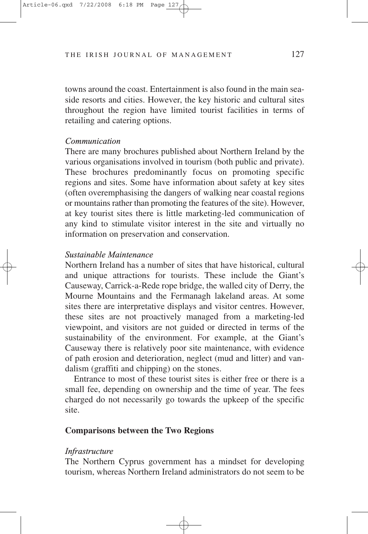towns around the coast. Entertainment is also found in the main seaside resorts and cities. However, the key historic and cultural sites throughout the region have limited tourist facilities in terms of retailing and catering options.

#### *Communication*

There are many brochures published about Northern Ireland by the various organisations involved in tourism (both public and private). These brochures predominantly focus on promoting specific regions and sites. Some have information about safety at key sites (often overemphasising the dangers of walking near coastal regions or mountains rather than promoting the features of the site). However, at key tourist sites there is little marketing-led communication of any kind to stimulate visitor interest in the site and virtually no information on preservation and conservation.

## *Sustainable Maintenance*

Northern Ireland has a number of sites that have historical, cultural and unique attractions for tourists. These include the Giant's Causeway, Carrick-a-Rede rope bridge, the walled city of Derry, the Mourne Mountains and the Fermanagh lakeland areas. At some sites there are interpretative displays and visitor centres. However, these sites are not proactively managed from a marketing-led viewpoint, and visitors are not guided or directed in terms of the sustainability of the environment. For example, at the Giant's Causeway there is relatively poor site maintenance, with evidence of path erosion and deterioration, neglect (mud and litter) and vandalism (graffiti and chipping) on the stones.

Entrance to most of these tourist sites is either free or there is a small fee, depending on ownership and the time of year. The fees charged do not necessarily go towards the upkeep of the specific site.

## **Comparisons between the Two Regions**

#### *Infrastructure*

The Northern Cyprus government has a mindset for developing tourism, whereas Northern Ireland administrators do not seem to be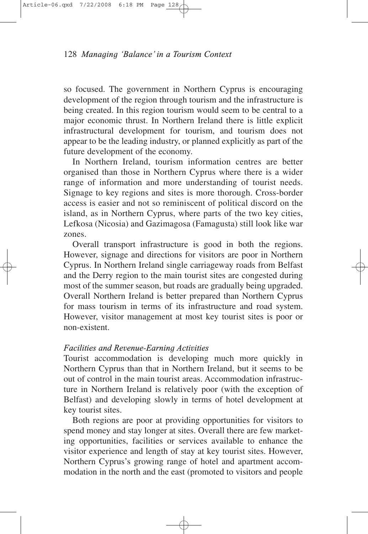so focused. The government in Northern Cyprus is encouraging development of the region through tourism and the infrastructure is being created. In this region tourism would seem to be central to a major economic thrust. In Northern Ireland there is little explicit infrastructural development for tourism, and tourism does not appear to be the leading industry, or planned explicitly as part of the future development of the economy.

In Northern Ireland, tourism information centres are better organised than those in Northern Cyprus where there is a wider range of information and more understanding of tourist needs. Signage to key regions and sites is more thorough. Cross-border access is easier and not so reminiscent of political discord on the island, as in Northern Cyprus, where parts of the two key cities, Lefkosa (Nicosia) and Gazimagosa (Famagusta) still look like war zones.

Overall transport infrastructure is good in both the regions. However, signage and directions for visitors are poor in Northern Cyprus. In Northern Ireland single carriageway roads from Belfast and the Derry region to the main tourist sites are congested during most of the summer season, but roads are gradually being upgraded. Overall Northern Ireland is better prepared than Northern Cyprus for mass tourism in terms of its infrastructure and road system. However, visitor management at most key tourist sites is poor or non-existent.

## *Facilities and Revenue-Earning Activities*

Tourist accommodation is developing much more quickly in Northern Cyprus than that in Northern Ireland, but it seems to be out of control in the main tourist areas. Accommodation infrastructure in Northern Ireland is relatively poor (with the exception of Belfast) and developing slowly in terms of hotel development at key tourist sites.

Both regions are poor at providing opportunities for visitors to spend money and stay longer at sites. Overall there are few marketing opportunities, facilities or services available to enhance the visitor experience and length of stay at key tourist sites. However, Northern Cyprus's growing range of hotel and apartment accommodation in the north and the east (promoted to visitors and people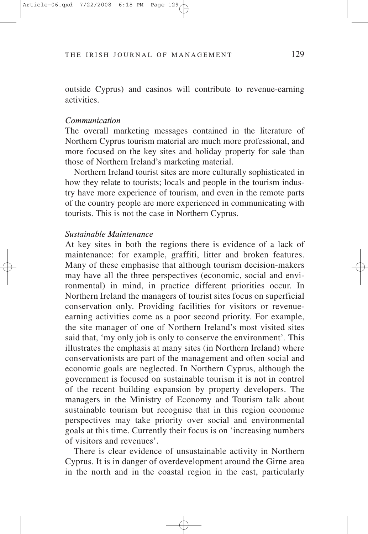outside Cyprus) and casinos will contribute to revenue-earning activities.

#### *Communication*

The overall marketing messages contained in the literature of Northern Cyprus tourism material are much more professional, and more focused on the key sites and holiday property for sale than those of Northern Ireland's marketing material.

Northern Ireland tourist sites are more culturally sophisticated in how they relate to tourists; locals and people in the tourism industry have more experience of tourism, and even in the remote parts of the country people are more experienced in communicating with tourists. This is not the case in Northern Cyprus.

#### *Sustainable Maintenance*

At key sites in both the regions there is evidence of a lack of maintenance: for example, graffiti, litter and broken features. Many of these emphasise that although tourism decision-makers may have all the three perspectives (economic, social and environmental) in mind, in practice different priorities occur. In Northern Ireland the managers of tourist sites focus on superficial conservation only. Providing facilities for visitors or revenueearning activities come as a poor second priority. For example, the site manager of one of Northern Ireland's most visited sites said that, 'my only job is only to conserve the environment'*.* This illustrates the emphasis at many sites (in Northern Ireland) where conservationists are part of the management and often social and economic goals are neglected. In Northern Cyprus, although the government is focused on sustainable tourism it is not in control of the recent building expansion by property developers. The managers in the Ministry of Economy and Tourism talk about sustainable tourism but recognise that in this region economic perspectives may take priority over social and environmental goals at this time. Currently their focus is on 'increasing numbers of visitors and revenues'.

There is clear evidence of unsustainable activity in Northern Cyprus. It is in danger of overdevelopment around the Girne area in the north and in the coastal region in the east, particularly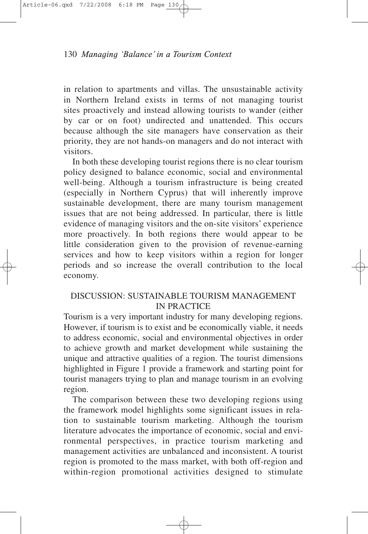in relation to apartments and villas. The unsustainable activity in Northern Ireland exists in terms of not managing tourist sites proactively and instead allowing tourists to wander (either by car or on foot) undirected and unattended. This occurs because although the site managers have conservation as their priority, they are not hands-on managers and do not interact with visitors.

In both these developing tourist regions there is no clear tourism policy designed to balance economic, social and environmental well-being. Although a tourism infrastructure is being created (especially in Northern Cyprus) that will inherently improve sustainable development, there are many tourism management issues that are not being addressed. In particular, there is little evidence of managing visitors and the on-site visitors' experience more proactively. In both regions there would appear to be little consideration given to the provision of revenue-earning services and how to keep visitors within a region for longer periods and so increase the overall contribution to the local economy.

## DISCUSSION: SUSTAINABLE TOURISM MANAGEMENT IN PRACTICE

Tourism is a very important industry for many developing regions. However, if tourism is to exist and be economically viable, it needs to address economic, social and environmental objectives in order to achieve growth and market development while sustaining the unique and attractive qualities of a region. The tourist dimensions highlighted in Figure 1 provide a framework and starting point for tourist managers trying to plan and manage tourism in an evolving region.

The comparison between these two developing regions using the framework model highlights some significant issues in relation to sustainable tourism marketing. Although the tourism literature advocates the importance of economic, social and environmental perspectives, in practice tourism marketing and management activities are unbalanced and inconsistent. A tourist region is promoted to the mass market, with both off-region and within-region promotional activities designed to stimulate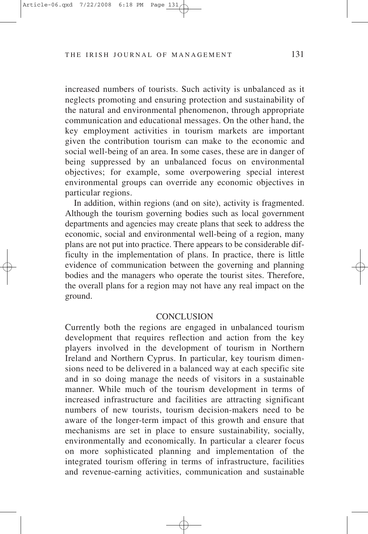increased numbers of tourists. Such activity is unbalanced as it neglects promoting and ensuring protection and sustainability of the natural and environmental phenomenon, through appropriate communication and educational messages. On the other hand, the key employment activities in tourism markets are important given the contribution tourism can make to the economic and social well-being of an area. In some cases, these are in danger of being suppressed by an unbalanced focus on environmental objectives; for example, some overpowering special interest environmental groups can override any economic objectives in particular regions.

In addition, within regions (and on site), activity is fragmented. Although the tourism governing bodies such as local government departments and agencies may create plans that seek to address the economic, social and environmental well-being of a region, many plans are not put into practice. There appears to be considerable difficulty in the implementation of plans. In practice, there is little evidence of communication between the governing and planning bodies and the managers who operate the tourist sites. Therefore, the overall plans for a region may not have any real impact on the ground.

#### **CONCLUSION**

Currently both the regions are engaged in unbalanced tourism development that requires reflection and action from the key players involved in the development of tourism in Northern Ireland and Northern Cyprus. In particular, key tourism dimensions need to be delivered in a balanced way at each specific site and in so doing manage the needs of visitors in a sustainable manner. While much of the tourism development in terms of increased infrastructure and facilities are attracting significant numbers of new tourists, tourism decision-makers need to be aware of the longer-term impact of this growth and ensure that mechanisms are set in place to ensure sustainability, socially, environmentally and economically. In particular a clearer focus on more sophisticated planning and implementation of the integrated tourism offering in terms of infrastructure, facilities and revenue-earning activities, communication and sustainable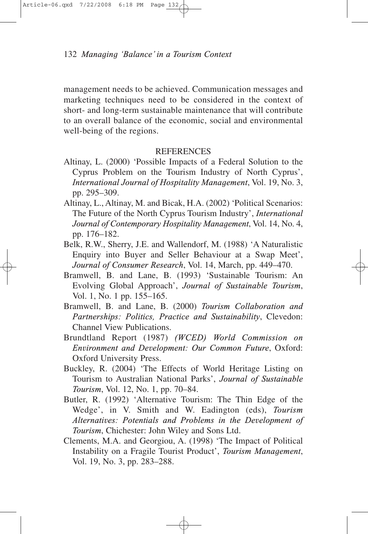management needs to be achieved. Communication messages and marketing techniques need to be considered in the context of short- and long-term sustainable maintenance that will contribute to an overall balance of the economic, social and environmental well-being of the regions.

## **REFERENCES**

- Altinay, L. (2000) 'Possible Impacts of a Federal Solution to the Cyprus Problem on the Tourism Industry of North Cyprus', *International Journal of Hospitality Management*, Vol. 19, No. 3, pp. 295–309.
- Altinay, L., Altinay, M. and Bicak, H.A. (2002) 'Political Scenarios: The Future of the North Cyprus Tourism Industry', *International Journal of Contemporary Hospitality Management*, Vol. 14, No. 4, pp. 176–182.
- Belk, R.W., Sherry, J.E. and Wallendorf, M. (1988) 'A Naturalistic Enquiry into Buyer and Seller Behaviour at a Swap Meet', *Journal of Consumer Research*, Vol. 14, March, pp. 449–470.
- Bramwell, B. and Lane, B. (1993) 'Sustainable Tourism: An Evolving Global Approach', *Journal of Sustainable Tourism*, Vol. 1, No. 1 pp. 155–165.
- Bramwell, B. and Lane, B. (2000) *Tourism Collaboration and Partnerships: Politics, Practice and Sustainability*, Clevedon: Channel View Publications.
- Brundtland Report (1987) *(WCED) World Commission on Environment and Development: Our Common Future*, Oxford: Oxford University Press.
- Buckley, R. (2004) 'The Effects of World Heritage Listing on Tourism to Australian National Parks', *Journal of Sustainable Tourism*, Vol. 12, No. 1, pp. 70–84.
- Butler, R. (1992) 'Alternative Tourism: The Thin Edge of the Wedge', in V. Smith and W. Eadington (eds), *Tourism Alternatives: Potentials and Problems in the Development of Tourism*, Chichester: John Wiley and Sons Ltd.
- Clements, M.A. and Georgiou, A. (1998) 'The Impact of Political Instability on a Fragile Tourist Product', *Tourism Management*, Vol. 19, No. 3, pp. 283–288.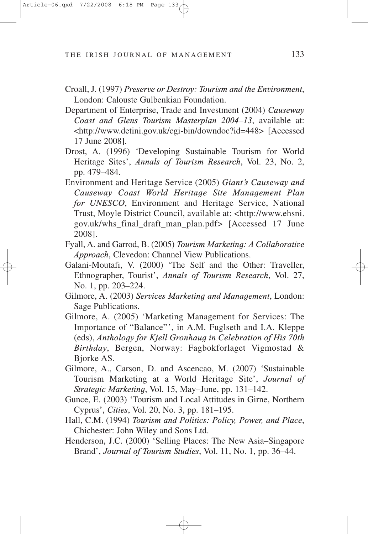- Croall, J. (1997) *Preserve or Destroy: Tourism and the Environment*, London: Calouste Gulbenkian Foundation.
- Department of Enterprise, Trade and Investment (2004) *Causeway Coast and Glens Tourism Masterplan 2004–13*, available at: <http://www.detini.gov.uk/cgi-bin/downdoc?id=448> [Accessed 17 June 2008].
- Drost, A. (1996) 'Developing Sustainable Tourism for World Heritage Sites', *Annals of Tourism Research*, Vol. 23, No. 2, pp. 479–484.
- Environment and Heritage Service (2005) *Giant's Causeway and Causeway Coast World Heritage Site Management Plan for UNESCO*, Environment and Heritage Service, National Trust, Moyle District Council, available at: <http://www.ehsni. gov.uk/whs\_final\_draft\_man\_plan.pdf> [Accessed 17 June 2008].
- Fyall, A. and Garrod, B. (2005) *Tourism Marketing: A Collaborative Approach*, Clevedon: Channel View Publications.
- Galani-Moutafi, V. (2000) 'The Self and the Other: Traveller, Ethnographer, Tourist', *Annals of Tourism Research*, Vol. 27, No. 1, pp. 203–224.
- Gilmore, A. (2003) *Services Marketing and Management*, London: Sage Publications.
- Gilmore, A. (2005) 'Marketing Management for Services: The Importance of "Balance"', in A.M. Fuglseth and I.A. Kleppe (eds), *Anthology for Kjell Gronhaug in Celebration of His 70th Birthday*, Bergen, Norway: Fagbokforlaget Vigmostad & Bjorke AS.
- Gilmore, A., Carson, D. and Ascencao, M. (2007) 'Sustainable Tourism Marketing at a World Heritage Site', *Journal of Strategic Marketing*, Vol. 15, May–June, pp. 131–142.
- Gunce, E. (2003) 'Tourism and Local Attitudes in Girne, Northern Cyprus', *Cities*, Vol. 20, No. 3, pp. 181–195.
- Hall, C.M. (1994) *Tourism and Politics: Policy, Power, and Place*, Chichester: John Wiley and Sons Ltd.
- Henderson, J.C. (2000) 'Selling Places: The New Asia–Singapore Brand', *Journal of Tourism Studies*, Vol. 11, No. 1, pp. 36–44.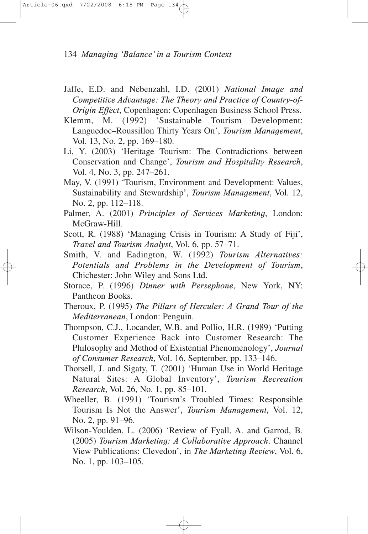- Jaffe, E.D. and Nebenzahl, I.D. (2001) *National Image and Competitive Advantage: The Theory and Practice of Country-of-Origin Effect*, Copenhagen: Copenhagen Business School Press.
- Klemm, M. (1992) 'Sustainable Tourism Development: Languedoc–Roussillon Thirty Years On', *Tourism Management*, Vol. 13, No. 2, pp. 169–180.
- Li, Y. (2003) 'Heritage Tourism: The Contradictions between Conservation and Change', *Tourism and Hospitality Research*, Vol. 4, No. 3, pp. 247–261.
- May, V. (1991) 'Tourism, Environment and Development: Values, Sustainability and Stewardship', *Tourism Management*, Vol. 12, No. 2, pp. 112–118.
- Palmer, A. (2001) *Principles of Services Marketing*, London: McGraw-Hill.
- Scott, R. (1988) 'Managing Crisis in Tourism: A Study of Fiji', *Travel and Tourism Analyst*, Vol. 6, pp. 57–71.
- Smith, V. and Eadington, W. (1992) *Tourism Alternatives: Potentials and Problems in the Development of Tourism*, Chichester: John Wiley and Sons Ltd.
- Storace, P. (1996) *Dinner with Persephone*, New York, NY: Pantheon Books.
- Theroux, P. (1995) *The Pillars of Hercules: A Grand Tour of the Mediterranean*, London: Penguin.
- Thompson, C.J., Locander, W.B. and Pollio, H.R. (1989) 'Putting Customer Experience Back into Customer Research: The Philosophy and Method of Existential Phenomenology', *Journal of Consumer Research*, Vol. 16, September, pp. 133–146.
- Thorsell, J. and Sigaty, T. (2001) 'Human Use in World Heritage Natural Sites: A Global Inventory', *Tourism Recreation Research*, Vol. 26, No. 1, pp. 85–101.
- Wheeller, B. (1991) 'Tourism's Troubled Times: Responsible Tourism Is Not the Answer', *Tourism Management*, Vol. 12, No. 2, pp. 91–96.
- Wilson-Youlden, L. (2006) 'Review of Fyall, A. and Garrod, B. (2005) *Tourism Marketing: A Collaborative Approach*. Channel View Publications: Clevedon', in *The Marketing Review*, Vol. 6, No. 1, pp. 103–105.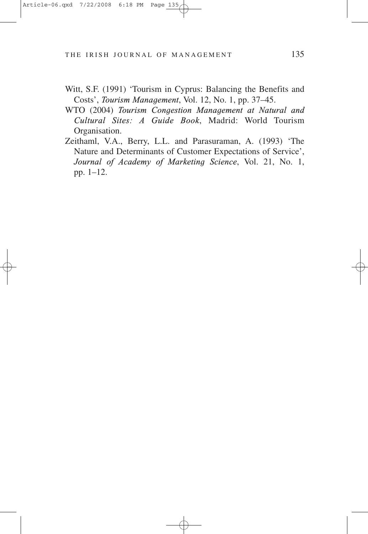- Witt, S.F. (1991) 'Tourism in Cyprus: Balancing the Benefits and Costs', *Tourism Management*, Vol. 12, No. 1, pp. 37–45.
- WTO (2004) *Tourism Congestion Management at Natural and Cultural Sites: A Guide Book*, Madrid: World Tourism Organisation.
- Zeithaml, V.A., Berry, L.L. and Parasuraman, A. (1993) 'The Nature and Determinants of Customer Expectations of Service', *Journal of Academy of Marketing Science*, Vol. 21, No. 1, pp. 1–12.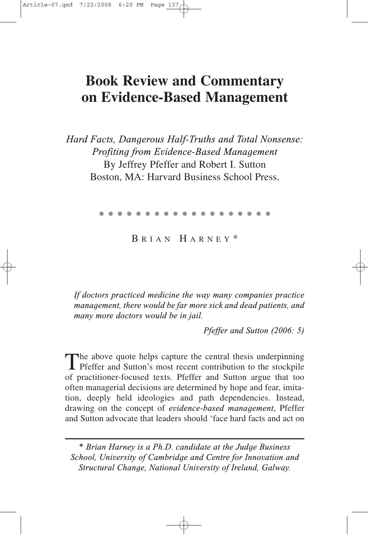## **Book Review and Commentary on Evidence-Based Management**

*Hard Facts, Dangerous Half-Truths and Total Nonsense: Profiting from Evidence-Based Management* By Jeffrey Pfeffer and Robert I. Sutton Boston, MA: Harvard Business School Press.

●●●●●●●●●●●●●●●●●●●

B RIAN H ARNEY \*

*If doctors practiced medicine the way many companies practice management, there would be far more sick and dead patients, and many more doctors would be in jail.*

*Pfeffer and Sutton (2006: 5)*

The above quote helps capture the central thesis underpinning **T** Pfeffer and Sutton's most recent contribution to the stockpile of practitioner-focused texts. Pfeffer and Sutton argue that too often managerial decisions are determined by hope and fear, imitation, deeply held ideologies and path dependencies. Instead, drawing on the concept of *evidence-based management*, Pfeffer and Sutton advocate that leaders should 'face hard facts and act on

*<sup>\*</sup> Brian Harney is a Ph.D. candidate at the Judge Business School, University of Cambridge and Centre for Innovation and Structural Change, National University of Ireland, Galway.*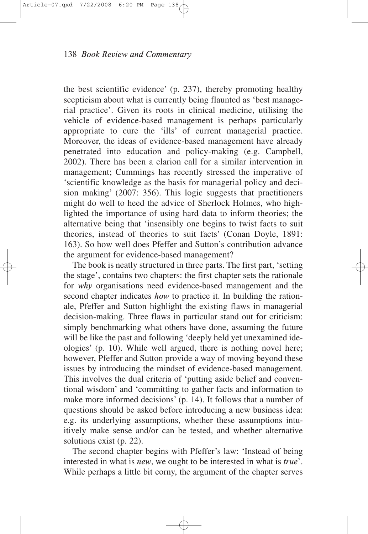the best scientific evidence' (p. 237), thereby promoting healthy scepticism about what is currently being flaunted as 'best managerial practice'. Given its roots in clinical medicine, utilising the vehicle of evidence-based management is perhaps particularly appropriate to cure the 'ills' of current managerial practice. Moreover, the ideas of evidence-based management have already penetrated into education and policy-making (e.g. Campbell, 2002). There has been a clarion call for a similar intervention in management; Cummings has recently stressed the imperative of 'scientific knowledge as the basis for managerial policy and decision making' (2007: 356). This logic suggests that practitioners might do well to heed the advice of Sherlock Holmes, who highlighted the importance of using hard data to inform theories; the alternative being that 'insensibly one begins to twist facts to suit theories, instead of theories to suit facts' (Conan Doyle, 1891: 163). So how well does Pfeffer and Sutton's contribution advance the argument for evidence-based management?

The book is neatly structured in three parts. The first part, 'setting the stage', contains two chapters: the first chapter sets the rationale for *why* organisations need evidence-based management and the second chapter indicates *how* to practice it. In building the rationale, Pfeffer and Sutton highlight the existing flaws in managerial decision-making. Three flaws in particular stand out for criticism: simply benchmarking what others have done, assuming the future will be like the past and following 'deeply held yet unexamined ideologies' (p. 10). While well argued, there is nothing novel here; however, Pfeffer and Sutton provide a way of moving beyond these issues by introducing the mindset of evidence-based management. This involves the dual criteria of 'putting aside belief and conventional wisdom' and 'committing to gather facts and information to make more informed decisions' (p. 14). It follows that a number of questions should be asked before introducing a new business idea: e.g. its underlying assumptions, whether these assumptions intuitively make sense and/or can be tested, and whether alternative solutions exist (p. 22).

The second chapter begins with Pfeffer's law: 'Instead of being interested in what is *new*, we ought to be interested in what is *true*'. While perhaps a little bit corny, the argument of the chapter serves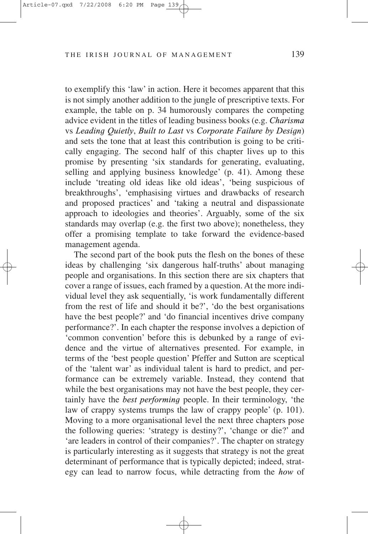to exemplify this 'law' in action. Here it becomes apparent that this is not simply another addition to the jungle of prescriptive texts. For example, the table on p. 34 humorously compares the competing advice evident in the titles of leading business books (e.g. *Charisma* vs *Leading Quietly*, *Built to Last* vs *Corporate Failure by Design*) and sets the tone that at least this contribution is going to be critically engaging. The second half of this chapter lives up to this promise by presenting 'six standards for generating, evaluating, selling and applying business knowledge' (p. 41). Among these include 'treating old ideas like old ideas', 'being suspicious of breakthroughs', 'emphasising virtues and drawbacks of research and proposed practices' and 'taking a neutral and dispassionate approach to ideologies and theories'. Arguably, some of the six standards may overlap (e.g. the first two above); nonetheless, they offer a promising template to take forward the evidence-based management agenda.

The second part of the book puts the flesh on the bones of these ideas by challenging 'six dangerous half-truths' about managing people and organisations. In this section there are six chapters that cover a range of issues, each framed by a question. At the more individual level they ask sequentially, 'is work fundamentally different from the rest of life and should it be?', 'do the best organisations have the best people?' and 'do financial incentives drive company performance?'. In each chapter the response involves a depiction of 'common convention' before this is debunked by a range of evidence and the virtue of alternatives presented. For example, in terms of the 'best people question' Pfeffer and Sutton are sceptical of the 'talent war' as individual talent is hard to predict, and performance can be extremely variable. Instead, they contend that while the best organisations may not have the best people, they certainly have the *best performing* people. In their terminology, 'the law of crappy systems trumps the law of crappy people' (p. 101). Moving to a more organisational level the next three chapters pose the following queries: 'strategy is destiny?', 'change or die?' and 'are leaders in control of their companies?'. The chapter on strategy is particularly interesting as it suggests that strategy is not the great determinant of performance that is typically depicted; indeed, strategy can lead to narrow focus, while detracting from the *how* of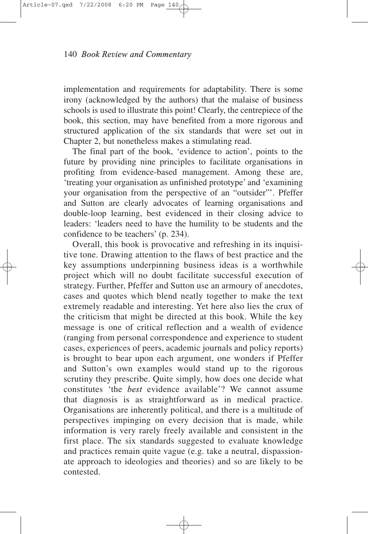implementation and requirements for adaptability. There is some irony (acknowledged by the authors) that the malaise of business schools is used to illustrate this point! Clearly, the centrepiece of the book, this section, may have benefited from a more rigorous and structured application of the six standards that were set out in Chapter 2, but nonetheless makes a stimulating read.

The final part of the book, 'evidence to action', points to the future by providing nine principles to facilitate organisations in profiting from evidence-based management. Among these are, 'treating your organisation as unfinished prototype' and 'examining your organisation from the perspective of an "outsider"'. Pfeffer and Sutton are clearly advocates of learning organisations and double-loop learning, best evidenced in their closing advice to leaders: 'leaders need to have the humility to be students and the confidence to be teachers' (p. 234).

Overall, this book is provocative and refreshing in its inquisitive tone. Drawing attention to the flaws of best practice and the key assumptions underpinning business ideas is a worthwhile project which will no doubt facilitate successful execution of strategy. Further, Pfeffer and Sutton use an armoury of anecdotes, cases and quotes which blend neatly together to make the text extremely readable and interesting. Yet here also lies the crux of the criticism that might be directed at this book. While the key message is one of critical reflection and a wealth of evidence (ranging from personal correspondence and experience to student cases, experiences of peers, academic journals and policy reports) is brought to bear upon each argument, one wonders if Pfeffer and Sutton's own examples would stand up to the rigorous scrutiny they prescribe. Quite simply, how does one decide what constitutes 'the *best* evidence available'? We cannot assume that diagnosis is as straightforward as in medical practice. Organisations are inherently political, and there is a multitude of perspectives impinging on every decision that is made, while information is very rarely freely available and consistent in the first place. The six standards suggested to evaluate knowledge and practices remain quite vague (e.g. take a neutral, dispassionate approach to ideologies and theories) and so are likely to be contested.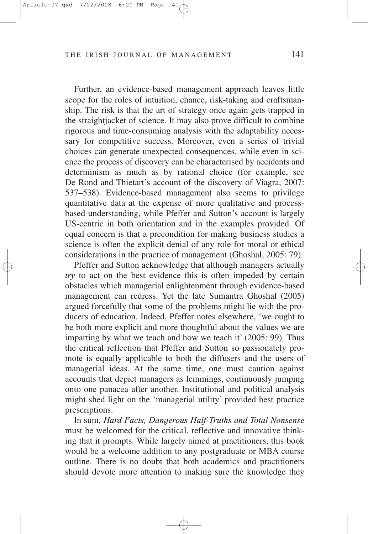Further, an evidence-based management approach leaves little scope for the roles of intuition, chance, risk-taking and craftsmanship. The risk is that the art of strategy once again gets trapped in the straightjacket of science. It may also prove difficult to combine rigorous and time-consuming analysis with the adaptability necessary for competitive success. Moreover, even a series of trivial choices can generate unexpected consequences, while even in science the process of discovery can be characterised by accidents and determinism as much as by rational choice (for example, see De Rond and Thietart's account of the discovery of Viagra, 2007: 537–538). Evidence-based management also seems to privilege quantitative data at the expense of more qualitative and processbased understanding, while Pfeffer and Sutton's account is largely US-centric in both orientation and in the examples provided. Of equal concern is that a precondition for making business studies a science is often the explicit denial of any role for moral or ethical considerations in the practice of management (Ghoshal, 2005: 79).

Pfeffer and Sutton acknowledge that although managers actually *try* to act on the best evidence this is often impeded by certain obstacles which managerial enlightenment through evidence-based management can redress. Yet the late Sumantra Ghoshal (2005) argued forcefully that some of the problems might lie with the producers of education. Indeed, Pfeffer notes elsewhere, 'we ought to be both more explicit and more thoughtful about the values we are imparting by what we teach and how we teach it' (2005: 99). Thus the critical reflection that Pfeffer and Sutton so passionately promote is equally applicable to both the diffusers and the users of managerial ideas. At the same time, one must caution against accounts that depict managers as lemmings, continuously jumping onto one panacea after another. Institutional and political analysis might shed light on the 'managerial utility' provided best practice prescriptions.

In sum, *Hard Facts, Dangerous Half-Truths and Total Nonsense* must be welcomed for the critical, reflective and innovative thinking that it prompts. While largely aimed at practitioners, this book would be a welcome addition to any postgraduate or MBA course outline. There is no doubt that both academics and practitioners should devote more attention to making sure the knowledge they